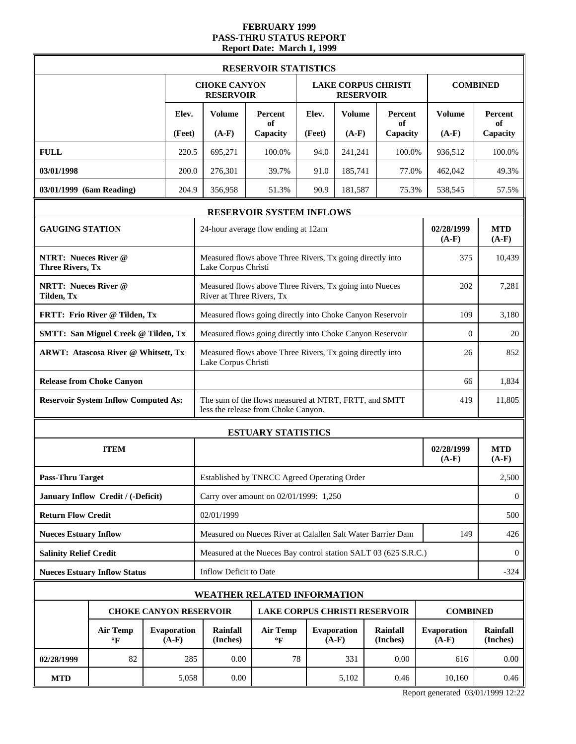# **FEBRUARY 1999 PASS-THRU STATUS REPORT Report Date: March 1, 1999**

|                                                        |                                                                  |  |        |                                                           | <b>RESERVOIR STATISTICS</b>                                                                  |        |                               |                            |                               |                       |  |  |
|--------------------------------------------------------|------------------------------------------------------------------|--|--------|-----------------------------------------------------------|----------------------------------------------------------------------------------------------|--------|-------------------------------|----------------------------|-------------------------------|-----------------------|--|--|
|                                                        |                                                                  |  |        | <b>CHOKE CANYON</b><br><b>RESERVOIR</b>                   |                                                                                              |        | <b>RESERVOIR</b>              | <b>LAKE CORPUS CHRISTI</b> |                               | <b>COMBINED</b>       |  |  |
|                                                        |                                                                  |  | Elev.  | <b>Volume</b>                                             | Percent<br>of                                                                                | Elev.  | <b>Volume</b>                 | Percent<br>of              | <b>Volume</b>                 | Percent<br>of         |  |  |
|                                                        |                                                                  |  | (Feet) | $(A-F)$                                                   | Capacity                                                                                     | (Feet) | $(A-F)$                       | Capacity                   | $(A-F)$                       | Capacity              |  |  |
| <b>FULL</b>                                            |                                                                  |  | 220.5  | 695,271                                                   | 100.0%                                                                                       | 94.0   | 241,241                       | 100.0%                     | 936,512                       | 100.0%                |  |  |
| 03/01/1998                                             |                                                                  |  | 200.0  | 276,301                                                   | 39.7%                                                                                        | 91.0   | 185,741                       | 77.0%                      | 462,042                       | 49.3%                 |  |  |
| 03/01/1999 (6am Reading)                               |                                                                  |  | 204.9  | 356,958                                                   | 51.3%                                                                                        | 90.9   | 181,587                       | 75.3%                      | 538,545                       | 57.5%                 |  |  |
|                                                        |                                                                  |  |        |                                                           | <b>RESERVOIR SYSTEM INFLOWS</b>                                                              |        |                               |                            |                               |                       |  |  |
| <b>GAUGING STATION</b>                                 |                                                                  |  |        |                                                           | 24-hour average flow ending at 12am                                                          |        |                               |                            | 02/28/1999<br>$(A-F)$         | <b>MTD</b><br>$(A-F)$ |  |  |
| <b>NTRT: Nueces River @</b><br><b>Three Rivers, Tx</b> |                                                                  |  |        | Lake Corpus Christi                                       | Measured flows above Three Rivers, Tx going directly into                                    |        |                               |                            | 375                           | 10,439                |  |  |
| <b>NRTT: Nueces River @</b><br>Tilden, Tx              |                                                                  |  |        | River at Three Rivers, Tx                                 | Measured flows above Three Rivers, Tx going into Nueces                                      |        |                               |                            | 202                           | 7,281                 |  |  |
|                                                        | FRTT: Frio River @ Tilden, Tx                                    |  |        |                                                           | Measured flows going directly into Choke Canyon Reservoir<br>109                             |        |                               |                            |                               |                       |  |  |
|                                                        | <b>SMTT: San Miguel Creek @ Tilden, Tx</b>                       |  |        | Measured flows going directly into Choke Canyon Reservoir | 20                                                                                           |        |                               |                            |                               |                       |  |  |
|                                                        | <b>ARWT: Atascosa River @ Whitsett, Tx</b>                       |  |        |                                                           | Measured flows above Three Rivers, Tx going directly into<br>Lake Corpus Christi             |        |                               |                            |                               |                       |  |  |
|                                                        | <b>Release from Choke Canyon</b>                                 |  |        |                                                           | 1,834                                                                                        |        |                               |                            |                               |                       |  |  |
|                                                        | <b>Reservoir System Inflow Computed As:</b>                      |  |        |                                                           | The sum of the flows measured at NTRT, FRTT, and SMTT<br>less the release from Choke Canyon. |        |                               |                            | 419                           | 11,805                |  |  |
|                                                        |                                                                  |  |        |                                                           | <b>ESTUARY STATISTICS</b>                                                                    |        |                               |                            |                               |                       |  |  |
|                                                        | <b>ITEM</b>                                                      |  |        |                                                           |                                                                                              |        |                               |                            | 02/28/1999<br>$(A-F)$         | <b>MTD</b><br>$(A-F)$ |  |  |
| <b>Pass-Thru Target</b>                                |                                                                  |  |        |                                                           | Established by TNRCC Agreed Operating Order                                                  |        |                               |                            |                               | 2,500                 |  |  |
|                                                        | January Inflow Credit / (-Deficit)                               |  |        |                                                           | Carry over amount on 02/01/1999: 1,250                                                       |        |                               |                            |                               | $\bf{0}$              |  |  |
| <b>Return Flow Credit</b>                              |                                                                  |  |        | 02/01/1999                                                |                                                                                              |        |                               |                            |                               | 500                   |  |  |
| <b>Nueces Estuary Inflow</b>                           |                                                                  |  |        |                                                           | Measured on Nueces River at Calallen Salt Water Barrier Dam                                  |        |                               |                            | 149                           | 426                   |  |  |
| <b>Salinity Relief Credit</b>                          |                                                                  |  |        |                                                           | Measured at the Nueces Bay control station SALT 03 (625 S.R.C.)                              |        |                               |                            |                               | $\theta$              |  |  |
|                                                        | <b>Nueces Estuary Inflow Status</b>                              |  |        | Inflow Deficit to Date                                    |                                                                                              |        |                               |                            |                               | $-324$                |  |  |
|                                                        |                                                                  |  |        | <b>WEATHER RELATED INFORMATION</b>                        |                                                                                              |        |                               |                            |                               |                       |  |  |
|                                                        |                                                                  |  |        | <b>CHOKE CANYON RESERVOIR</b>                             | <b>LAKE CORPUS CHRISTI RESERVOIR</b>                                                         |        |                               |                            | <b>COMBINED</b>               |                       |  |  |
|                                                        | <b>Evaporation</b><br><b>Air Temp</b><br>$(A-F)$<br>$\mathbf{P}$ |  |        |                                                           | <b>Air Temp</b><br>$\mathbf{P}$                                                              |        | <b>Evaporation</b><br>$(A-F)$ | Rainfall<br>(Inches)       | <b>Evaporation</b><br>$(A-F)$ | Rainfall<br>(Inches)  |  |  |
| 02/28/1999                                             | 82                                                               |  | 285    | 0.00                                                      | 78                                                                                           |        | 331                           | 0.00                       | 616                           | 0.00                  |  |  |
| <b>MTD</b>                                             |                                                                  |  | 5,058  | 0.00                                                      |                                                                                              |        | 5,102                         | 0.46                       | 10,160                        | 0.46                  |  |  |

Report generated 03/01/1999 12:22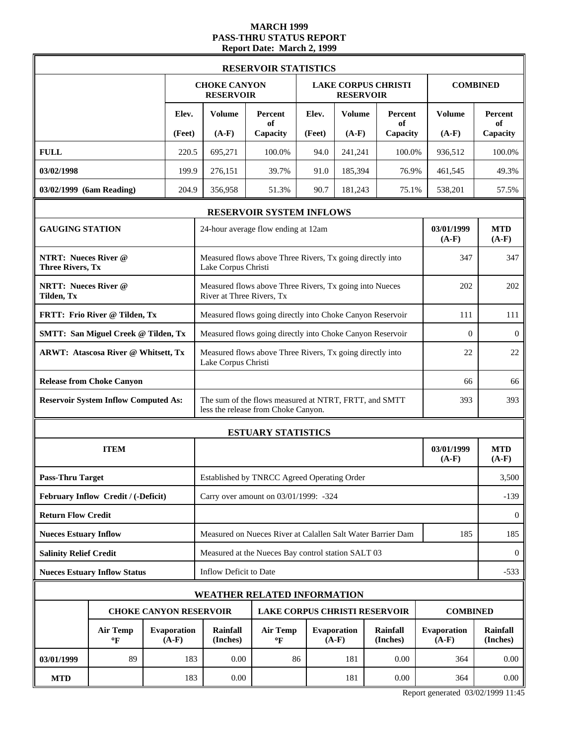# **MARCH 1999 PASS-THRU STATUS REPORT Report Date: March 2, 1999**

|                                                        |                                                           |  |        |                                                                  | <b>RESERVOIR STATISTICS</b>                                                                  |          |                                                |                             |                        |                       |  |
|--------------------------------------------------------|-----------------------------------------------------------|--|--------|------------------------------------------------------------------|----------------------------------------------------------------------------------------------|----------|------------------------------------------------|-----------------------------|------------------------|-----------------------|--|
|                                                        |                                                           |  |        | <b>CHOKE CANYON</b><br><b>RESERVOIR</b>                          |                                                                                              |          | <b>LAKE CORPUS CHRISTI</b><br><b>RESERVOIR</b> |                             |                        | <b>COMBINED</b>       |  |
|                                                        |                                                           |  | Elev.  | <b>Volume</b>                                                    | Percent<br>of                                                                                | Elev.    | <b>Volume</b>                                  | Percent<br>of               | <b>Volume</b>          | Percent<br>of         |  |
|                                                        |                                                           |  | (Feet) | $(A-F)$                                                          | Capacity                                                                                     | (Feet)   | $(A-F)$                                        | Capacity                    | $(A-F)$                | Capacity              |  |
| <b>FULL</b>                                            |                                                           |  | 220.5  | 695,271                                                          | 100.0%                                                                                       | 94.0     | 241,241                                        | 100.0%                      | 936,512                | 100.0%                |  |
| 03/02/1998                                             |                                                           |  | 199.9  | 276,151                                                          | 39.7%                                                                                        | 91.0     | 185,394                                        | 76.9%                       | 461,545                | 49.3%                 |  |
| 03/02/1999 (6am Reading)                               |                                                           |  | 204.9  | 356,958                                                          | 51.3%                                                                                        | 90.7     | 181,243                                        | 75.1%                       | 538,201                | 57.5%                 |  |
|                                                        |                                                           |  |        |                                                                  | <b>RESERVOIR SYSTEM INFLOWS</b>                                                              |          |                                                |                             |                        |                       |  |
| <b>GAUGING STATION</b>                                 |                                                           |  |        |                                                                  | 24-hour average flow ending at 12am                                                          |          |                                                |                             | 03/01/1999<br>$(A-F)$  | <b>MTD</b><br>$(A-F)$ |  |
| <b>NTRT: Nueces River @</b><br><b>Three Rivers, Tx</b> |                                                           |  |        | Lake Corpus Christi                                              | Measured flows above Three Rivers, Tx going directly into                                    |          |                                                |                             | 347                    | 347                   |  |
| <b>NRTT: Nueces River @</b><br>Tilden, Tx              |                                                           |  |        | River at Three Rivers, Tx                                        | Measured flows above Three Rivers, Tx going into Nueces                                      |          |                                                |                             | 202                    | 202                   |  |
|                                                        | FRTT: Frio River @ Tilden, Tx                             |  |        | Measured flows going directly into Choke Canyon Reservoir<br>111 |                                                                                              |          |                                                |                             |                        |                       |  |
|                                                        | <b>SMTT: San Miguel Creek @ Tilden, Tx</b>                |  |        | Measured flows going directly into Choke Canyon Reservoir        | $\overline{0}$                                                                               | $\theta$ |                                                |                             |                        |                       |  |
|                                                        | <b>ARWT: Atascosa River @ Whitsett, Tx</b>                |  |        | Lake Corpus Christi                                              | Measured flows above Three Rivers, Tx going directly into                                    |          |                                                |                             | 22                     | 22                    |  |
|                                                        | <b>Release from Choke Canyon</b>                          |  |        |                                                                  |                                                                                              |          |                                                |                             |                        | 66                    |  |
|                                                        | <b>Reservoir System Inflow Computed As:</b>               |  |        |                                                                  | The sum of the flows measured at NTRT, FRTT, and SMTT<br>less the release from Choke Canyon. |          |                                                |                             | 393                    | 393                   |  |
|                                                        |                                                           |  |        |                                                                  | <b>ESTUARY STATISTICS</b>                                                                    |          |                                                |                             |                        |                       |  |
|                                                        | <b>ITEM</b>                                               |  |        |                                                                  |                                                                                              |          |                                                |                             | 03/01/1999<br>$(A-F)$  | <b>MTD</b><br>$(A-F)$ |  |
| <b>Pass-Thru Target</b>                                |                                                           |  |        |                                                                  | Established by TNRCC Agreed Operating Order                                                  |          |                                                |                             |                        | 3,500                 |  |
|                                                        | February Inflow Credit / (-Deficit)                       |  |        |                                                                  | Carry over amount on 03/01/1999: -324                                                        |          |                                                |                             |                        | $-139$                |  |
| <b>Return Flow Credit</b>                              |                                                           |  |        |                                                                  |                                                                                              |          |                                                |                             |                        | $\theta$              |  |
| <b>Nueces Estuary Inflow</b>                           |                                                           |  |        |                                                                  | Measured on Nueces River at Calallen Salt Water Barrier Dam                                  |          |                                                |                             | 185                    | 185                   |  |
| <b>Salinity Relief Credit</b>                          |                                                           |  |        |                                                                  | Measured at the Nueces Bay control station SALT 03                                           |          |                                                |                             |                        | $\bf{0}$              |  |
|                                                        | <b>Nueces Estuary Inflow Status</b>                       |  |        | Inflow Deficit to Date                                           |                                                                                              |          |                                                |                             |                        | $-533$                |  |
|                                                        |                                                           |  |        |                                                                  | <b>WEATHER RELATED INFORMATION</b>                                                           |          |                                                |                             |                        |                       |  |
|                                                        |                                                           |  |        | <b>CHOKE CANYON RESERVOIR</b>                                    | LAKE CORPUS CHRISTI RESERVOIR                                                                |          |                                                |                             | <b>COMBINED</b>        |                       |  |
|                                                        | <b>Air Temp</b><br>Evaporation<br>$(A-F)$<br>$\mathbf{P}$ |  |        |                                                                  | <b>Air Temp</b><br>$\mathbf{P}$                                                              |          | Evaporation<br>$(A-F)$                         | <b>Rainfall</b><br>(Inches) | Evaporation<br>$(A-F)$ | Rainfall<br>(Inches)  |  |
| 03/01/1999                                             | 89                                                        |  | 183    | 0.00                                                             | 86                                                                                           |          | 181                                            | 0.00                        | 364                    | 0.00                  |  |
| <b>MTD</b>                                             |                                                           |  | 183    | 0.00                                                             |                                                                                              |          | 181                                            | 0.00                        | 364                    | 0.00                  |  |

Report generated 03/02/1999 11:45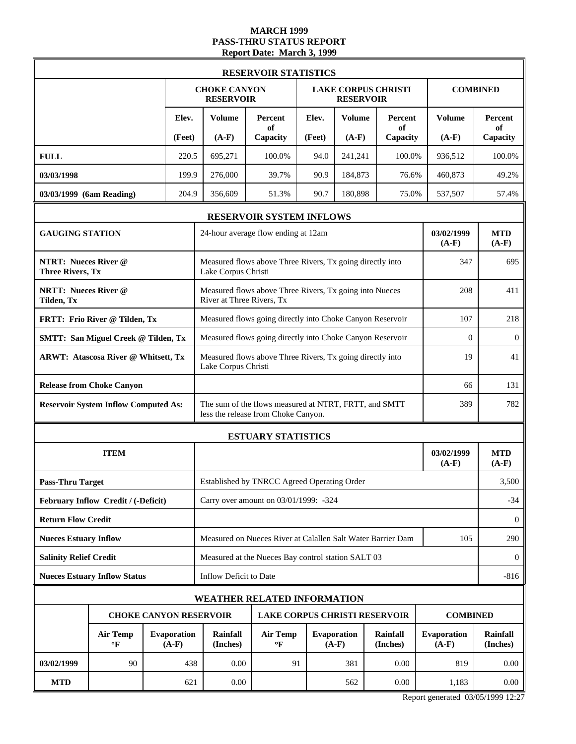# **MARCH 1999 PASS-THRU STATUS REPORT Report Date: March 3, 1999**

|                                                        |                                             |                               |                                                           | <b>RESERVOIR STATISTICS</b>                                                                  |        |                        |                             |                               |                       |
|--------------------------------------------------------|---------------------------------------------|-------------------------------|-----------------------------------------------------------|----------------------------------------------------------------------------------------------|--------|------------------------|-----------------------------|-------------------------------|-----------------------|
|                                                        |                                             |                               | <b>CHOKE CANYON</b><br><b>RESERVOIR</b>                   |                                                                                              |        | <b>RESERVOIR</b>       | <b>LAKE CORPUS CHRISTI</b>  |                               | <b>COMBINED</b>       |
|                                                        |                                             | Elev.                         | <b>Volume</b>                                             | Percent<br>of                                                                                | Elev.  | <b>Volume</b>          | Percent<br>of               | <b>Volume</b>                 | Percent<br>of         |
|                                                        |                                             | (Feet)                        | $(A-F)$                                                   | Capacity                                                                                     | (Feet) | $(A-F)$                | Capacity                    | $(A-F)$                       | Capacity              |
| <b>FULL</b>                                            |                                             | 220.5                         | 695,271                                                   | 100.0%                                                                                       | 94.0   | 241,241                | 100.0%                      | 936,512                       | 100.0%                |
| 03/03/1998                                             |                                             | 199.9                         | 276,000                                                   | 39.7%                                                                                        | 90.9   | 184,873                | 76.6%                       | 460,873                       | 49.2%                 |
| 03/03/1999 (6am Reading)                               |                                             | 204.9                         | 356,609                                                   | 51.3%                                                                                        | 90.7   | 180,898                | 75.0%                       | 537,507                       | 57.4%                 |
|                                                        |                                             |                               |                                                           | RESERVOIR SYSTEM INFLOWS                                                                     |        |                        |                             |                               |                       |
| <b>GAUGING STATION</b>                                 |                                             |                               |                                                           | 24-hour average flow ending at 12am                                                          |        |                        |                             | 03/02/1999<br>$(A-F)$         | <b>MTD</b><br>$(A-F)$ |
| <b>NTRT: Nueces River @</b><br><b>Three Rivers, Tx</b> |                                             |                               | Lake Corpus Christi                                       | Measured flows above Three Rivers, Tx going directly into                                    |        |                        |                             | 347                           | 695                   |
| <b>NRTT: Nueces River @</b><br>Tilden, Tx              |                                             |                               | River at Three Rivers, Tx                                 | Measured flows above Three Rivers, Tx going into Nueces                                      |        |                        |                             | 208                           | 411                   |
|                                                        | FRTT: Frio River @ Tilden, Tx               |                               | Measured flows going directly into Choke Canyon Reservoir | 218                                                                                          |        |                        |                             |                               |                       |
|                                                        | <b>SMTT: San Miguel Creek @ Tilden, Tx</b>  |                               | Measured flows going directly into Choke Canyon Reservoir | $\overline{0}$                                                                               |        |                        |                             |                               |                       |
|                                                        | <b>ARWT: Atascosa River @ Whitsett, Tx</b>  |                               | Lake Corpus Christi                                       | Measured flows above Three Rivers, Tx going directly into                                    |        |                        |                             | 19                            | 41                    |
|                                                        | <b>Release from Choke Canyon</b>            |                               | 66                                                        |                                                                                              |        |                        |                             |                               | 131                   |
|                                                        | <b>Reservoir System Inflow Computed As:</b> |                               |                                                           | The sum of the flows measured at NTRT, FRTT, and SMTT<br>less the release from Choke Canyon. |        |                        |                             | 389                           | 782                   |
|                                                        |                                             |                               |                                                           | <b>ESTUARY STATISTICS</b>                                                                    |        |                        |                             |                               |                       |
|                                                        | <b>ITEM</b>                                 |                               |                                                           |                                                                                              |        |                        |                             | 03/02/1999<br>$(A-F)$         | <b>MTD</b><br>$(A-F)$ |
| <b>Pass-Thru Target</b>                                |                                             |                               |                                                           | Established by TNRCC Agreed Operating Order                                                  |        |                        |                             |                               | 3,500                 |
|                                                        | February Inflow Credit / (-Deficit)         |                               |                                                           | Carry over amount on 03/01/1999: -324                                                        |        |                        |                             |                               | $-34$                 |
| <b>Return Flow Credit</b>                              |                                             |                               |                                                           |                                                                                              |        |                        |                             |                               | $\mathbf{0}$          |
| <b>Nueces Estuary Inflow</b>                           |                                             |                               |                                                           | Measured on Nueces River at Calallen Salt Water Barrier Dam                                  |        |                        |                             | 105                           | 290                   |
| <b>Salinity Relief Credit</b>                          |                                             |                               |                                                           | Measured at the Nueces Bay control station SALT 03                                           |        |                        |                             |                               | $\bf{0}$              |
|                                                        | <b>Nueces Estuary Inflow Status</b>         |                               | Inflow Deficit to Date                                    |                                                                                              |        |                        |                             |                               | $-816$                |
|                                                        |                                             |                               | WEATHER RELATED INFORMATION                               |                                                                                              |        |                        |                             |                               |                       |
|                                                        |                                             |                               | <b>CHOKE CANYON RESERVOIR</b>                             | <b>LAKE CORPUS CHRISTI RESERVOIR</b>                                                         |        |                        |                             | <b>COMBINED</b>               |                       |
|                                                        | <b>Air Temp</b><br>$\mathbf{P}$             | <b>Evaporation</b><br>$(A-F)$ | <b>Rainfall</b><br>(Inches)                               | <b>Air Temp</b><br>$\mathbf{P}$                                                              |        | Evaporation<br>$(A-F)$ | <b>Rainfall</b><br>(Inches) | <b>Evaporation</b><br>$(A-F)$ | Rainfall<br>(Inches)  |
| 03/02/1999                                             | 90                                          | 438                           | 0.00                                                      | 91                                                                                           |        | 381                    | 0.00                        | 819                           | 0.00                  |
| <b>MTD</b>                                             |                                             | 621                           | 0.00                                                      |                                                                                              |        | 562                    | 0.00                        | 1,183                         | 0.00                  |

Report generated 03/05/1999 12:27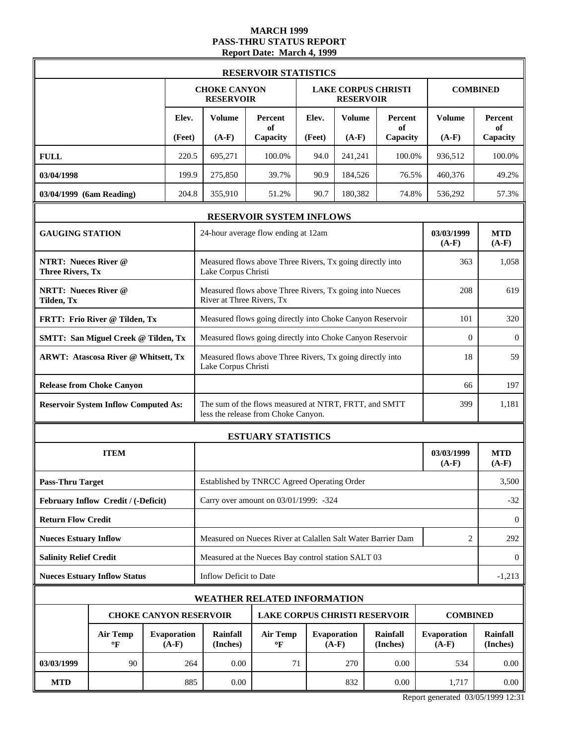### **MARCH 1999 PASS-THRU STATUS REPORT Report Date: March 4, 1999**

|                                                        |                                             |                               |                                                           | <b>RESERVOIR STATISTICS</b>                                                                  |        |                        |                             |                               |                       |  |
|--------------------------------------------------------|---------------------------------------------|-------------------------------|-----------------------------------------------------------|----------------------------------------------------------------------------------------------|--------|------------------------|-----------------------------|-------------------------------|-----------------------|--|
|                                                        |                                             |                               | <b>CHOKE CANYON</b><br><b>RESERVOIR</b>                   |                                                                                              |        | <b>RESERVOIR</b>       | <b>LAKE CORPUS CHRISTI</b>  |                               | <b>COMBINED</b>       |  |
|                                                        |                                             | Elev.                         | <b>Volume</b>                                             | Percent<br>of                                                                                | Elev.  | <b>Volume</b>          | Percent<br>of               | <b>Volume</b>                 | Percent<br>of         |  |
|                                                        |                                             | (Feet)                        | $(A-F)$                                                   | Capacity                                                                                     | (Feet) | $(A-F)$                | Capacity                    | $(A-F)$                       | Capacity              |  |
| <b>FULL</b>                                            |                                             | 220.5                         | 695.271                                                   | 100.0%                                                                                       | 94.0   | 241,241                | 100.0%                      | 936,512                       | 100.0%                |  |
| 03/04/1998                                             |                                             | 199.9                         | 275,850                                                   | 39.7%                                                                                        | 90.9   | 184,526                | 76.5%                       | 460,376                       | 49.2%                 |  |
| 03/04/1999 (6am Reading)                               |                                             | 204.8                         | 355,910                                                   | 51.2%                                                                                        | 90.7   | 180,382                | 74.8%                       | 536,292                       | 57.3%                 |  |
|                                                        |                                             |                               |                                                           | RESERVOIR SYSTEM INFLOWS                                                                     |        |                        |                             |                               |                       |  |
| <b>GAUGING STATION</b>                                 |                                             |                               |                                                           | 24-hour average flow ending at 12am                                                          |        |                        |                             | 03/03/1999<br>$(A-F)$         | <b>MTD</b><br>$(A-F)$ |  |
| <b>NTRT: Nueces River @</b><br><b>Three Rivers, Tx</b> |                                             |                               | Lake Corpus Christi                                       | Measured flows above Three Rivers, Tx going directly into                                    |        |                        |                             | 363                           | 1,058                 |  |
| <b>NRTT: Nueces River @</b><br>Tilden, Tx              |                                             |                               | River at Three Rivers, Tx                                 | Measured flows above Three Rivers, Tx going into Nueces                                      |        |                        |                             | 208                           | 619                   |  |
|                                                        | FRTT: Frio River @ Tilden, Tx               |                               | Measured flows going directly into Choke Canyon Reservoir | 101                                                                                          | 320    |                        |                             |                               |                       |  |
|                                                        | <b>SMTT: San Miguel Creek @ Tilden, Tx</b>  |                               |                                                           | Measured flows going directly into Choke Canyon Reservoir                                    |        |                        |                             |                               |                       |  |
|                                                        | <b>ARWT: Atascosa River @ Whitsett, Tx</b>  |                               | Lake Corpus Christi                                       | Measured flows above Three Rivers, Tx going directly into                                    |        |                        |                             | 18                            | 59                    |  |
|                                                        | <b>Release from Choke Canyon</b>            |                               |                                                           |                                                                                              |        |                        |                             |                               | 197                   |  |
|                                                        | <b>Reservoir System Inflow Computed As:</b> |                               |                                                           | The sum of the flows measured at NTRT, FRTT, and SMTT<br>less the release from Choke Canyon. |        |                        |                             | 399                           | 1,181                 |  |
|                                                        |                                             |                               |                                                           | <b>ESTUARY STATISTICS</b>                                                                    |        |                        |                             |                               |                       |  |
|                                                        | <b>ITEM</b>                                 |                               |                                                           |                                                                                              |        |                        |                             | 03/03/1999<br>$(A-F)$         | <b>MTD</b><br>$(A-F)$ |  |
| <b>Pass-Thru Target</b>                                |                                             |                               |                                                           | Established by TNRCC Agreed Operating Order                                                  |        |                        |                             |                               | 3,500                 |  |
|                                                        | February Inflow Credit / (-Deficit)         |                               |                                                           | Carry over amount on 03/01/1999: -324                                                        |        |                        |                             |                               | $-32$                 |  |
| <b>Return Flow Credit</b>                              |                                             |                               |                                                           |                                                                                              |        |                        |                             |                               | $\mathbf{0}$          |  |
| <b>Nueces Estuary Inflow</b>                           |                                             |                               |                                                           | Measured on Nueces River at Calallen Salt Water Barrier Dam                                  |        |                        |                             | $\overline{2}$                | 292                   |  |
| <b>Salinity Relief Credit</b>                          |                                             |                               |                                                           | Measured at the Nueces Bay control station SALT 03                                           |        |                        |                             |                               | $\theta$              |  |
|                                                        | <b>Nueces Estuary Inflow Status</b>         |                               | Inflow Deficit to Date                                    |                                                                                              |        |                        |                             |                               | $-1,213$              |  |
|                                                        |                                             |                               |                                                           | WEATHER RELATED INFORMATION                                                                  |        |                        |                             |                               |                       |  |
|                                                        |                                             |                               | <b>CHOKE CANYON RESERVOIR</b>                             | <b>LAKE CORPUS CHRISTI RESERVOIR</b>                                                         |        |                        |                             | <b>COMBINED</b>               |                       |  |
|                                                        | <b>Air Temp</b><br>$\mathbf{P}$             | <b>Evaporation</b><br>$(A-F)$ | <b>Rainfall</b><br>(Inches)                               | <b>Air Temp</b><br>$\mathbf{P}$                                                              |        | Evaporation<br>$(A-F)$ | <b>Rainfall</b><br>(Inches) | <b>Evaporation</b><br>$(A-F)$ | Rainfall<br>(Inches)  |  |
| 03/03/1999                                             | 90                                          | 264                           | 0.00                                                      | 71                                                                                           |        | 270                    | 0.00                        | 534                           | 0.00                  |  |
| <b>MTD</b>                                             |                                             | 885                           | 0.00                                                      |                                                                                              |        | 832                    | 0.00                        | 1,717                         | 0.00                  |  |

Report generated 03/05/1999 12:31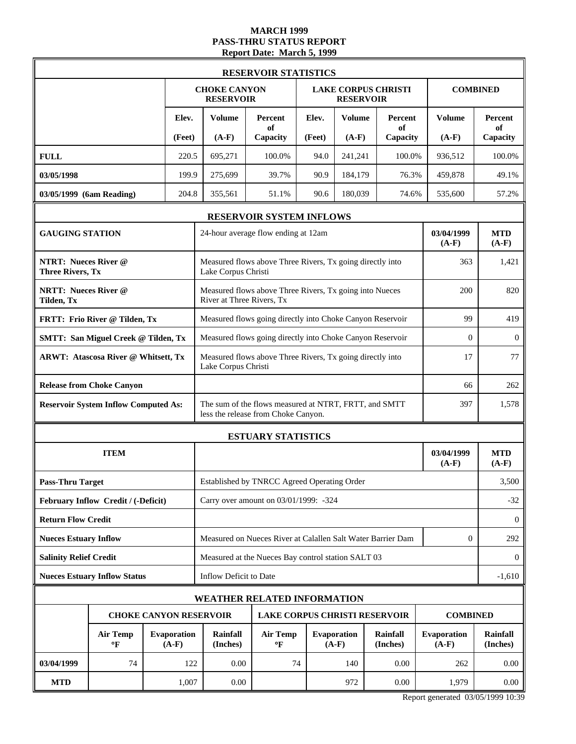# **MARCH 1999 PASS-THRU STATUS REPORT Report Date: March 5, 1999**

|                                                        |                                             |                               |                                                           | <b>RESERVOIR STATISTICS</b>                                                                  |          |                        |                             |                               |                       |
|--------------------------------------------------------|---------------------------------------------|-------------------------------|-----------------------------------------------------------|----------------------------------------------------------------------------------------------|----------|------------------------|-----------------------------|-------------------------------|-----------------------|
|                                                        |                                             |                               | <b>CHOKE CANYON</b><br><b>RESERVOIR</b>                   |                                                                                              |          | <b>RESERVOIR</b>       | <b>LAKE CORPUS CHRISTI</b>  |                               | <b>COMBINED</b>       |
|                                                        |                                             | Elev.                         | <b>Volume</b>                                             | Percent<br>of                                                                                | Elev.    | <b>Volume</b>          | Percent<br>of               | <b>Volume</b>                 | Percent<br>of         |
|                                                        |                                             | (Feet)                        | $(A-F)$                                                   | Capacity                                                                                     | (Feet)   | $(A-F)$                | Capacity                    | $(A-F)$                       | Capacity              |
| <b>FULL</b>                                            |                                             | 220.5                         | 695.271                                                   | 100.0%                                                                                       | 94.0     | 241,241                | 100.0%                      | 936,512                       | 100.0%                |
| 03/05/1998                                             |                                             | 199.9                         | 275,699                                                   | 39.7%                                                                                        | 90.9     | 184,179                | 76.3%                       | 459,878                       | 49.1%                 |
| 03/05/1999 (6am Reading)                               |                                             | 204.8                         | 355,561                                                   | 51.1%                                                                                        | 90.6     | 180,039                | 74.6%                       | 535,600                       | 57.2%                 |
|                                                        |                                             |                               |                                                           | RESERVOIR SYSTEM INFLOWS                                                                     |          |                        |                             |                               |                       |
| <b>GAUGING STATION</b>                                 |                                             |                               |                                                           | 24-hour average flow ending at 12am                                                          |          |                        |                             | 03/04/1999<br>$(A-F)$         | <b>MTD</b><br>$(A-F)$ |
| <b>NTRT: Nueces River @</b><br><b>Three Rivers, Tx</b> |                                             |                               | Lake Corpus Christi                                       | Measured flows above Three Rivers, Tx going directly into                                    |          |                        |                             | 363                           | 1,421                 |
| <b>NRTT: Nueces River @</b><br>Tilden, Tx              |                                             |                               | River at Three Rivers, Tx                                 | Measured flows above Three Rivers, Tx going into Nueces                                      |          |                        |                             | 200                           | 820                   |
|                                                        | FRTT: Frio River @ Tilden, Tx               |                               | Measured flows going directly into Choke Canyon Reservoir | 99                                                                                           | 419      |                        |                             |                               |                       |
|                                                        | <b>SMTT: San Miguel Creek @ Tilden, Tx</b>  |                               | Measured flows going directly into Choke Canyon Reservoir | $\overline{0}$                                                                               | $\theta$ |                        |                             |                               |                       |
|                                                        | <b>ARWT: Atascosa River @ Whitsett, Tx</b>  |                               |                                                           | Measured flows above Three Rivers, Tx going directly into<br>17<br>Lake Corpus Christi       |          |                        |                             |                               |                       |
|                                                        | <b>Release from Choke Canyon</b>            |                               | 66                                                        |                                                                                              |          |                        |                             |                               | 262                   |
|                                                        | <b>Reservoir System Inflow Computed As:</b> |                               |                                                           | The sum of the flows measured at NTRT, FRTT, and SMTT<br>less the release from Choke Canyon. |          |                        |                             | 397                           | 1,578                 |
|                                                        |                                             |                               | <b>ESTUARY STATISTICS</b>                                 |                                                                                              |          |                        |                             |                               |                       |
|                                                        | <b>ITEM</b>                                 |                               |                                                           |                                                                                              |          |                        |                             | 03/04/1999<br>$(A-F)$         | <b>MTD</b><br>$(A-F)$ |
| <b>Pass-Thru Target</b>                                |                                             |                               |                                                           | Established by TNRCC Agreed Operating Order                                                  |          |                        |                             |                               | 3,500                 |
|                                                        | February Inflow Credit / (-Deficit)         |                               |                                                           | Carry over amount on 03/01/1999: -324                                                        |          |                        |                             |                               | $-32$                 |
| <b>Return Flow Credit</b>                              |                                             |                               |                                                           |                                                                                              |          |                        |                             |                               | $\mathbf{0}$          |
| <b>Nueces Estuary Inflow</b>                           |                                             |                               |                                                           | Measured on Nueces River at Calallen Salt Water Barrier Dam                                  |          |                        |                             | $\overline{0}$                | 292                   |
| <b>Salinity Relief Credit</b>                          |                                             |                               |                                                           | Measured at the Nueces Bay control station SALT 03                                           |          |                        |                             |                               | $\theta$              |
|                                                        | <b>Nueces Estuary Inflow Status</b>         |                               | Inflow Deficit to Date                                    |                                                                                              |          |                        |                             |                               | $-1,610$              |
|                                                        |                                             |                               |                                                           | WEATHER RELATED INFORMATION                                                                  |          |                        |                             |                               |                       |
|                                                        |                                             |                               | <b>CHOKE CANYON RESERVOIR</b>                             | <b>LAKE CORPUS CHRISTI RESERVOIR</b>                                                         |          |                        |                             | <b>COMBINED</b>               |                       |
|                                                        | <b>Air Temp</b><br>$\mathbf{P}$             | <b>Evaporation</b><br>$(A-F)$ | <b>Rainfall</b><br>(Inches)                               | <b>Air Temp</b><br>$\mathbf{P}$                                                              |          | Evaporation<br>$(A-F)$ | <b>Rainfall</b><br>(Inches) | <b>Evaporation</b><br>$(A-F)$ | Rainfall<br>(Inches)  |
| 03/04/1999                                             | 74                                          | 122                           | 0.00                                                      | 74                                                                                           |          | 140                    | 0.00                        | 262                           | 0.00                  |
| <b>MTD</b>                                             |                                             | 1,007                         | 0.00                                                      |                                                                                              |          | 972                    | 0.00                        | 1,979                         | $0.00\,$              |

Report generated 03/05/1999 10:39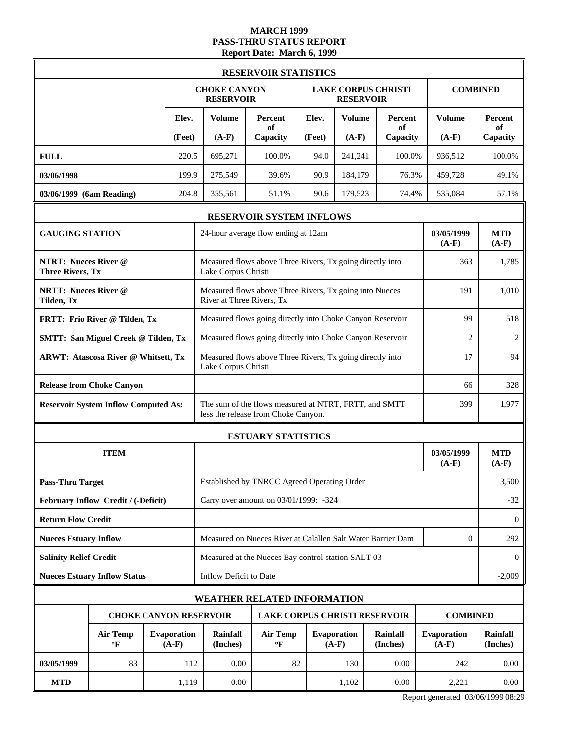# **MARCH 1999 PASS-THRU STATUS REPORT Report Date: March 6, 1999**

|                                                        |                                             |                               |                                                                                        | <b>RESERVOIR STATISTICS</b>                                                                  |        |                        |                             |                               |                       |
|--------------------------------------------------------|---------------------------------------------|-------------------------------|----------------------------------------------------------------------------------------|----------------------------------------------------------------------------------------------|--------|------------------------|-----------------------------|-------------------------------|-----------------------|
|                                                        |                                             |                               | <b>CHOKE CANYON</b><br><b>RESERVOIR</b>                                                |                                                                                              |        | <b>RESERVOIR</b>       | <b>LAKE CORPUS CHRISTI</b>  |                               | <b>COMBINED</b>       |
|                                                        |                                             | Elev.                         | <b>Volume</b>                                                                          | Percent<br>of                                                                                | Elev.  | <b>Volume</b>          | Percent<br>of               | <b>Volume</b>                 | Percent<br>of         |
|                                                        |                                             | (Feet)                        | $(A-F)$                                                                                | Capacity                                                                                     | (Feet) | $(A-F)$                | Capacity                    | $(A-F)$                       | Capacity              |
| <b>FULL</b>                                            |                                             | 220.5                         | 695,271                                                                                | 100.0%                                                                                       | 94.0   | 241,241                | 100.0%                      | 936,512                       | 100.0%                |
| 03/06/1998                                             |                                             | 199.9                         | 275,549                                                                                | 39.6%                                                                                        | 90.9   | 184,179                | 76.3%                       | 459,728                       | 49.1%                 |
| 03/06/1999 (6am Reading)                               |                                             | 204.8                         | 355,561                                                                                | 51.1%                                                                                        | 90.6   | 179,523                | 74.4%                       | 535,084                       | 57.1%                 |
|                                                        |                                             |                               |                                                                                        | RESERVOIR SYSTEM INFLOWS                                                                     |        |                        |                             |                               |                       |
| <b>GAUGING STATION</b>                                 |                                             |                               |                                                                                        | 24-hour average flow ending at 12am                                                          |        |                        |                             | 03/05/1999<br>$(A-F)$         | <b>MTD</b><br>$(A-F)$ |
| <b>NTRT: Nueces River @</b><br><b>Three Rivers, Tx</b> |                                             |                               | Lake Corpus Christi                                                                    | Measured flows above Three Rivers, Tx going directly into                                    |        |                        |                             | 363                           | 1,785                 |
| <b>NRTT: Nueces River @</b><br>Tilden, Tx              |                                             |                               | River at Three Rivers, Tx                                                              | Measured flows above Three Rivers, Tx going into Nueces                                      |        |                        |                             | 191                           | 1,010                 |
|                                                        | FRTT: Frio River @ Tilden, Tx               |                               | Measured flows going directly into Choke Canyon Reservoir                              | 518                                                                                          |        |                        |                             |                               |                       |
|                                                        | <b>SMTT: San Miguel Creek @ Tilden, Tx</b>  |                               | Measured flows going directly into Choke Canyon Reservoir                              | $\overline{2}$                                                                               | 2      |                        |                             |                               |                       |
|                                                        | <b>ARWT: Atascosa River @ Whitsett, Tx</b>  |                               | Measured flows above Three Rivers, Tx going directly into<br>17<br>Lake Corpus Christi |                                                                                              |        |                        |                             |                               | 94                    |
|                                                        | <b>Release from Choke Canyon</b>            |                               | 66                                                                                     |                                                                                              |        |                        |                             |                               | 328                   |
|                                                        | <b>Reservoir System Inflow Computed As:</b> |                               |                                                                                        | The sum of the flows measured at NTRT, FRTT, and SMTT<br>less the release from Choke Canyon. |        |                        |                             | 399                           | 1,977                 |
|                                                        |                                             |                               |                                                                                        | <b>ESTUARY STATISTICS</b>                                                                    |        |                        |                             |                               |                       |
|                                                        | <b>ITEM</b>                                 |                               |                                                                                        |                                                                                              |        |                        |                             |                               | <b>MTD</b><br>$(A-F)$ |
| <b>Pass-Thru Target</b>                                |                                             |                               |                                                                                        | Established by TNRCC Agreed Operating Order                                                  |        |                        |                             |                               | 3,500                 |
|                                                        | February Inflow Credit / (-Deficit)         |                               |                                                                                        | Carry over amount on 03/01/1999: -324                                                        |        |                        |                             |                               | $-32$                 |
| <b>Return Flow Credit</b>                              |                                             |                               |                                                                                        |                                                                                              |        |                        |                             |                               | $\mathbf{0}$          |
| <b>Nueces Estuary Inflow</b>                           |                                             |                               |                                                                                        | Measured on Nueces River at Calallen Salt Water Barrier Dam                                  |        |                        |                             | $\overline{0}$                | 292                   |
| <b>Salinity Relief Credit</b>                          |                                             |                               |                                                                                        | Measured at the Nueces Bay control station SALT 03                                           |        |                        |                             |                               | $\theta$              |
|                                                        | <b>Nueces Estuary Inflow Status</b>         |                               | Inflow Deficit to Date                                                                 |                                                                                              |        |                        |                             |                               | $-2,009$              |
|                                                        |                                             |                               |                                                                                        | WEATHER RELATED INFORMATION                                                                  |        |                        |                             |                               |                       |
|                                                        |                                             |                               | <b>CHOKE CANYON RESERVOIR</b>                                                          | <b>LAKE CORPUS CHRISTI RESERVOIR</b>                                                         |        |                        |                             | <b>COMBINED</b>               |                       |
|                                                        | <b>Air Temp</b><br>$\mathbf{P}$             | <b>Evaporation</b><br>$(A-F)$ | <b>Rainfall</b><br>(Inches)                                                            | <b>Air Temp</b><br>$\mathbf{P}$                                                              |        | Evaporation<br>$(A-F)$ | <b>Rainfall</b><br>(Inches) | <b>Evaporation</b><br>$(A-F)$ | Rainfall<br>(Inches)  |
| 03/05/1999                                             | 83                                          | 112                           | 0.00                                                                                   | 82                                                                                           |        | 130                    | 0.00                        | 242                           | 0.00                  |
| <b>MTD</b>                                             |                                             | 1,119                         | 0.00                                                                                   |                                                                                              |        | 1,102                  | 0.00                        | 2,221                         | 0.00                  |

Report generated 03/06/1999 08:29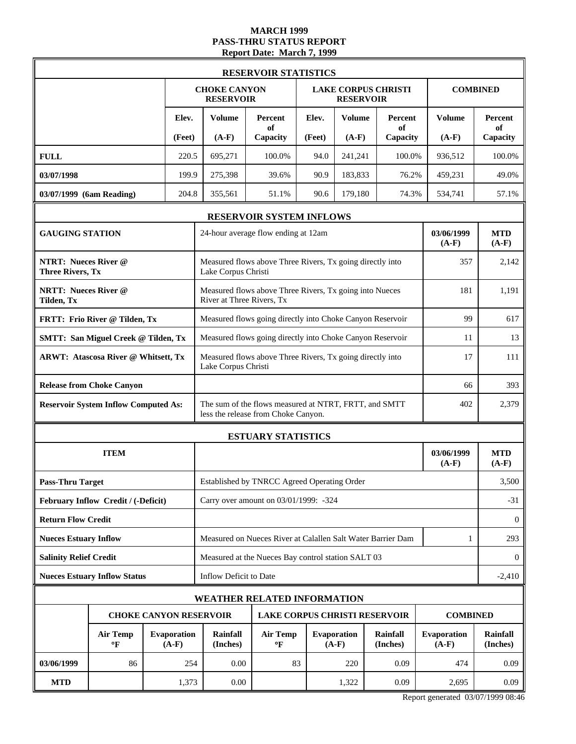# **MARCH 1999 PASS-THRU STATUS REPORT Report Date: March 7, 1999**

|                                                        |                                             |                               |                             |                                         | <b>RESERVOIR STATISTICS</b>                                                                  |                        |                             |                               |                       |                       |  |
|--------------------------------------------------------|---------------------------------------------|-------------------------------|-----------------------------|-----------------------------------------|----------------------------------------------------------------------------------------------|------------------------|-----------------------------|-------------------------------|-----------------------|-----------------------|--|
|                                                        |                                             |                               |                             | <b>CHOKE CANYON</b><br><b>RESERVOIR</b> |                                                                                              |                        | <b>RESERVOIR</b>            | <b>LAKE CORPUS CHRISTI</b>    |                       | <b>COMBINED</b>       |  |
|                                                        |                                             |                               | Elev.                       | <b>Volume</b>                           | Percent<br>of                                                                                | Elev.                  | <b>Volume</b>               | Percent<br>of                 | <b>Volume</b>         | Percent<br>of         |  |
|                                                        |                                             |                               | (Feet)                      | $(A-F)$                                 | Capacity                                                                                     | (Feet)                 | $(A-F)$                     | Capacity                      | $(A-F)$               | Capacity              |  |
| <b>FULL</b>                                            |                                             |                               | 220.5                       | 695,271                                 | 100.0%                                                                                       | 94.0                   | 241,241                     | 100.0%                        | 936,512               | 100.0%                |  |
| 03/07/1998                                             |                                             |                               | 199.9                       | 275,398                                 | 39.6%                                                                                        | 90.9                   | 183,833                     | 76.2%                         | 459,231               | 49.0%                 |  |
| 03/07/1999 (6am Reading)                               |                                             |                               | 204.8                       | 355,561                                 | 51.1%                                                                                        | 90.6                   | 179,180                     | 74.3%                         | 534,741               | 57.1%                 |  |
|                                                        |                                             |                               |                             |                                         | RESERVOIR SYSTEM INFLOWS                                                                     |                        |                             |                               |                       |                       |  |
| <b>GAUGING STATION</b>                                 |                                             |                               |                             |                                         | 24-hour average flow ending at 12am                                                          |                        |                             |                               | 03/06/1999<br>$(A-F)$ | <b>MTD</b><br>$(A-F)$ |  |
| <b>NTRT: Nueces River @</b><br><b>Three Rivers, Tx</b> |                                             |                               |                             | Lake Corpus Christi                     | Measured flows above Three Rivers, Tx going directly into                                    |                        |                             |                               | 357                   | 2,142                 |  |
| <b>NRTT: Nueces River @</b><br>Tilden, Tx              |                                             |                               |                             | River at Three Rivers, Tx               | Measured flows above Three Rivers, Tx going into Nueces                                      |                        |                             |                               | 181                   | 1,191                 |  |
|                                                        | FRTT: Frio River @ Tilden, Tx               |                               |                             |                                         | Measured flows going directly into Choke Canyon Reservoir                                    |                        |                             |                               | 99                    | 617                   |  |
|                                                        | <b>SMTT: San Miguel Creek @ Tilden, Tx</b>  |                               |                             |                                         | Measured flows going directly into Choke Canyon Reservoir                                    |                        |                             |                               |                       |                       |  |
|                                                        | <b>ARWT: Atascosa River @ Whitsett, Tx</b>  |                               |                             | Lake Corpus Christi                     | Measured flows above Three Rivers, Tx going directly into                                    |                        |                             |                               | 17                    | 111                   |  |
|                                                        | <b>Release from Choke Canyon</b>            |                               |                             |                                         |                                                                                              |                        |                             |                               |                       | 393                   |  |
|                                                        | <b>Reservoir System Inflow Computed As:</b> |                               |                             |                                         | The sum of the flows measured at NTRT, FRTT, and SMTT<br>less the release from Choke Canyon. |                        |                             |                               | 402                   | 2,379                 |  |
|                                                        |                                             |                               |                             |                                         | <b>ESTUARY STATISTICS</b>                                                                    |                        |                             |                               |                       |                       |  |
|                                                        | <b>ITEM</b>                                 |                               |                             |                                         |                                                                                              |                        |                             |                               | 03/06/1999<br>$(A-F)$ | <b>MTD</b><br>$(A-F)$ |  |
| <b>Pass-Thru Target</b>                                |                                             |                               |                             |                                         | Established by TNRCC Agreed Operating Order                                                  |                        |                             |                               |                       | 3,500                 |  |
|                                                        | February Inflow Credit / (-Deficit)         |                               |                             |                                         | Carry over amount on 03/01/1999: -324                                                        |                        |                             |                               |                       | $-31$                 |  |
| <b>Return Flow Credit</b>                              |                                             |                               |                             |                                         |                                                                                              |                        |                             |                               |                       | $\mathbf{0}$          |  |
| <b>Nueces Estuary Inflow</b>                           |                                             |                               |                             |                                         | Measured on Nueces River at Calallen Salt Water Barrier Dam                                  |                        |                             |                               | 1                     | 293                   |  |
| <b>Salinity Relief Credit</b>                          |                                             |                               |                             |                                         | Measured at the Nueces Bay control station SALT 03                                           |                        |                             |                               |                       | $\theta$              |  |
|                                                        | <b>Nueces Estuary Inflow Status</b>         |                               |                             | Inflow Deficit to Date                  |                                                                                              |                        |                             |                               |                       | $-2,410$              |  |
|                                                        |                                             |                               |                             | WEATHER RELATED INFORMATION             |                                                                                              |                        |                             |                               |                       |                       |  |
|                                                        |                                             |                               |                             | <b>CHOKE CANYON RESERVOIR</b>           | <b>LAKE CORPUS CHRISTI RESERVOIR</b>                                                         |                        |                             |                               | <b>COMBINED</b>       |                       |  |
|                                                        | <b>Air Temp</b><br>$\mathbf{P}$             | <b>Evaporation</b><br>$(A-F)$ | <b>Rainfall</b><br>(Inches) | <b>Air Temp</b><br>$\mathbf{P}$         |                                                                                              | Evaporation<br>$(A-F)$ | <b>Rainfall</b><br>(Inches) | <b>Evaporation</b><br>$(A-F)$ | Rainfall<br>(Inches)  |                       |  |
| 03/06/1999                                             | 86                                          |                               | 254                         | 0.00                                    | 83                                                                                           |                        | 220                         | 0.09                          | 474                   | 0.09                  |  |
| <b>MTD</b>                                             |                                             |                               | 1,373                       | 0.00                                    |                                                                                              |                        | 1,322                       | 0.09                          | 2,695                 | 0.09                  |  |

Report generated 03/07/1999 08:46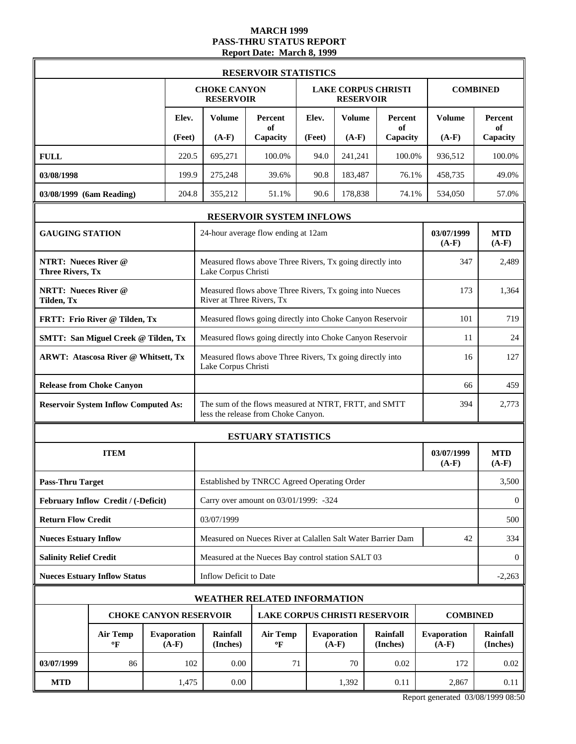# **MARCH 1999 PASS-THRU STATUS REPORT Report Date: March 8, 1999**

|                                                        |                                                                  |  |        |                                         | <b>RESERVOIR STATISTICS</b>                                                                  |        |                        |                             |                               |                       |  |
|--------------------------------------------------------|------------------------------------------------------------------|--|--------|-----------------------------------------|----------------------------------------------------------------------------------------------|--------|------------------------|-----------------------------|-------------------------------|-----------------------|--|
|                                                        |                                                                  |  |        | <b>CHOKE CANYON</b><br><b>RESERVOIR</b> |                                                                                              |        | <b>RESERVOIR</b>       | <b>LAKE CORPUS CHRISTI</b>  |                               | <b>COMBINED</b>       |  |
|                                                        |                                                                  |  | Elev.  | <b>Volume</b>                           | Percent<br>of                                                                                | Elev.  | <b>Volume</b>          | Percent<br>of               | <b>Volume</b>                 | Percent<br>of         |  |
|                                                        |                                                                  |  | (Feet) | $(A-F)$                                 | Capacity                                                                                     | (Feet) | $(A-F)$                | Capacity                    | $(A-F)$                       | Capacity              |  |
| <b>FULL</b>                                            |                                                                  |  | 220.5  | 695.271                                 | 100.0%                                                                                       | 94.0   | 241,241                | 100.0%                      | 936,512                       | 100.0%                |  |
| 03/08/1998                                             |                                                                  |  | 199.9  | 275,248                                 | 39.6%                                                                                        | 90.8   | 183,487                | 76.1%                       | 458,735                       | 49.0%                 |  |
| 03/08/1999 (6am Reading)                               |                                                                  |  | 204.8  | 355,212                                 | 51.1%                                                                                        | 90.6   | 178,838                | 74.1%                       | 534,050                       | 57.0%                 |  |
|                                                        |                                                                  |  |        |                                         | RESERVOIR SYSTEM INFLOWS                                                                     |        |                        |                             |                               |                       |  |
| <b>GAUGING STATION</b>                                 |                                                                  |  |        |                                         | 24-hour average flow ending at 12am                                                          |        |                        |                             | 03/07/1999<br>$(A-F)$         | <b>MTD</b><br>$(A-F)$ |  |
| <b>NTRT: Nueces River @</b><br><b>Three Rivers, Tx</b> |                                                                  |  |        | Lake Corpus Christi                     | Measured flows above Three Rivers, Tx going directly into                                    |        |                        |                             | 347                           | 2,489                 |  |
| <b>NRTT: Nueces River @</b><br>Tilden, Tx              |                                                                  |  |        | River at Three Rivers, Tx               | Measured flows above Three Rivers, Tx going into Nueces                                      |        |                        |                             | 173                           | 1,364                 |  |
|                                                        | FRTT: Frio River @ Tilden, Tx                                    |  |        |                                         | Measured flows going directly into Choke Canyon Reservoir                                    |        |                        |                             | 101                           | 719                   |  |
|                                                        | <b>SMTT: San Miguel Creek @ Tilden, Tx</b>                       |  |        |                                         | Measured flows going directly into Choke Canyon Reservoir                                    |        |                        |                             | 11                            | 24                    |  |
|                                                        | <b>ARWT: Atascosa River @ Whitsett, Tx</b>                       |  |        |                                         | Measured flows above Three Rivers, Tx going directly into<br>Lake Corpus Christi             |        |                        |                             |                               |                       |  |
|                                                        | <b>Release from Choke Canyon</b>                                 |  |        |                                         |                                                                                              |        |                        |                             |                               | 459                   |  |
|                                                        | <b>Reservoir System Inflow Computed As:</b>                      |  |        |                                         | The sum of the flows measured at NTRT, FRTT, and SMTT<br>less the release from Choke Canyon. |        |                        |                             | 394                           | 2,773                 |  |
|                                                        |                                                                  |  |        |                                         | <b>ESTUARY STATISTICS</b>                                                                    |        |                        |                             |                               |                       |  |
|                                                        | <b>ITEM</b>                                                      |  |        |                                         |                                                                                              |        |                        |                             | 03/07/1999<br>$(A-F)$         | <b>MTD</b><br>$(A-F)$ |  |
| <b>Pass-Thru Target</b>                                |                                                                  |  |        |                                         | Established by TNRCC Agreed Operating Order                                                  |        |                        |                             |                               | 3,500                 |  |
|                                                        | February Inflow Credit / (-Deficit)                              |  |        |                                         | Carry over amount on 03/01/1999: -324                                                        |        |                        |                             |                               | $\theta$              |  |
| <b>Return Flow Credit</b>                              |                                                                  |  |        | 03/07/1999                              |                                                                                              |        |                        |                             |                               | 500                   |  |
| <b>Nueces Estuary Inflow</b>                           |                                                                  |  |        |                                         | Measured on Nueces River at Calallen Salt Water Barrier Dam                                  |        |                        |                             | 42                            | 334                   |  |
| <b>Salinity Relief Credit</b>                          |                                                                  |  |        |                                         | Measured at the Nueces Bay control station SALT 03                                           |        |                        |                             |                               | $\theta$              |  |
|                                                        | <b>Nueces Estuary Inflow Status</b>                              |  |        | Inflow Deficit to Date                  |                                                                                              |        |                        |                             |                               | $-2,263$              |  |
|                                                        |                                                                  |  |        | WEATHER RELATED INFORMATION             |                                                                                              |        |                        |                             |                               |                       |  |
|                                                        |                                                                  |  |        | <b>CHOKE CANYON RESERVOIR</b>           | <b>LAKE CORPUS CHRISTI RESERVOIR</b>                                                         |        |                        |                             | <b>COMBINED</b>               |                       |  |
|                                                        | <b>Air Temp</b><br><b>Evaporation</b><br>$(A-F)$<br>$\mathbf{P}$ |  |        |                                         | <b>Air Temp</b><br>$\mathbf{P}$                                                              |        | Evaporation<br>$(A-F)$ | <b>Rainfall</b><br>(Inches) | <b>Evaporation</b><br>$(A-F)$ | Rainfall<br>(Inches)  |  |
| 03/07/1999                                             | 86                                                               |  | 102    | 0.00                                    | 71                                                                                           |        | 70                     | 0.02                        | 172                           | 0.02                  |  |
| <b>MTD</b>                                             |                                                                  |  | 1,475  | 0.00                                    |                                                                                              |        | 1,392                  | 0.11                        | 2,867                         | 0.11                  |  |

Report generated 03/08/1999 08:50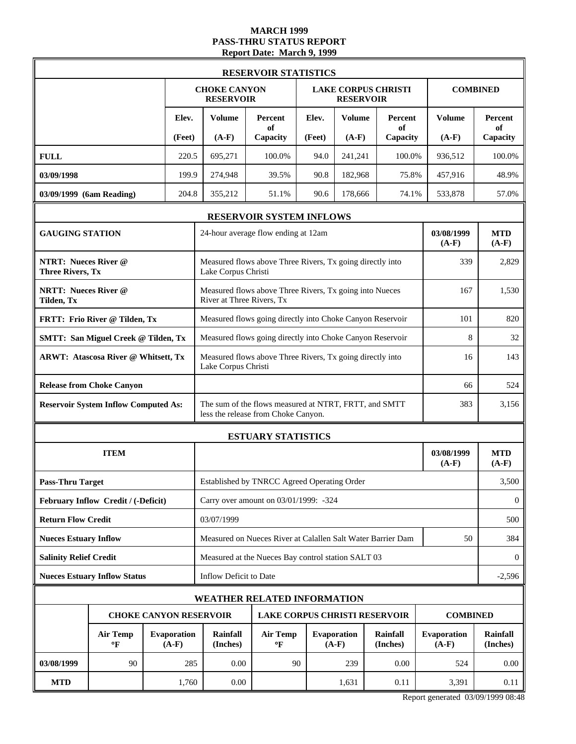# **MARCH 1999 PASS-THRU STATUS REPORT Report Date: March 9, 1999**

|                                                        |                                             |                               |                                                           | <b>RESERVOIR STATISTICS</b>                                                                  |              |                               |                            |                               |                       |  |  |
|--------------------------------------------------------|---------------------------------------------|-------------------------------|-----------------------------------------------------------|----------------------------------------------------------------------------------------------|--------------|-------------------------------|----------------------------|-------------------------------|-----------------------|--|--|
|                                                        |                                             |                               | <b>CHOKE CANYON</b><br><b>RESERVOIR</b>                   |                                                                                              |              | <b>RESERVOIR</b>              | <b>LAKE CORPUS CHRISTI</b> |                               | <b>COMBINED</b>       |  |  |
|                                                        |                                             | Elev.                         | <b>Volume</b>                                             | Percent<br>of                                                                                | Elev.        | <b>Volume</b>                 | Percent<br>of              | <b>Volume</b>                 | Percent<br>of         |  |  |
|                                                        |                                             | (Feet)                        | $(A-F)$                                                   | Capacity                                                                                     | (Feet)       | $(A-F)$                       | Capacity                   | $(A-F)$                       | Capacity              |  |  |
| <b>FULL</b><br>03/09/1998                              |                                             | 220.5<br>199.9                | 695,271<br>274,948                                        | 100.0%<br>39.5%                                                                              | 94.0<br>90.8 | 241,241<br>182,968            | 100.0%<br>75.8%            | 936,512<br>457,916            | 100.0%<br>48.9%       |  |  |
| 03/09/1999 (6am Reading)                               |                                             | 204.8                         | 355,212                                                   | 51.1%                                                                                        | 90.6         | 178,666                       | 74.1%                      | 533,878                       | 57.0%                 |  |  |
|                                                        |                                             |                               |                                                           |                                                                                              |              |                               |                            |                               |                       |  |  |
| <b>GAUGING STATION</b>                                 |                                             |                               |                                                           | RESERVOIR SYSTEM INFLOWS<br>24-hour average flow ending at 12am                              |              |                               |                            | 03/08/1999<br>$(A-F)$         | <b>MTD</b><br>$(A-F)$ |  |  |
| <b>NTRT: Nueces River @</b><br><b>Three Rivers, Tx</b> |                                             |                               | Lake Corpus Christi                                       | Measured flows above Three Rivers, Tx going directly into                                    |              |                               |                            | 339                           | 2,829                 |  |  |
| <b>NRTT: Nueces River @</b><br>Tilden, Tx              |                                             |                               | River at Three Rivers, Tx                                 | Measured flows above Three Rivers, Tx going into Nueces                                      |              |                               |                            | 167                           | 1,530                 |  |  |
|                                                        | FRTT: Frio River @ Tilden, Tx               |                               |                                                           | Measured flows going directly into Choke Canyon Reservoir<br>101                             |              |                               |                            |                               |                       |  |  |
|                                                        | <b>SMTT: San Miguel Creek @ Tilden, Tx</b>  |                               | Measured flows going directly into Choke Canyon Reservoir | 8                                                                                            | 32           |                               |                            |                               |                       |  |  |
|                                                        | <b>ARWT: Atascosa River @ Whitsett, Tx</b>  |                               | Lake Corpus Christi                                       | Measured flows above Three Rivers, Tx going directly into                                    |              |                               |                            | 16                            | 143                   |  |  |
|                                                        | <b>Release from Choke Canyon</b>            |                               |                                                           |                                                                                              |              |                               |                            |                               | 524                   |  |  |
|                                                        | <b>Reservoir System Inflow Computed As:</b> |                               |                                                           | The sum of the flows measured at NTRT, FRTT, and SMTT<br>less the release from Choke Canyon. |              |                               |                            | 383                           | 3,156                 |  |  |
|                                                        |                                             |                               |                                                           | <b>ESTUARY STATISTICS</b>                                                                    |              |                               |                            |                               |                       |  |  |
|                                                        | <b>ITEM</b>                                 |                               |                                                           |                                                                                              |              |                               |                            | 03/08/1999<br>$(A-F)$         | <b>MTD</b><br>$(A-F)$ |  |  |
| <b>Pass-Thru Target</b>                                |                                             |                               |                                                           | Established by TNRCC Agreed Operating Order                                                  |              |                               |                            |                               | 3,500                 |  |  |
|                                                        | February Inflow Credit / (-Deficit)         |                               |                                                           | Carry over amount on 03/01/1999: -324                                                        |              |                               |                            |                               | $\theta$              |  |  |
| <b>Return Flow Credit</b>                              |                                             |                               | 03/07/1999                                                |                                                                                              |              |                               |                            |                               | 500                   |  |  |
| <b>Nueces Estuary Inflow</b>                           |                                             |                               |                                                           | Measured on Nueces River at Calallen Salt Water Barrier Dam                                  |              |                               |                            | 50                            | 384                   |  |  |
| <b>Salinity Relief Credit</b>                          |                                             |                               |                                                           | Measured at the Nueces Bay control station SALT 03                                           |              |                               |                            |                               | $\theta$              |  |  |
|                                                        | <b>Nueces Estuary Inflow Status</b>         |                               | Inflow Deficit to Date                                    |                                                                                              |              |                               |                            |                               | $-2,596$              |  |  |
|                                                        |                                             |                               |                                                           | <b>WEATHER RELATED INFORMATION</b>                                                           |              |                               |                            |                               |                       |  |  |
|                                                        |                                             |                               | <b>CHOKE CANYON RESERVOIR</b>                             | <b>LAKE CORPUS CHRISTI RESERVOIR</b>                                                         |              |                               |                            | <b>COMBINED</b>               |                       |  |  |
|                                                        | <b>Air Temp</b><br>$\mathbf{P}$             | <b>Evaporation</b><br>$(A-F)$ | Rainfall<br>(Inches)                                      | <b>Air Temp</b><br>$\mathbf{P}$                                                              |              | <b>Evaporation</b><br>$(A-F)$ | Rainfall<br>(Inches)       | <b>Evaporation</b><br>$(A-F)$ | Rainfall<br>(Inches)  |  |  |
| 03/08/1999                                             | 90                                          | 285                           | 0.00                                                      | 90                                                                                           |              | 239                           | 0.00                       | 524                           | 0.00                  |  |  |
| <b>MTD</b>                                             |                                             | 1,760                         | 0.00                                                      |                                                                                              |              | 1,631                         | 0.11                       | 3,391                         | 0.11                  |  |  |

Report generated 03/09/1999 08:48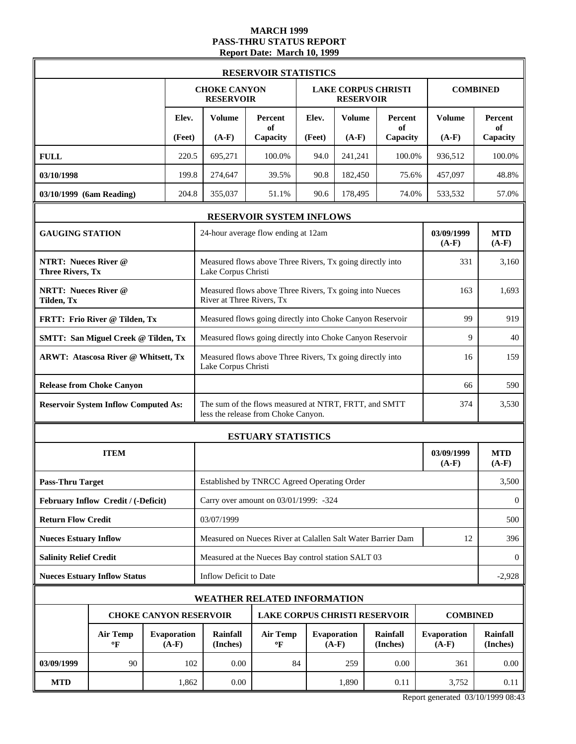# **MARCH 1999 PASS-THRU STATUS REPORT Report Date: March 10, 1999**

|                                                        |                                             |                               |                                                                                              | <b>RESERVOIR STATISTICS</b>                                 |        |                                                |                      |                        |                             |
|--------------------------------------------------------|---------------------------------------------|-------------------------------|----------------------------------------------------------------------------------------------|-------------------------------------------------------------|--------|------------------------------------------------|----------------------|------------------------|-----------------------------|
|                                                        |                                             |                               | <b>CHOKE CANYON</b><br><b>RESERVOIR</b>                                                      |                                                             |        | <b>LAKE CORPUS CHRISTI</b><br><b>RESERVOIR</b> |                      |                        | <b>COMBINED</b>             |
|                                                        |                                             | Elev.                         | Volume                                                                                       | Percent<br>of                                               | Elev.  | <b>Volume</b>                                  | <b>Percent</b><br>of | Volume                 | <b>Percent</b><br>of        |
|                                                        |                                             | (Feet)                        | $(A-F)$                                                                                      | Capacity                                                    | (Feet) | $(A-F)$                                        | Capacity             | $(A-F)$                | Capacity                    |
| <b>FULL</b>                                            |                                             | 220.5                         | 695,271                                                                                      | 100.0%                                                      | 94.0   | 241,241                                        | 100.0%               | 936,512                | 100.0%                      |
| 03/10/1998                                             |                                             | 199.8                         | 274,647                                                                                      | 39.5%                                                       | 90.8   | 182,450                                        | 75.6%                | 457,097                | 48.8%                       |
| 03/10/1999 (6am Reading)                               |                                             | 204.8                         | 355,037                                                                                      | 51.1%                                                       | 90.6   | 178,495                                        | 74.0%                | 533,532                | 57.0%                       |
|                                                        |                                             |                               |                                                                                              | RESERVOIR SYSTEM INFLOWS                                    |        |                                                |                      |                        |                             |
| <b>GAUGING STATION</b>                                 |                                             |                               |                                                                                              | 24-hour average flow ending at 12am                         |        |                                                |                      | 03/09/1999<br>$(A-F)$  | <b>MTD</b><br>$(A-F)$       |
| <b>NTRT: Nueces River @</b><br><b>Three Rivers, Tx</b> |                                             |                               | Measured flows above Three Rivers, Tx going directly into<br>Lake Corpus Christi             | 331                                                         | 3,160  |                                                |                      |                        |                             |
| <b>NRTT: Nueces River @</b><br>Tilden, Tx              |                                             |                               | Measured flows above Three Rivers, Tx going into Nueces<br>River at Three Rivers, Tx         | 163                                                         | 1,693  |                                                |                      |                        |                             |
|                                                        | FRTT: Frio River @ Tilden, Tx               |                               |                                                                                              | Measured flows going directly into Choke Canyon Reservoir   |        |                                                |                      | 99                     | 919                         |
|                                                        | <b>SMTT: San Miguel Creek @ Tilden, Tx</b>  |                               | Measured flows going directly into Choke Canyon Reservoir                                    | 9                                                           | 40     |                                                |                      |                        |                             |
|                                                        | <b>ARWT: Atascosa River @ Whitsett, Tx</b>  |                               | Lake Corpus Christi                                                                          | Measured flows above Three Rivers, Tx going directly into   |        |                                                |                      | 16                     | 159                         |
|                                                        | <b>Release from Choke Canyon</b>            |                               | 66                                                                                           |                                                             |        |                                                |                      |                        | 590                         |
|                                                        | <b>Reservoir System Inflow Computed As:</b> |                               | The sum of the flows measured at NTRT, FRTT, and SMTT<br>less the release from Choke Canyon. |                                                             |        |                                                |                      |                        | 3,530                       |
|                                                        |                                             |                               |                                                                                              | <b>ESTUARY STATISTICS</b>                                   |        |                                                |                      |                        |                             |
|                                                        | <b>ITEM</b>                                 |                               |                                                                                              |                                                             |        |                                                |                      | 03/09/1999<br>$(A-F)$  | <b>MTD</b><br>$(A-F)$       |
| <b>Pass-Thru Target</b>                                |                                             |                               |                                                                                              | Established by TNRCC Agreed Operating Order                 |        |                                                |                      |                        | 3,500                       |
|                                                        | February Inflow Credit / (-Deficit)         |                               |                                                                                              | Carry over amount on 03/01/1999: -324                       |        |                                                |                      |                        | $\mathbf{0}$                |
| <b>Return Flow Credit</b>                              |                                             |                               | 03/07/1999                                                                                   |                                                             |        |                                                |                      |                        | 500                         |
| <b>Nueces Estuary Inflow</b>                           |                                             |                               |                                                                                              | Measured on Nueces River at Calallen Salt Water Barrier Dam |        |                                                |                      | 12                     | 396                         |
| <b>Salinity Relief Credit</b>                          |                                             |                               |                                                                                              | Measured at the Nueces Bay control station SALT 03          |        |                                                |                      |                        | $\overline{0}$              |
|                                                        | <b>Nueces Estuary Inflow Status</b>         |                               | Inflow Deficit to Date                                                                       |                                                             |        |                                                |                      |                        | $-2,928$                    |
|                                                        |                                             |                               | WEATHER RELATED INFORMATION                                                                  |                                                             |        |                                                |                      |                        |                             |
|                                                        |                                             |                               | <b>CHOKE CANYON RESERVOIR</b>                                                                | <b>LAKE CORPUS CHRISTI RESERVOIR</b>                        |        |                                                |                      | <b>COMBINED</b>        |                             |
|                                                        | <b>Air Temp</b><br>$\mathbf{P}$             | <b>Evaporation</b><br>$(A-F)$ | Rainfall<br>(Inches)                                                                         | <b>Air Temp</b><br>$\mathbf{P}$                             |        | Evaporation<br>$(A-F)$                         | Rainfall<br>(Inches) | Evaporation<br>$(A-F)$ | <b>Rainfall</b><br>(Inches) |
| 03/09/1999                                             | 90                                          | 102                           | 0.00                                                                                         | 84                                                          |        | 259                                            | 0.00                 | 361                    | 0.00                        |
| <b>MTD</b>                                             |                                             | 1,862                         | 0.00                                                                                         |                                                             |        | 1,890                                          | 0.11                 | 3,752                  | 0.11                        |

Report generated 03/10/1999 08:43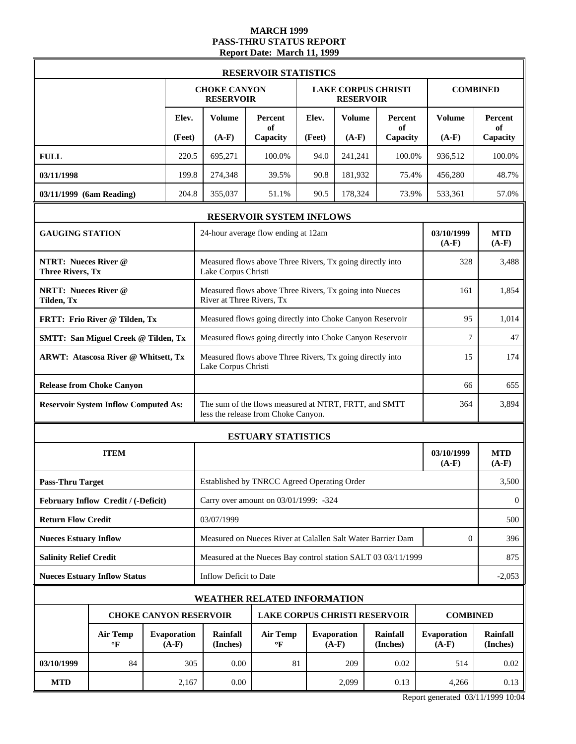### **MARCH 1999 PASS-THRU STATUS REPORT Report Date: March 11, 1999**

|                                                        |                                             |                               |                                                                                        | <b>RESERVOIR STATISTICS</b>                                                                  |        |                                                |                      |                               |                             |
|--------------------------------------------------------|---------------------------------------------|-------------------------------|----------------------------------------------------------------------------------------|----------------------------------------------------------------------------------------------|--------|------------------------------------------------|----------------------|-------------------------------|-----------------------------|
|                                                        |                                             |                               | <b>CHOKE CANYON</b><br><b>RESERVOIR</b>                                                |                                                                                              |        | <b>LAKE CORPUS CHRISTI</b><br><b>RESERVOIR</b> |                      |                               | <b>COMBINED</b>             |
|                                                        |                                             | Elev.                         | <b>Volume</b>                                                                          | Percent<br>of                                                                                | Elev.  | <b>Volume</b>                                  | Percent<br>of        | <b>Volume</b>                 | <b>Percent</b><br>of        |
|                                                        |                                             | (Feet)                        | $(A-F)$                                                                                | Capacity                                                                                     | (Feet) | $(A-F)$                                        | Capacity             | $(A-F)$                       | Capacity                    |
| <b>FULL</b>                                            |                                             | 220.5                         | 695,271                                                                                | 100.0%                                                                                       | 94.0   | 241,241                                        | 100.0%               | 936,512                       | 100.0%                      |
| 03/11/1998                                             |                                             | 199.8                         | 274,348                                                                                | 39.5%                                                                                        | 90.8   | 181,932                                        | 75.4%                | 456,280                       | 48.7%                       |
| 03/11/1999 (6am Reading)                               |                                             | 204.8                         | 355,037                                                                                | 51.1%                                                                                        | 90.5   | 178,324                                        | 73.9%                | 533,361                       | 57.0%                       |
|                                                        |                                             |                               |                                                                                        | RESERVOIR SYSTEM INFLOWS                                                                     |        |                                                |                      |                               |                             |
| <b>GAUGING STATION</b>                                 |                                             |                               |                                                                                        | 24-hour average flow ending at 12am                                                          |        |                                                |                      | 03/10/1999<br>$(A-F)$         | <b>MTD</b><br>$(A-F)$       |
| <b>NTRT: Nueces River @</b><br><b>Three Rivers, Tx</b> |                                             |                               | Lake Corpus Christi                                                                    | Measured flows above Three Rivers, Tx going directly into                                    |        |                                                |                      | 328                           | 3,488                       |
| <b>NRTT: Nueces River @</b><br>Tilden, Tx              |                                             |                               | River at Three Rivers, Tx                                                              | Measured flows above Three Rivers, Tx going into Nueces                                      |        |                                                |                      | 161                           | 1,854                       |
|                                                        | FRTT: Frio River @ Tilden, Tx               |                               | Measured flows going directly into Choke Canyon Reservoir                              | 1,014                                                                                        |        |                                                |                      |                               |                             |
|                                                        | <b>SMTT: San Miguel Creek @ Tilden, Tx</b>  |                               | Measured flows going directly into Choke Canyon Reservoir                              |                                                                                              |        |                                                |                      |                               | 47                          |
|                                                        | <b>ARWT: Atascosa River @ Whitsett, Tx</b>  |                               | Measured flows above Three Rivers, Tx going directly into<br>15<br>Lake Corpus Christi |                                                                                              |        |                                                |                      |                               | 174                         |
|                                                        | <b>Release from Choke Canyon</b>            |                               | 66                                                                                     |                                                                                              |        |                                                |                      |                               | 655                         |
|                                                        | <b>Reservoir System Inflow Computed As:</b> |                               |                                                                                        | The sum of the flows measured at NTRT, FRTT, and SMTT<br>less the release from Choke Canyon. |        |                                                |                      | 364                           | 3,894                       |
|                                                        |                                             |                               |                                                                                        | <b>ESTUARY STATISTICS</b>                                                                    |        |                                                |                      |                               |                             |
|                                                        | <b>ITEM</b>                                 |                               |                                                                                        |                                                                                              |        |                                                |                      | 03/10/1999<br>$(A-F)$         | <b>MTD</b><br>$(A-F)$       |
| <b>Pass-Thru Target</b>                                |                                             |                               |                                                                                        | Established by TNRCC Agreed Operating Order                                                  |        |                                                |                      |                               | 3,500                       |
|                                                        | February Inflow Credit / (-Deficit)         |                               |                                                                                        | Carry over amount on 03/01/1999: -324                                                        |        |                                                |                      |                               | $\mathbf{0}$                |
| <b>Return Flow Credit</b>                              |                                             |                               | 03/07/1999                                                                             |                                                                                              |        |                                                |                      |                               | 500                         |
| <b>Nueces Estuary Inflow</b>                           |                                             |                               |                                                                                        | Measured on Nueces River at Calallen Salt Water Barrier Dam                                  |        |                                                |                      | $\mathbf{0}$                  | 396                         |
| <b>Salinity Relief Credit</b>                          |                                             |                               |                                                                                        | Measured at the Nueces Bay control station SALT 03 03/11/1999                                |        |                                                |                      |                               | 875                         |
|                                                        | <b>Nueces Estuary Inflow Status</b>         |                               | Inflow Deficit to Date                                                                 |                                                                                              |        |                                                |                      |                               | $-2,053$                    |
|                                                        |                                             |                               | <b>WEATHER RELATED INFORMATION</b>                                                     |                                                                                              |        |                                                |                      |                               |                             |
|                                                        |                                             |                               | <b>CHOKE CANYON RESERVOIR</b>                                                          | <b>LAKE CORPUS CHRISTI RESERVOIR</b>                                                         |        |                                                |                      | <b>COMBINED</b>               |                             |
|                                                        | <b>Air Temp</b><br>$\mathbf{P}$             | <b>Evaporation</b><br>$(A-F)$ | Rainfall<br>(Inches)                                                                   | <b>Air Temp</b><br>$\mathbf{P}$                                                              |        | <b>Evaporation</b><br>$(A-F)$                  | Rainfall<br>(Inches) | <b>Evaporation</b><br>$(A-F)$ | <b>Rainfall</b><br>(Inches) |
| 03/10/1999                                             | 84                                          | 305                           | 0.00                                                                                   | 81                                                                                           |        | 209                                            | 0.02                 | 514                           | 0.02                        |
| <b>MTD</b>                                             |                                             | 2,167                         | 0.00                                                                                   |                                                                                              |        | 2,099                                          | 0.13                 | 4,266                         | 0.13                        |

Report generated 03/11/1999 10:04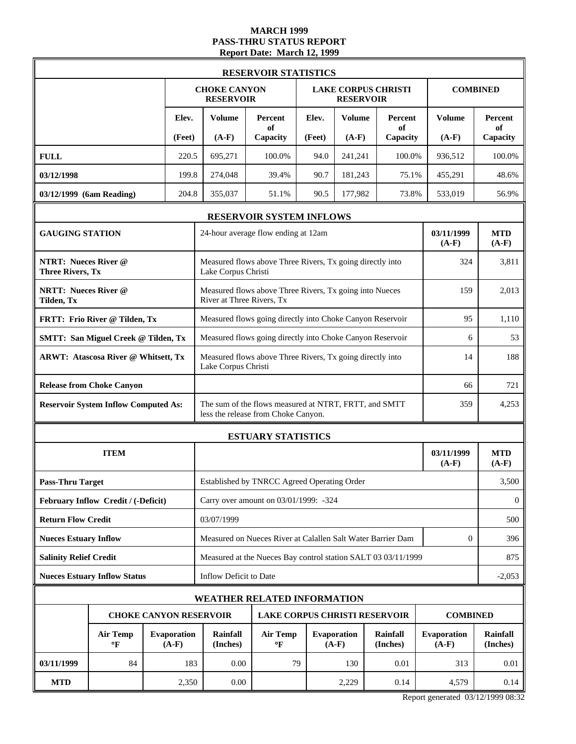### **MARCH 1999 PASS-THRU STATUS REPORT Report Date: March 12, 1999**

|                                                        |                                                 |  |        |                                                                                  | <b>RESERVOIR STATISTICS</b>                                                                  |        |                               |                             |                        |                       |
|--------------------------------------------------------|-------------------------------------------------|--|--------|----------------------------------------------------------------------------------|----------------------------------------------------------------------------------------------|--------|-------------------------------|-----------------------------|------------------------|-----------------------|
|                                                        |                                                 |  |        | <b>CHOKE CANYON</b><br><b>RESERVOIR</b>                                          |                                                                                              |        | <b>RESERVOIR</b>              | <b>LAKE CORPUS CHRISTI</b>  |                        | <b>COMBINED</b>       |
|                                                        |                                                 |  | Elev.  | <b>Volume</b>                                                                    | Percent<br>of                                                                                | Elev.  | <b>Volume</b>                 | Percent<br>of               | <b>Volume</b>          | Percent<br>of         |
|                                                        |                                                 |  | (Feet) | $(A-F)$                                                                          | Capacity                                                                                     | (Feet) | $(A-F)$                       | Capacity                    | $(A-F)$                | Capacity              |
| <b>FULL</b>                                            |                                                 |  | 220.5  | 695.271                                                                          | 100.0%                                                                                       | 94.0   | 241,241                       | 100.0%                      | 936,512                | 100.0%                |
| 03/12/1998                                             |                                                 |  | 199.8  | 274,048                                                                          | 39.4%                                                                                        | 90.7   | 181,243                       | 75.1%                       | 455,291                | 48.6%                 |
| 03/12/1999 (6am Reading)                               |                                                 |  | 204.8  | 355,037                                                                          | 51.1%                                                                                        | 90.5   | 177,982                       | 73.8%                       | 533,019                | 56.9%                 |
|                                                        |                                                 |  |        |                                                                                  | RESERVOIR SYSTEM INFLOWS                                                                     |        |                               |                             |                        |                       |
| <b>GAUGING STATION</b>                                 |                                                 |  |        |                                                                                  | 24-hour average flow ending at 12am                                                          |        |                               |                             | 03/11/1999<br>$(A-F)$  | <b>MTD</b><br>$(A-F)$ |
| <b>NTRT: Nueces River @</b><br><b>Three Rivers, Tx</b> |                                                 |  |        | Lake Corpus Christi                                                              | Measured flows above Three Rivers, Tx going directly into                                    |        |                               |                             | 324                    | 3,811                 |
| <b>NRTT: Nueces River @</b><br>Tilden, Tx              |                                                 |  |        | River at Three Rivers, Tx                                                        | Measured flows above Three Rivers, Tx going into Nueces                                      |        |                               |                             | 159                    | 2.013                 |
|                                                        | FRTT: Frio River @ Tilden, Tx                   |  |        |                                                                                  | Measured flows going directly into Choke Canyon Reservoir                                    |        |                               |                             | 95                     | 1,110                 |
|                                                        | <b>SMTT: San Miguel Creek @ Tilden, Tx</b>      |  |        | Measured flows going directly into Choke Canyon Reservoir                        | 6                                                                                            | 53     |                               |                             |                        |                       |
|                                                        | <b>ARWT: Atascosa River @ Whitsett, Tx</b>      |  |        | Measured flows above Three Rivers, Tx going directly into<br>Lake Corpus Christi | 14                                                                                           | 188    |                               |                             |                        |                       |
|                                                        | <b>Release from Choke Canyon</b>                |  |        |                                                                                  | 66                                                                                           |        |                               |                             |                        |                       |
|                                                        | <b>Reservoir System Inflow Computed As:</b>     |  |        |                                                                                  | The sum of the flows measured at NTRT, FRTT, and SMTT<br>less the release from Choke Canyon. |        |                               |                             | 359                    | 4,253                 |
|                                                        |                                                 |  |        |                                                                                  | <b>ESTUARY STATISTICS</b>                                                                    |        |                               |                             |                        |                       |
|                                                        | <b>ITEM</b>                                     |  |        |                                                                                  |                                                                                              |        |                               |                             | 03/11/1999<br>$(A-F)$  | <b>MTD</b><br>$(A-F)$ |
| <b>Pass-Thru Target</b>                                |                                                 |  |        |                                                                                  | Established by TNRCC Agreed Operating Order                                                  |        |                               |                             |                        | 3,500                 |
|                                                        | February Inflow Credit / (-Deficit)             |  |        |                                                                                  | Carry over amount on 03/01/1999: -324                                                        |        |                               |                             |                        | $\mathbf{0}$          |
| <b>Return Flow Credit</b>                              |                                                 |  |        | 03/07/1999                                                                       |                                                                                              |        |                               |                             |                        | 500                   |
| <b>Nueces Estuary Inflow</b>                           |                                                 |  |        |                                                                                  | Measured on Nueces River at Calallen Salt Water Barrier Dam                                  |        |                               |                             | $\mathbf{0}$           | 396                   |
| <b>Salinity Relief Credit</b>                          |                                                 |  |        |                                                                                  | Measured at the Nueces Bay control station SALT 03 03/11/1999                                |        |                               |                             |                        | 875                   |
|                                                        | <b>Nueces Estuary Inflow Status</b>             |  |        | Inflow Deficit to Date                                                           |                                                                                              |        |                               |                             |                        | $-2,053$              |
|                                                        |                                                 |  |        | <b>WEATHER RELATED INFORMATION</b>                                               |                                                                                              |        |                               |                             |                        |                       |
|                                                        |                                                 |  |        | <b>CHOKE CANYON RESERVOIR</b>                                                    | <b>LAKE CORPUS CHRISTI RESERVOIR</b>                                                         |        |                               |                             | <b>COMBINED</b>        |                       |
|                                                        | <b>Evaporation</b><br>Air Temp<br>$(A-F)$<br>°F |  |        |                                                                                  | <b>Air Temp</b><br>$\mathbf{P}$                                                              |        | <b>Evaporation</b><br>$(A-F)$ | <b>Rainfall</b><br>(Inches) | Evaporation<br>$(A-F)$ | Rainfall<br>(Inches)  |
| 03/11/1999                                             | 84                                              |  | 183    | 0.00                                                                             | 79                                                                                           |        | 130                           | 0.01                        | 313                    | 0.01                  |
| <b>MTD</b>                                             |                                                 |  | 2,350  | 0.00                                                                             |                                                                                              |        | 2,229                         | 0.14                        | 4,579                  | 0.14                  |

Report generated 03/12/1999 08:32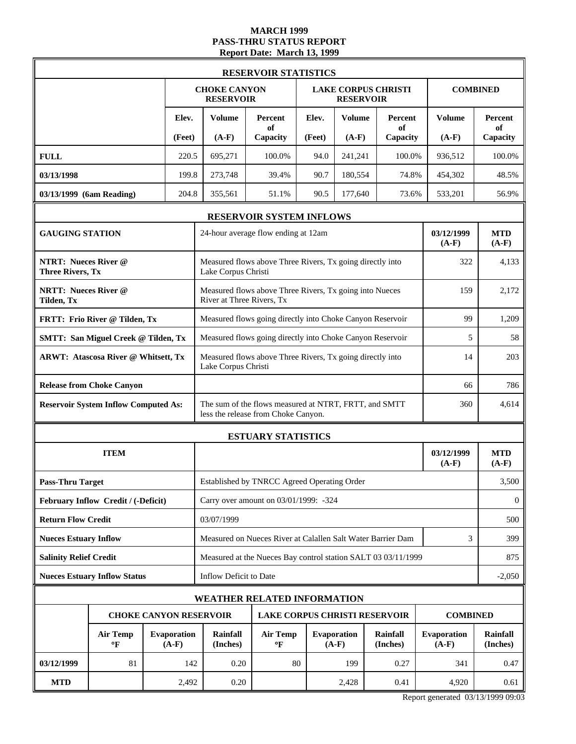# **MARCH 1999 PASS-THRU STATUS REPORT Report Date: March 13, 1999**

|                                                        | <b>RESERVOIR STATISTICS</b>                                      |  |        |                                                                                                     |                                                                                      |        |                        |                             |                        |                             |  |
|--------------------------------------------------------|------------------------------------------------------------------|--|--------|-----------------------------------------------------------------------------------------------------|--------------------------------------------------------------------------------------|--------|------------------------|-----------------------------|------------------------|-----------------------------|--|
|                                                        |                                                                  |  |        | <b>CHOKE CANYON</b><br><b>RESERVOIR</b>                                                             |                                                                                      |        | <b>RESERVOIR</b>       | <b>LAKE CORPUS CHRISTI</b>  |                        | <b>COMBINED</b>             |  |
|                                                        |                                                                  |  | Elev.  | <b>Volume</b>                                                                                       | Percent<br>of                                                                        | Elev.  | <b>Volume</b>          | Percent<br>of               | <b>Volume</b>          | Percent<br>of               |  |
|                                                        |                                                                  |  | (Feet) | $(A-F)$                                                                                             | Capacity                                                                             | (Feet) | $(A-F)$                | Capacity                    | $(A-F)$                | Capacity                    |  |
| <b>FULL</b>                                            |                                                                  |  | 220.5  | 695,271                                                                                             | 100.0%                                                                               | 94.0   | 241,241                | 100.0%                      | 936,512                | 100.0%                      |  |
| 03/13/1998                                             |                                                                  |  | 199.8  | 273,748                                                                                             | 39.4%                                                                                | 90.7   | 180,554                | 74.8%                       | 454,302                | 48.5%                       |  |
| 03/13/1999 (6am Reading)                               |                                                                  |  | 204.8  | 355,561                                                                                             | 51.1%                                                                                | 90.5   | 177,640                | 73.6%                       | 533,201                | 56.9%                       |  |
|                                                        |                                                                  |  |        |                                                                                                     | <b>RESERVOIR SYSTEM INFLOWS</b>                                                      |        |                        |                             |                        |                             |  |
| <b>GAUGING STATION</b>                                 |                                                                  |  |        |                                                                                                     | 24-hour average flow ending at 12am                                                  |        |                        |                             | 03/12/1999<br>$(A-F)$  | <b>MTD</b><br>$(A-F)$       |  |
| <b>NTRT: Nueces River @</b><br><b>Three Rivers, Tx</b> |                                                                  |  |        | Measured flows above Three Rivers, Tx going directly into<br>Lake Corpus Christi                    |                                                                                      |        |                        |                             |                        | 4,133                       |  |
| Tilden, Tx                                             | <b>NRTT: Nueces River @</b>                                      |  |        |                                                                                                     | Measured flows above Three Rivers, Tx going into Nueces<br>River at Three Rivers, Tx |        |                        |                             | 159                    | 2,172                       |  |
|                                                        | FRTT: Frio River @ Tilden, Tx                                    |  |        |                                                                                                     | Measured flows going directly into Choke Canyon Reservoir                            |        |                        |                             | 99                     | 1,209                       |  |
|                                                        | <b>SMTT: San Miguel Creek @ Tilden, Tx</b>                       |  |        |                                                                                                     | Measured flows going directly into Choke Canyon Reservoir                            |        |                        |                             | 5                      | 58                          |  |
|                                                        | <b>ARWT: Atascosa River @ Whitsett, Tx</b>                       |  |        | Measured flows above Three Rivers, Tx going directly into<br>Lake Corpus Christi                    | 14                                                                                   | 203    |                        |                             |                        |                             |  |
|                                                        | <b>Release from Choke Canyon</b>                                 |  |        | 66                                                                                                  |                                                                                      |        |                        |                             |                        |                             |  |
|                                                        | <b>Reservoir System Inflow Computed As:</b>                      |  |        | The sum of the flows measured at NTRT, FRTT, and SMTT<br>360<br>less the release from Choke Canyon. |                                                                                      |        |                        |                             |                        |                             |  |
|                                                        |                                                                  |  |        | <b>ESTUARY STATISTICS</b>                                                                           |                                                                                      |        |                        |                             |                        |                             |  |
|                                                        | <b>ITEM</b>                                                      |  |        |                                                                                                     |                                                                                      |        |                        |                             | 03/12/1999<br>$(A-F)$  | <b>MTD</b><br>$(A-F)$       |  |
| <b>Pass-Thru Target</b>                                |                                                                  |  |        |                                                                                                     | Established by TNRCC Agreed Operating Order                                          |        |                        |                             |                        | 3,500                       |  |
|                                                        | February Inflow Credit / (-Deficit)                              |  |        |                                                                                                     | Carry over amount on 03/01/1999: -324                                                |        |                        |                             |                        | $\mathbf{0}$                |  |
| <b>Return Flow Credit</b>                              |                                                                  |  |        | 03/07/1999                                                                                          |                                                                                      |        |                        |                             |                        | 500                         |  |
| <b>Nueces Estuary Inflow</b>                           |                                                                  |  |        |                                                                                                     | Measured on Nueces River at Calallen Salt Water Barrier Dam                          |        |                        |                             | 3                      | 399                         |  |
| <b>Salinity Relief Credit</b>                          |                                                                  |  |        |                                                                                                     | Measured at the Nueces Bay control station SALT 03 03/11/1999                        |        |                        |                             |                        | 875                         |  |
|                                                        | <b>Nueces Estuary Inflow Status</b>                              |  |        | Inflow Deficit to Date                                                                              |                                                                                      |        |                        |                             |                        | $-2,050$                    |  |
|                                                        |                                                                  |  |        |                                                                                                     | <b>WEATHER RELATED INFORMATION</b>                                                   |        |                        |                             |                        |                             |  |
|                                                        | <b>CHOKE CANYON RESERVOIR</b>                                    |  |        |                                                                                                     | <b>LAKE CORPUS CHRISTI RESERVOIR</b>                                                 |        |                        |                             | <b>COMBINED</b>        |                             |  |
|                                                        | <b>Air Temp</b><br><b>Evaporation</b><br>$(A-F)$<br>$\mathbf{P}$ |  |        | Rainfall<br>(Inches)                                                                                | <b>Air Temp</b><br>$\mathbf{P}$                                                      |        | Evaporation<br>$(A-F)$ | <b>Rainfall</b><br>(Inches) | Evaporation<br>$(A-F)$ | <b>Rainfall</b><br>(Inches) |  |
| 03/12/1999                                             | 81                                                               |  | 142    | 0.20                                                                                                | 80                                                                                   |        | 199                    | 0.27                        | 341                    | 0.47                        |  |
| <b>MTD</b>                                             |                                                                  |  | 2,492  | 0.20                                                                                                |                                                                                      |        | 2,428                  | 0.41                        | 4,920                  | 0.61                        |  |

Report generated 03/13/1999 09:03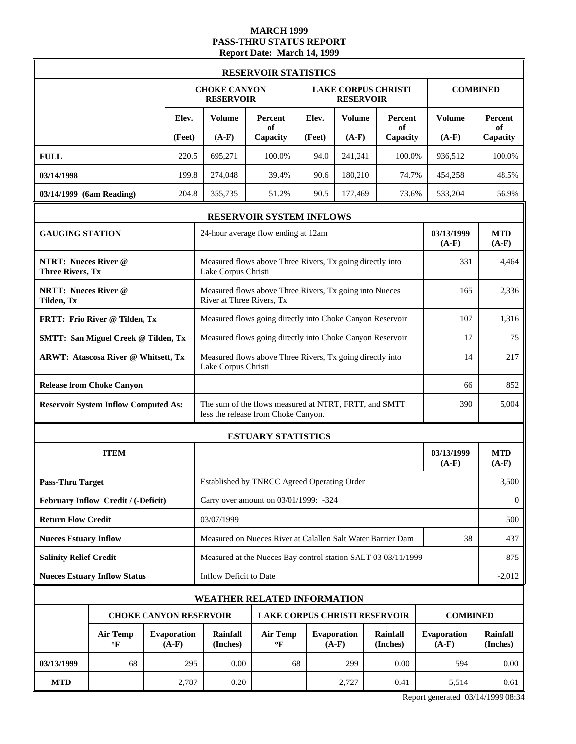### **MARCH 1999 PASS-THRU STATUS REPORT Report Date: March 14, 1999**

|                                                        |                                             | <b>RESERVOIR STATISTICS</b> |                               |                                                                                              |                                                                                  |        |                                                |                      |                               |                             |
|--------------------------------------------------------|---------------------------------------------|-----------------------------|-------------------------------|----------------------------------------------------------------------------------------------|----------------------------------------------------------------------------------|--------|------------------------------------------------|----------------------|-------------------------------|-----------------------------|
|                                                        |                                             |                             |                               | <b>CHOKE CANYON</b><br><b>RESERVOIR</b>                                                      |                                                                                  |        | <b>LAKE CORPUS CHRISTI</b><br><b>RESERVOIR</b> |                      |                               | <b>COMBINED</b>             |
|                                                        |                                             |                             | Elev.                         | <b>Volume</b>                                                                                | Percent<br>of                                                                    | Elev.  | <b>Volume</b>                                  | Percent<br>of        | <b>Volume</b>                 | <b>Percent</b><br>of        |
|                                                        |                                             |                             | (Feet)                        | $(A-F)$                                                                                      | Capacity                                                                         | (Feet) | $(A-F)$                                        | Capacity             | $(A-F)$                       | Capacity                    |
| <b>FULL</b>                                            |                                             |                             | 220.5                         | 695,271                                                                                      | 100.0%                                                                           | 94.0   | 241,241                                        | 100.0%               | 936,512                       | 100.0%                      |
| 03/14/1998                                             |                                             |                             | 199.8                         | 274,048                                                                                      | 39.4%                                                                            | 90.6   | 180,210                                        | 74.7%                | 454,258                       | 48.5%                       |
| 03/14/1999 (6am Reading)                               |                                             |                             | 204.8                         | 355,735                                                                                      | 51.2%                                                                            | 90.5   | 177,469                                        | 73.6%                | 533,204                       | 56.9%                       |
|                                                        |                                             |                             |                               |                                                                                              | RESERVOIR SYSTEM INFLOWS                                                         |        |                                                |                      |                               |                             |
| <b>GAUGING STATION</b>                                 |                                             |                             |                               |                                                                                              | 24-hour average flow ending at 12am                                              |        |                                                |                      | 03/13/1999<br>$(A-F)$         | <b>MTD</b><br>$(A-F)$       |
| <b>NTRT: Nueces River @</b><br><b>Three Rivers, Tx</b> |                                             |                             |                               |                                                                                              | Measured flows above Three Rivers, Tx going directly into<br>Lake Corpus Christi |        |                                                |                      |                               |                             |
| <b>NRTT: Nueces River @</b><br>Tilden, Tx              |                                             |                             | River at Three Rivers, Tx     | Measured flows above Three Rivers, Tx going into Nueces                                      |                                                                                  |        |                                                | 165                  | 2,336                         |                             |
|                                                        | FRTT: Frio River @ Tilden, Tx               |                             |                               | Measured flows going directly into Choke Canyon Reservoir                                    |                                                                                  |        |                                                | 107                  | 1,316                         |                             |
|                                                        | <b>SMTT: San Miguel Creek @ Tilden, Tx</b>  |                             |                               |                                                                                              | Measured flows going directly into Choke Canyon Reservoir                        |        |                                                |                      | 17                            | 75                          |
| <b>ARWT: Atascosa River @ Whitsett, Tx</b>             |                                             |                             |                               | Measured flows above Three Rivers, Tx going directly into<br>Lake Corpus Christi             | 14                                                                               | 217    |                                                |                      |                               |                             |
|                                                        | <b>Release from Choke Canyon</b>            |                             |                               |                                                                                              |                                                                                  |        |                                                |                      | 66                            | 852                         |
|                                                        | <b>Reservoir System Inflow Computed As:</b> |                             |                               | The sum of the flows measured at NTRT, FRTT, and SMTT<br>less the release from Choke Canyon. | 5,004                                                                            |        |                                                |                      |                               |                             |
|                                                        |                                             |                             |                               | <b>ESTUARY STATISTICS</b>                                                                    |                                                                                  |        |                                                |                      |                               |                             |
|                                                        | <b>ITEM</b>                                 |                             |                               |                                                                                              |                                                                                  |        |                                                |                      | 03/13/1999<br>$(A-F)$         | <b>MTD</b><br>$(A-F)$       |
| <b>Pass-Thru Target</b>                                |                                             |                             |                               |                                                                                              | Established by TNRCC Agreed Operating Order                                      |        |                                                |                      |                               | 3,500                       |
|                                                        | February Inflow Credit / (-Deficit)         |                             |                               |                                                                                              | Carry over amount on 03/01/1999: -324                                            |        |                                                |                      |                               | $\mathbf{0}$                |
| <b>Return Flow Credit</b>                              |                                             |                             |                               | 03/07/1999                                                                                   |                                                                                  |        |                                                |                      |                               | 500                         |
| <b>Nueces Estuary Inflow</b>                           |                                             |                             |                               |                                                                                              | Measured on Nueces River at Calallen Salt Water Barrier Dam                      |        |                                                |                      | 38                            | 437                         |
| <b>Salinity Relief Credit</b>                          |                                             |                             |                               |                                                                                              | Measured at the Nueces Bay control station SALT 03 03/11/1999                    |        |                                                |                      |                               | 875                         |
|                                                        | <b>Nueces Estuary Inflow Status</b>         |                             |                               | Inflow Deficit to Date                                                                       |                                                                                  |        |                                                |                      |                               | $-2,012$                    |
|                                                        |                                             |                             |                               | <b>WEATHER RELATED INFORMATION</b>                                                           |                                                                                  |        |                                                |                      |                               |                             |
|                                                        |                                             |                             |                               | <b>CHOKE CANYON RESERVOIR</b>                                                                | <b>LAKE CORPUS CHRISTI RESERVOIR</b>                                             |        |                                                |                      | <b>COMBINED</b>               |                             |
|                                                        | <b>Air Temp</b><br>$\mathbf{P}$             |                             | <b>Evaporation</b><br>$(A-F)$ | Rainfall<br>(Inches)                                                                         | <b>Air Temp</b><br>$\mathbf{P}$                                                  |        | <b>Evaporation</b><br>$(A-F)$                  | Rainfall<br>(Inches) | <b>Evaporation</b><br>$(A-F)$ | <b>Rainfall</b><br>(Inches) |
| 03/13/1999                                             | 68                                          |                             | 295                           | 0.00                                                                                         | 68                                                                               |        | 299                                            | 0.00                 | 594                           | 0.00                        |
| <b>MTD</b>                                             |                                             |                             | 2,787                         | 0.20                                                                                         |                                                                                  |        | 2,727                                          | 0.41                 | 5,514                         | 0.61                        |

Report generated 03/14/1999 08:34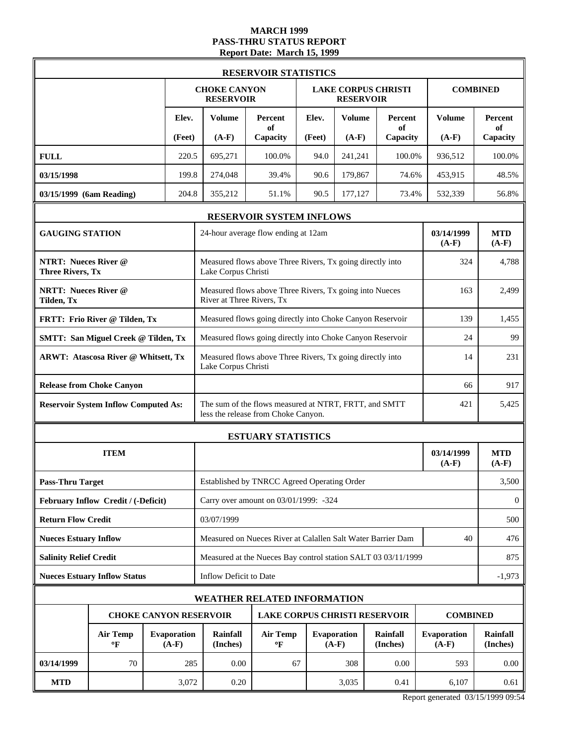### **MARCH 1999 PASS-THRU STATUS REPORT Report Date: March 15, 1999**

|                                                        |                                             | <b>RESERVOIR STATISTICS</b> |                               |                                                                                              |                                                               |        |                                                |                      |                               |                             |
|--------------------------------------------------------|---------------------------------------------|-----------------------------|-------------------------------|----------------------------------------------------------------------------------------------|---------------------------------------------------------------|--------|------------------------------------------------|----------------------|-------------------------------|-----------------------------|
|                                                        |                                             |                             |                               | <b>CHOKE CANYON</b><br><b>RESERVOIR</b>                                                      |                                                               |        | <b>LAKE CORPUS CHRISTI</b><br><b>RESERVOIR</b> |                      |                               | <b>COMBINED</b>             |
|                                                        |                                             |                             | Elev.                         | <b>Volume</b>                                                                                | Percent<br>of                                                 | Elev.  | <b>Volume</b>                                  | Percent<br>of        | <b>Volume</b>                 | <b>Percent</b><br>of        |
|                                                        |                                             |                             | (Feet)                        | $(A-F)$                                                                                      | Capacity                                                      | (Feet) | $(A-F)$                                        | Capacity             | $(A-F)$                       | Capacity                    |
| <b>FULL</b>                                            |                                             |                             | 220.5                         | 695,271                                                                                      | 100.0%                                                        | 94.0   | 241,241                                        | 100.0%               | 936,512                       | 100.0%                      |
| 03/15/1998                                             |                                             |                             | 199.8                         | 274,048                                                                                      | 39.4%                                                         | 90.6   | 179,867                                        | 74.6%                | 453,915                       | 48.5%                       |
| 03/15/1999 (6am Reading)                               |                                             |                             | 204.8                         | 355,212                                                                                      | 51.1%                                                         | 90.5   | 177,127                                        | 73.4%                | 532,339                       | 56.8%                       |
|                                                        |                                             |                             |                               |                                                                                              | RESERVOIR SYSTEM INFLOWS                                      |        |                                                |                      |                               |                             |
| <b>GAUGING STATION</b>                                 |                                             |                             |                               |                                                                                              | 24-hour average flow ending at 12am                           |        |                                                |                      | 03/14/1999<br>$(A-F)$         | <b>MTD</b><br>$(A-F)$       |
| <b>NTRT: Nueces River @</b><br><b>Three Rivers, Tx</b> |                                             |                             |                               | Lake Corpus Christi                                                                          | Measured flows above Three Rivers, Tx going directly into     | 324    | 4,788                                          |                      |                               |                             |
| <b>NRTT: Nueces River @</b><br>Tilden, Tx              |                                             |                             | River at Three Rivers, Tx     | Measured flows above Three Rivers, Tx going into Nueces                                      |                                                               |        |                                                | 163                  | 2,499                         |                             |
|                                                        | FRTT: Frio River @ Tilden, Tx               |                             |                               |                                                                                              | Measured flows going directly into Choke Canyon Reservoir     |        |                                                |                      | 139                           | 1,455                       |
|                                                        | <b>SMTT: San Miguel Creek @ Tilden, Tx</b>  |                             |                               |                                                                                              | Measured flows going directly into Choke Canyon Reservoir     |        |                                                |                      | 24                            | 99                          |
| <b>ARWT: Atascosa River @ Whitsett, Tx</b>             |                                             |                             |                               | Measured flows above Three Rivers, Tx going directly into<br>Lake Corpus Christi             | 14                                                            | 231    |                                                |                      |                               |                             |
|                                                        | <b>Release from Choke Canyon</b>            |                             |                               |                                                                                              |                                                               |        |                                                |                      | 66                            | 917                         |
|                                                        | <b>Reservoir System Inflow Computed As:</b> |                             |                               | The sum of the flows measured at NTRT, FRTT, and SMTT<br>less the release from Choke Canyon. | 5,425                                                         |        |                                                |                      |                               |                             |
|                                                        |                                             |                             |                               | <b>ESTUARY STATISTICS</b>                                                                    |                                                               |        |                                                |                      |                               |                             |
|                                                        | <b>ITEM</b>                                 |                             |                               |                                                                                              |                                                               |        |                                                |                      | 03/14/1999<br>$(A-F)$         | <b>MTD</b><br>$(A-F)$       |
| <b>Pass-Thru Target</b>                                |                                             |                             |                               |                                                                                              | Established by TNRCC Agreed Operating Order                   |        |                                                |                      |                               | 3,500                       |
|                                                        | February Inflow Credit / (-Deficit)         |                             |                               |                                                                                              | Carry over amount on 03/01/1999: -324                         |        |                                                |                      |                               | $\mathbf{0}$                |
| <b>Return Flow Credit</b>                              |                                             |                             |                               | 03/07/1999                                                                                   |                                                               |        |                                                |                      |                               | 500                         |
| <b>Nueces Estuary Inflow</b>                           |                                             |                             |                               |                                                                                              | Measured on Nueces River at Calallen Salt Water Barrier Dam   |        |                                                |                      | 40                            | 476                         |
| <b>Salinity Relief Credit</b>                          |                                             |                             |                               |                                                                                              | Measured at the Nueces Bay control station SALT 03 03/11/1999 |        |                                                |                      |                               | 875                         |
|                                                        | <b>Nueces Estuary Inflow Status</b>         |                             |                               | Inflow Deficit to Date                                                                       |                                                               |        |                                                |                      |                               | $-1,973$                    |
|                                                        |                                             |                             |                               | <b>WEATHER RELATED INFORMATION</b>                                                           |                                                               |        |                                                |                      |                               |                             |
|                                                        |                                             |                             |                               | <b>CHOKE CANYON RESERVOIR</b>                                                                | <b>LAKE CORPUS CHRISTI RESERVOIR</b>                          |        |                                                |                      | <b>COMBINED</b>               |                             |
|                                                        | <b>Air Temp</b><br>$\mathbf{P}$             |                             | <b>Evaporation</b><br>$(A-F)$ | Rainfall<br>(Inches)                                                                         | <b>Air Temp</b><br>$\mathbf{P}$                               |        | <b>Evaporation</b><br>$(A-F)$                  | Rainfall<br>(Inches) | <b>Evaporation</b><br>$(A-F)$ | <b>Rainfall</b><br>(Inches) |
| 03/14/1999                                             | 70                                          |                             | 285                           | 0.00                                                                                         | 67                                                            |        | 308                                            | 0.00                 | 593                           | 0.00                        |
| <b>MTD</b>                                             |                                             |                             | 3,072                         | 0.20                                                                                         |                                                               |        | 3,035                                          | 0.41                 | 6,107                         | 0.61                        |

Report generated 03/15/1999 09:54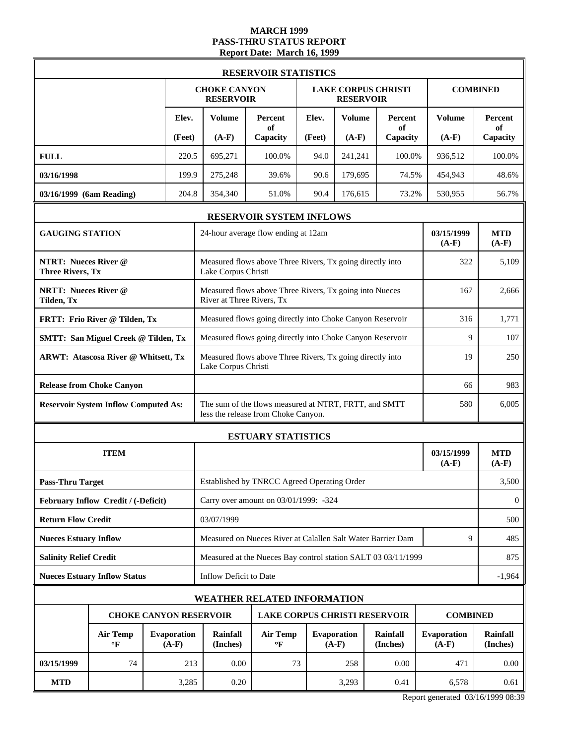### **MARCH 1999 PASS-THRU STATUS REPORT Report Date: March 16, 1999**

|                                                        | <b>RESERVOIR STATISTICS</b>                                      |  |        |                                                                                                     |                                                               |        |                                                |                      |                               |                             |  |
|--------------------------------------------------------|------------------------------------------------------------------|--|--------|-----------------------------------------------------------------------------------------------------|---------------------------------------------------------------|--------|------------------------------------------------|----------------------|-------------------------------|-----------------------------|--|
|                                                        |                                                                  |  |        | <b>CHOKE CANYON</b><br><b>RESERVOIR</b>                                                             |                                                               |        | <b>LAKE CORPUS CHRISTI</b><br><b>RESERVOIR</b> |                      |                               | <b>COMBINED</b>             |  |
|                                                        |                                                                  |  | Elev.  | <b>Volume</b>                                                                                       | Percent<br>of                                                 | Elev.  | <b>Volume</b>                                  | Percent<br>of        | <b>Volume</b>                 | <b>Percent</b><br>of        |  |
|                                                        |                                                                  |  | (Feet) | $(A-F)$                                                                                             | Capacity                                                      | (Feet) | $(A-F)$                                        | Capacity             | $(A-F)$                       | Capacity                    |  |
| <b>FULL</b>                                            |                                                                  |  | 220.5  | 695,271                                                                                             | 100.0%                                                        | 94.0   | 241,241                                        | 100.0%               | 936,512                       | 100.0%                      |  |
| 03/16/1998                                             |                                                                  |  | 199.9  | 275,248                                                                                             | 39.6%                                                         | 90.6   | 179,695                                        | 74.5%                | 454,943                       | 48.6%                       |  |
| 03/16/1999 (6am Reading)                               |                                                                  |  | 204.8  | 354,340                                                                                             | 51.0%                                                         | 90.4   | 176,615                                        | 73.2%                | 530,955                       | 56.7%                       |  |
|                                                        |                                                                  |  |        |                                                                                                     | RESERVOIR SYSTEM INFLOWS                                      |        |                                                |                      |                               |                             |  |
| <b>GAUGING STATION</b>                                 |                                                                  |  |        |                                                                                                     | 24-hour average flow ending at 12am                           |        |                                                |                      | 03/15/1999<br>$(A-F)$         | <b>MTD</b><br>$(A-F)$       |  |
| <b>NTRT: Nueces River @</b><br><b>Three Rivers, Tx</b> |                                                                  |  |        | Measured flows above Three Rivers, Tx going directly into<br>Lake Corpus Christi                    | 322                                                           | 5,109  |                                                |                      |                               |                             |  |
| <b>NRTT: Nueces River @</b><br>Tilden, Tx              |                                                                  |  |        | River at Three Rivers, Tx                                                                           | Measured flows above Three Rivers, Tx going into Nueces       |        |                                                |                      | 167                           | 2.666                       |  |
|                                                        | FRTT: Frio River @ Tilden, Tx                                    |  |        |                                                                                                     | Measured flows going directly into Choke Canyon Reservoir     |        |                                                |                      | 316                           | 1,771                       |  |
|                                                        | <b>SMTT: San Miguel Creek @ Tilden, Tx</b>                       |  |        | Measured flows going directly into Choke Canyon Reservoir<br>9                                      |                                                               |        |                                                |                      |                               |                             |  |
|                                                        | <b>ARWT: Atascosa River @ Whitsett, Tx</b>                       |  |        | Measured flows above Three Rivers, Tx going directly into<br>Lake Corpus Christi                    | 19                                                            | 250    |                                                |                      |                               |                             |  |
|                                                        | <b>Release from Choke Canyon</b>                                 |  |        |                                                                                                     |                                                               |        |                                                |                      | 66                            | 983                         |  |
|                                                        | <b>Reservoir System Inflow Computed As:</b>                      |  |        | The sum of the flows measured at NTRT, FRTT, and SMTT<br>580<br>less the release from Choke Canyon. |                                                               |        |                                                |                      |                               |                             |  |
|                                                        |                                                                  |  |        | <b>ESTUARY STATISTICS</b>                                                                           |                                                               |        |                                                |                      |                               |                             |  |
|                                                        | <b>ITEM</b>                                                      |  |        |                                                                                                     |                                                               |        |                                                |                      | 03/15/1999<br>$(A-F)$         | <b>MTD</b><br>$(A-F)$       |  |
| <b>Pass-Thru Target</b>                                |                                                                  |  |        |                                                                                                     | Established by TNRCC Agreed Operating Order                   |        |                                                |                      |                               | 3,500                       |  |
|                                                        | February Inflow Credit / (-Deficit)                              |  |        |                                                                                                     | Carry over amount on 03/01/1999: -324                         |        |                                                |                      |                               | $\mathbf{0}$                |  |
| <b>Return Flow Credit</b>                              |                                                                  |  |        | 03/07/1999                                                                                          |                                                               |        |                                                |                      |                               | 500                         |  |
| <b>Nueces Estuary Inflow</b>                           |                                                                  |  |        |                                                                                                     | Measured on Nueces River at Calallen Salt Water Barrier Dam   |        |                                                |                      | 9                             | 485                         |  |
| <b>Salinity Relief Credit</b>                          |                                                                  |  |        |                                                                                                     | Measured at the Nueces Bay control station SALT 03 03/11/1999 |        |                                                |                      |                               | 875                         |  |
|                                                        | <b>Nueces Estuary Inflow Status</b>                              |  |        | Inflow Deficit to Date                                                                              |                                                               |        |                                                |                      |                               | $-1,964$                    |  |
|                                                        |                                                                  |  |        |                                                                                                     | <b>WEATHER RELATED INFORMATION</b>                            |        |                                                |                      |                               |                             |  |
|                                                        | <b>CHOKE CANYON RESERVOIR</b>                                    |  |        |                                                                                                     | <b>LAKE CORPUS CHRISTI RESERVOIR</b>                          |        |                                                |                      | <b>COMBINED</b>               |                             |  |
|                                                        | <b>Air Temp</b><br><b>Evaporation</b><br>$\mathbf{P}$<br>$(A-F)$ |  |        | Rainfall<br>(Inches)                                                                                | <b>Air Temp</b><br>$\mathbf{P}$                               |        | <b>Evaporation</b><br>$(A-F)$                  | Rainfall<br>(Inches) | <b>Evaporation</b><br>$(A-F)$ | <b>Rainfall</b><br>(Inches) |  |
| 03/15/1999                                             | 74                                                               |  | 213    | 0.00                                                                                                | 73                                                            |        | 258                                            | 0.00                 | 471                           | 0.00                        |  |
| <b>MTD</b>                                             |                                                                  |  | 3,285  | 0.20                                                                                                |                                                               |        | 3,293                                          | 0.41                 | 6,578                         | 0.61                        |  |

Report generated 03/16/1999 08:39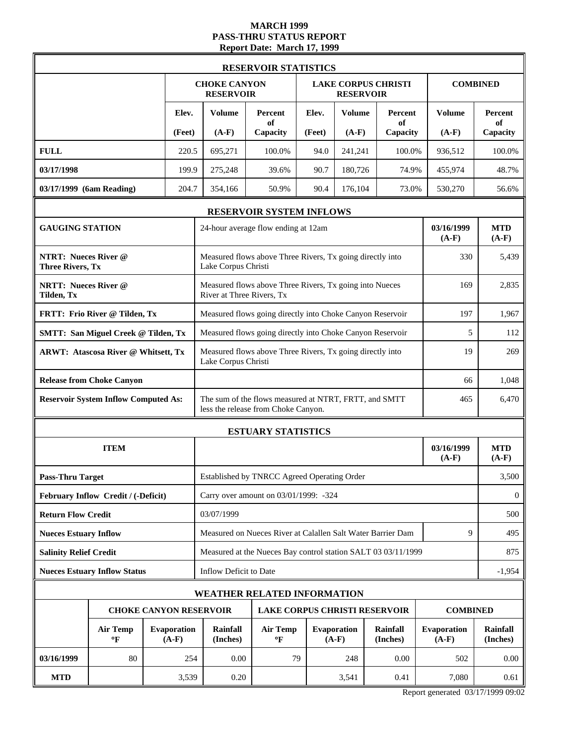#### **MARCH 1999 PASS-THRU STATUS REPORT Report Date: March 17, 1999**

|                                                        | <b>RESERVOIR STATISTICS</b>   |                                                                                                     |                                                               |        |                               |                             |                               |                             |  |
|--------------------------------------------------------|-------------------------------|-----------------------------------------------------------------------------------------------------|---------------------------------------------------------------|--------|-------------------------------|-----------------------------|-------------------------------|-----------------------------|--|
|                                                        |                               | <b>CHOKE CANYON</b><br><b>RESERVOIR</b>                                                             |                                                               |        | <b>RESERVOIR</b>              | <b>LAKE CORPUS CHRISTI</b>  |                               | <b>COMBINED</b>             |  |
|                                                        | Elev.                         | <b>Volume</b>                                                                                       | Percent<br>of                                                 | Elev.  | <b>Volume</b>                 | Percent<br>of               | <b>Volume</b>                 | <b>Percent</b><br>of        |  |
|                                                        | (Feet)                        | $(A-F)$                                                                                             | Capacity                                                      | (Feet) | $(A-F)$                       | Capacity                    | $(A-F)$                       | Capacity                    |  |
| <b>FULL</b>                                            | 220.5                         | 695,271                                                                                             | 100.0%                                                        | 94.0   | 241,241                       | 100.0%                      | 936,512                       | 100.0%                      |  |
| 03/17/1998                                             | 199.9                         | 275,248                                                                                             | 39.6%                                                         | 90.7   | 180,726                       | 74.9%                       | 455,974                       | 48.7%                       |  |
| 03/17/1999 (6am Reading)                               | 204.7                         | 354,166                                                                                             | 50.9%                                                         | 90.4   | 176,104                       | 73.0%                       | 530,270                       | 56.6%                       |  |
|                                                        |                               |                                                                                                     | <b>RESERVOIR SYSTEM INFLOWS</b>                               |        |                               |                             |                               |                             |  |
| <b>GAUGING STATION</b>                                 |                               |                                                                                                     | 24-hour average flow ending at 12am                           |        |                               |                             | 03/16/1999<br>$(A-F)$         | <b>MTD</b><br>$(A-F)$       |  |
| <b>NTRT: Nueces River @</b><br><b>Three Rivers, Tx</b> |                               | Measured flows above Three Rivers, Tx going directly into<br>Lake Corpus Christi                    | 330                                                           | 5,439  |                               |                             |                               |                             |  |
| <b>NRTT: Nueces River @</b><br>Tilden, Tx              |                               | River at Three Rivers, Tx                                                                           | Measured flows above Three Rivers, Tx going into Nueces       |        |                               |                             | 169                           | 2,835                       |  |
| FRTT: Frio River @ Tilden, Tx                          |                               |                                                                                                     | Measured flows going directly into Choke Canyon Reservoir     |        |                               |                             | 197                           | 1,967                       |  |
| <b>SMTT: San Miguel Creek @ Tilden, Tx</b>             |                               |                                                                                                     | Measured flows going directly into Choke Canyon Reservoir     |        |                               |                             | 5                             | 112                         |  |
| <b>ARWT: Atascosa River @ Whitsett, Tx</b>             |                               | Measured flows above Three Rivers, Tx going directly into<br>19<br>Lake Corpus Christi              |                                                               |        |                               |                             |                               |                             |  |
| <b>Release from Choke Canyon</b>                       |                               | 66                                                                                                  |                                                               |        |                               |                             |                               |                             |  |
| <b>Reservoir System Inflow Computed As:</b>            |                               | The sum of the flows measured at NTRT, FRTT, and SMTT<br>465<br>less the release from Choke Canyon. |                                                               |        |                               |                             |                               |                             |  |
|                                                        |                               | <b>ESTUARY STATISTICS</b>                                                                           |                                                               |        |                               |                             |                               |                             |  |
| <b>ITEM</b>                                            |                               |                                                                                                     |                                                               |        |                               |                             | 03/16/1999<br>$(A-F)$         | <b>MTD</b><br>$(A-F)$       |  |
| <b>Pass-Thru Target</b>                                |                               |                                                                                                     | Established by TNRCC Agreed Operating Order                   |        |                               |                             |                               | 3,500                       |  |
| February Inflow Credit / (-Deficit)                    |                               |                                                                                                     | Carry over amount on 03/01/1999: -324                         |        |                               |                             |                               | $\mathbf{0}$                |  |
| <b>Return Flow Credit</b>                              |                               | 03/07/1999                                                                                          |                                                               |        |                               |                             |                               | 500                         |  |
| <b>Nueces Estuary Inflow</b>                           |                               |                                                                                                     | Measured on Nueces River at Calallen Salt Water Barrier Dam   |        |                               |                             | 9                             | 495                         |  |
| <b>Salinity Relief Credit</b>                          |                               |                                                                                                     | Measured at the Nueces Bay control station SALT 03 03/11/1999 |        |                               |                             |                               | 875                         |  |
| <b>Nueces Estuary Inflow Status</b>                    |                               | Inflow Deficit to Date                                                                              |                                                               |        |                               |                             |                               | $-1,954$                    |  |
|                                                        |                               |                                                                                                     | WEATHER RELATED INFORMATION                                   |        |                               |                             |                               |                             |  |
| <b>CHOKE CANYON RESERVOIR</b>                          |                               |                                                                                                     | <b>LAKE CORPUS CHRISTI RESERVOIR</b>                          |        |                               |                             | <b>COMBINED</b>               |                             |  |
| <b>Air Temp</b><br>$\mathbf{P}$                        | <b>Evaporation</b><br>$(A-F)$ | Rainfall<br>(Inches)                                                                                | <b>Air Temp</b><br>°F                                         |        | <b>Evaporation</b><br>$(A-F)$ | <b>Rainfall</b><br>(Inches) | <b>Evaporation</b><br>$(A-F)$ | <b>Rainfall</b><br>(Inches) |  |
| 03/16/1999<br>80                                       | 254                           | 0.00                                                                                                | 79                                                            |        | 248                           | 0.00                        | 502                           | 0.00                        |  |
| <b>MTD</b>                                             | 3,539                         | 0.20                                                                                                |                                                               |        | 3,541                         | 0.41                        | 7,080                         | 0.61                        |  |

Report generated 03/17/1999 09:02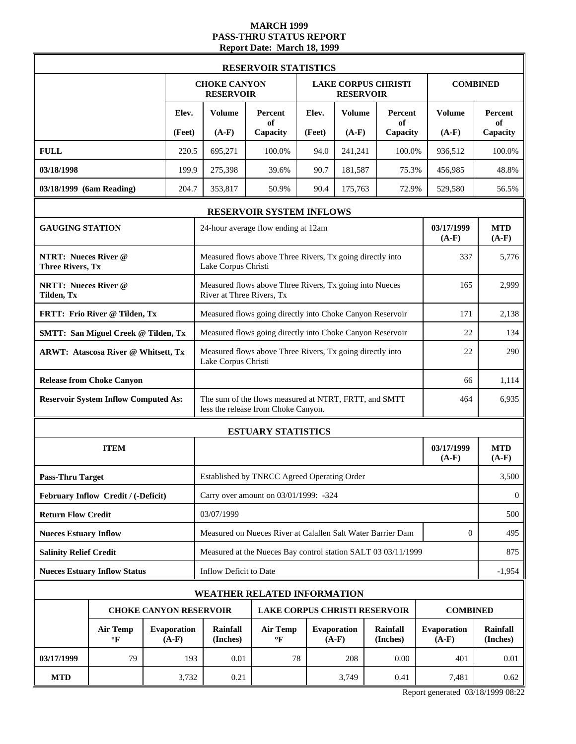#### **MARCH 1999 PASS-THRU STATUS REPORT Report Date: March 18, 1999**

|                                                        | <b>RESERVOIR STATISTICS</b>                                      |  |        |                                                                                                     |                                                               |        |                               |                            |                               |                             |  |
|--------------------------------------------------------|------------------------------------------------------------------|--|--------|-----------------------------------------------------------------------------------------------------|---------------------------------------------------------------|--------|-------------------------------|----------------------------|-------------------------------|-----------------------------|--|
|                                                        |                                                                  |  |        | <b>CHOKE CANYON</b><br><b>RESERVOIR</b>                                                             |                                                               |        | <b>RESERVOIR</b>              | <b>LAKE CORPUS CHRISTI</b> |                               | <b>COMBINED</b>             |  |
|                                                        |                                                                  |  | Elev.  | <b>Volume</b>                                                                                       | Percent<br>of                                                 | Elev.  | <b>Volume</b>                 | Percent<br>of              | <b>Volume</b>                 | <b>Percent</b><br>of        |  |
|                                                        |                                                                  |  | (Feet) | $(A-F)$                                                                                             | Capacity                                                      | (Feet) | $(A-F)$                       | Capacity                   | $(A-F)$                       | Capacity                    |  |
| <b>FULL</b>                                            |                                                                  |  | 220.5  | 695,271                                                                                             | 100.0%                                                        | 94.0   | 241,241                       | 100.0%                     | 936,512                       | 100.0%                      |  |
| 03/18/1998                                             |                                                                  |  | 199.9  | 275,398                                                                                             | 39.6%                                                         | 90.7   | 181,587                       | 75.3%                      | 456,985                       | 48.8%                       |  |
| 03/18/1999 (6am Reading)                               |                                                                  |  | 204.7  | 353,817                                                                                             | 50.9%                                                         | 90.4   | 175,763                       | 72.9%                      | 529,580                       | 56.5%                       |  |
|                                                        |                                                                  |  |        |                                                                                                     | RESERVOIR SYSTEM INFLOWS                                      |        |                               |                            |                               |                             |  |
| <b>GAUGING STATION</b>                                 |                                                                  |  |        |                                                                                                     | 24-hour average flow ending at 12am                           |        |                               |                            | 03/17/1999<br>$(A-F)$         | <b>MTD</b><br>$(A-F)$       |  |
| <b>NTRT: Nueces River @</b><br><b>Three Rivers, Tx</b> |                                                                  |  |        | Lake Corpus Christi                                                                                 | Measured flows above Three Rivers, Tx going directly into     |        |                               |                            | 337                           | 5,776                       |  |
| <b>NRTT: Nueces River @</b><br>Tilden, Tx              |                                                                  |  |        | Measured flows above Three Rivers, Tx going into Nueces<br>River at Three Rivers, Tx                | 165                                                           | 2,999  |                               |                            |                               |                             |  |
|                                                        | FRTT: Frio River @ Tilden, Tx                                    |  |        |                                                                                                     | Measured flows going directly into Choke Canyon Reservoir     |        |                               |                            | 171                           | 2,138                       |  |
|                                                        | <b>SMTT: San Miguel Creek @ Tilden, Tx</b>                       |  |        |                                                                                                     | Measured flows going directly into Choke Canyon Reservoir     |        |                               |                            | 22                            | 134                         |  |
| <b>ARWT: Atascosa River @ Whitsett, Tx</b>             |                                                                  |  |        | Measured flows above Three Rivers, Tx going directly into<br>Lake Corpus Christi                    | 22                                                            | 290    |                               |                            |                               |                             |  |
|                                                        | <b>Release from Choke Canyon</b>                                 |  |        |                                                                                                     | 66                                                            | 1,114  |                               |                            |                               |                             |  |
|                                                        | <b>Reservoir System Inflow Computed As:</b>                      |  |        | The sum of the flows measured at NTRT, FRTT, and SMTT<br>464<br>less the release from Choke Canyon. |                                                               |        |                               |                            |                               |                             |  |
|                                                        |                                                                  |  |        | <b>ESTUARY STATISTICS</b>                                                                           |                                                               |        |                               |                            |                               |                             |  |
|                                                        | <b>ITEM</b>                                                      |  |        |                                                                                                     |                                                               |        |                               |                            | 03/17/1999<br>$(A-F)$         | <b>MTD</b><br>$(A-F)$       |  |
| <b>Pass-Thru Target</b>                                |                                                                  |  |        |                                                                                                     | Established by TNRCC Agreed Operating Order                   |        |                               |                            |                               | 3,500                       |  |
|                                                        | February Inflow Credit / (-Deficit)                              |  |        |                                                                                                     | Carry over amount on 03/01/1999: -324                         |        |                               |                            |                               | $\mathbf{0}$                |  |
| <b>Return Flow Credit</b>                              |                                                                  |  |        | 03/07/1999                                                                                          |                                                               |        |                               |                            |                               | 500                         |  |
| <b>Nueces Estuary Inflow</b>                           |                                                                  |  |        |                                                                                                     | Measured on Nueces River at Calallen Salt Water Barrier Dam   |        |                               |                            | $\mathbf{0}$                  | 495                         |  |
| <b>Salinity Relief Credit</b>                          |                                                                  |  |        |                                                                                                     | Measured at the Nueces Bay control station SALT 03 03/11/1999 |        |                               |                            |                               | 875                         |  |
|                                                        | <b>Nueces Estuary Inflow Status</b>                              |  |        | Inflow Deficit to Date                                                                              |                                                               |        |                               |                            |                               | $-1,954$                    |  |
|                                                        |                                                                  |  |        |                                                                                                     | <b>WEATHER RELATED INFORMATION</b>                            |        |                               |                            |                               |                             |  |
|                                                        | <b>CHOKE CANYON RESERVOIR</b>                                    |  |        |                                                                                                     | <b>LAKE CORPUS CHRISTI RESERVOIR</b>                          |        |                               |                            | <b>COMBINED</b>               |                             |  |
|                                                        | <b>Air Temp</b><br><b>Evaporation</b><br>$(A-F)$<br>$\mathbf{P}$ |  |        | Rainfall<br>(Inches)                                                                                | <b>Air Temp</b><br>$\mathbf{P}$                               |        | <b>Evaporation</b><br>$(A-F)$ | Rainfall<br>(Inches)       | <b>Evaporation</b><br>$(A-F)$ | <b>Rainfall</b><br>(Inches) |  |
| 03/17/1999                                             | 79                                                               |  | 193    | 0.01                                                                                                | 78                                                            |        | 208                           | 0.00                       | 401                           | 0.01                        |  |
| <b>MTD</b>                                             |                                                                  |  | 3,732  | 0.21                                                                                                |                                                               |        | 3,749                         | 0.41                       | 7,481                         | 0.62                        |  |

Report generated 03/18/1999 08:22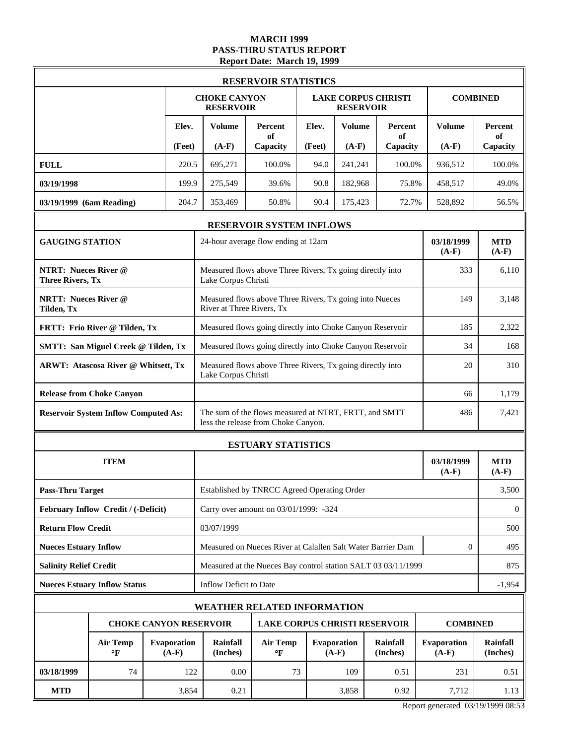# **MARCH 1999 PASS-THRU STATUS REPORT Report Date: March 19, 1999**

|                                           | <b>RESERVOIR STATISTICS</b>                            |  |                               |                                                                                                     |                                                                                  |        |                                                |                             |                        |                             |
|-------------------------------------------|--------------------------------------------------------|--|-------------------------------|-----------------------------------------------------------------------------------------------------|----------------------------------------------------------------------------------|--------|------------------------------------------------|-----------------------------|------------------------|-----------------------------|
|                                           |                                                        |  |                               | <b>CHOKE CANYON</b><br><b>RESERVOIR</b>                                                             |                                                                                  |        | <b>LAKE CORPUS CHRISTI</b><br><b>RESERVOIR</b> |                             |                        | <b>COMBINED</b>             |
|                                           |                                                        |  | Elev.                         | Volume                                                                                              | Percent<br>of                                                                    | Elev.  | <b>Volume</b>                                  | Percent<br>of               | Volume                 | <b>Percent</b><br>of        |
|                                           |                                                        |  | (Feet)                        | $(A-F)$                                                                                             | Capacity                                                                         | (Feet) | $(A-F)$                                        | Capacity                    | $(A-F)$                | Capacity                    |
| <b>FULL</b>                               |                                                        |  | 220.5                         | 695,271                                                                                             | 100.0%                                                                           | 94.0   | 241,241                                        | 100.0%                      | 936,512                | 100.0%                      |
| 03/19/1998                                |                                                        |  | 199.9                         | 275,549                                                                                             | 39.6%                                                                            | 90.8   | 182,968                                        | 75.8%                       | 458,517                | 49.0%                       |
| 03/19/1999 (6am Reading)                  |                                                        |  | 204.7                         | 353,469                                                                                             | 50.8%                                                                            | 90.4   | 175,423                                        | 72.7%                       | 528,892                | 56.5%                       |
|                                           |                                                        |  |                               |                                                                                                     | <b>RESERVOIR SYSTEM INFLOWS</b>                                                  |        |                                                |                             |                        |                             |
| <b>GAUGING STATION</b>                    |                                                        |  |                               |                                                                                                     | 24-hour average flow ending at 12am                                              |        |                                                |                             | 03/18/1999<br>$(A-F)$  | <b>MTD</b><br>$(A-F)$       |
|                                           | <b>NTRT: Nueces River @</b><br><b>Three Rivers, Tx</b> |  |                               |                                                                                                     | Measured flows above Three Rivers, Tx going directly into<br>Lake Corpus Christi |        |                                                |                             |                        |                             |
| <b>NRTT: Nueces River @</b><br>Tilden, Tx |                                                        |  |                               | River at Three Rivers, Tx                                                                           | Measured flows above Three Rivers, Tx going into Nueces                          |        |                                                |                             | 149                    | 3,148                       |
|                                           | FRTT: Frio River @ Tilden, Tx                          |  |                               |                                                                                                     | Measured flows going directly into Choke Canyon Reservoir                        |        |                                                |                             | 185                    | 2,322                       |
|                                           | <b>SMTT: San Miguel Creek @ Tilden, Tx</b>             |  |                               |                                                                                                     | Measured flows going directly into Choke Canyon Reservoir                        |        |                                                |                             | 34                     | 168                         |
|                                           | <b>ARWT: Atascosa River @ Whitsett, Tx</b>             |  |                               | Measured flows above Three Rivers, Tx going directly into<br>Lake Corpus Christi                    | 20                                                                               | 310    |                                                |                             |                        |                             |
|                                           | <b>Release from Choke Canyon</b>                       |  |                               | 66                                                                                                  |                                                                                  |        |                                                |                             |                        |                             |
|                                           | <b>Reservoir System Inflow Computed As:</b>            |  |                               | The sum of the flows measured at NTRT, FRTT, and SMTT<br>486<br>less the release from Choke Canyon. |                                                                                  |        |                                                |                             |                        |                             |
|                                           |                                                        |  |                               | <b>ESTUARY STATISTICS</b>                                                                           |                                                                                  |        |                                                |                             |                        |                             |
|                                           | <b>ITEM</b>                                            |  |                               |                                                                                                     |                                                                                  |        |                                                |                             | 03/18/1999<br>$(A-F)$  | <b>MTD</b><br>$(A-F)$       |
| <b>Pass-Thru Target</b>                   |                                                        |  |                               |                                                                                                     | Established by TNRCC Agreed Operating Order                                      |        |                                                |                             |                        | 3,500                       |
|                                           | February Inflow Credit / (-Deficit)                    |  |                               |                                                                                                     | Carry over amount on 03/01/1999: -324                                            |        |                                                |                             |                        | $\overline{0}$              |
| <b>Return Flow Credit</b>                 |                                                        |  |                               | 03/07/1999                                                                                          |                                                                                  |        |                                                |                             |                        | 500                         |
| <b>Nueces Estuary Inflow</b>              |                                                        |  |                               |                                                                                                     | Measured on Nueces River at Calallen Salt Water Barrier Dam                      |        |                                                |                             | 0                      | 495                         |
| <b>Salinity Relief Credit</b>             |                                                        |  |                               |                                                                                                     | Measured at the Nueces Bay control station SALT 03 03/11/1999                    |        |                                                |                             |                        | 875                         |
|                                           | <b>Nueces Estuary Inflow Status</b>                    |  |                               | Inflow Deficit to Date                                                                              |                                                                                  |        |                                                |                             |                        | $-1,954$                    |
|                                           |                                                        |  |                               | <b>WEATHER RELATED INFORMATION</b>                                                                  |                                                                                  |        |                                                |                             |                        |                             |
|                                           |                                                        |  |                               | <b>CHOKE CANYON RESERVOIR</b>                                                                       | <b>LAKE CORPUS CHRISTI RESERVOIR</b>                                             |        |                                                |                             | <b>COMBINED</b>        |                             |
|                                           | <b>Air Temp</b><br>°F                                  |  | <b>Evaporation</b><br>$(A-F)$ | Rainfall<br>(Inches)                                                                                | <b>Air Temp</b><br>°F                                                            |        | <b>Evaporation</b><br>$(A-F)$                  | <b>Rainfall</b><br>(Inches) | Evaporation<br>$(A-F)$ | <b>Rainfall</b><br>(Inches) |
| 03/18/1999                                | 74                                                     |  | 122                           | 0.00                                                                                                | 73                                                                               |        | 109                                            | 0.51                        | 231                    | 0.51                        |
| <b>MTD</b>                                |                                                        |  | 3,854                         | 0.21<br>3,858<br>0.92                                                                               |                                                                                  |        |                                                | 7,712                       | 1.13                   |                             |

Report generated 03/19/1999 08:53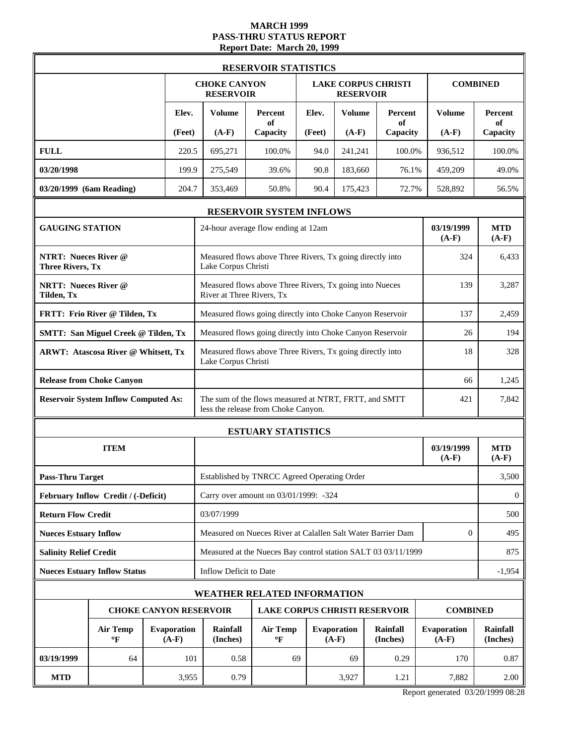### **MARCH 1999 PASS-THRU STATUS REPORT Report Date: March 20, 1999**

|                                                        | <b>RESERVOIR STATISTICS</b>   |                                                                                                     |                                                               |        |                               |                            |                        |                             |  |
|--------------------------------------------------------|-------------------------------|-----------------------------------------------------------------------------------------------------|---------------------------------------------------------------|--------|-------------------------------|----------------------------|------------------------|-----------------------------|--|
|                                                        |                               | <b>CHOKE CANYON</b><br><b>RESERVOIR</b>                                                             |                                                               |        | <b>RESERVOIR</b>              | <b>LAKE CORPUS CHRISTI</b> |                        | <b>COMBINED</b>             |  |
|                                                        | Elev.                         | <b>Volume</b>                                                                                       | <b>Percent</b><br>of                                          | Elev.  | <b>Volume</b>                 | Percent<br>of              | <b>Volume</b>          | Percent<br>of               |  |
|                                                        | (Feet)                        | $(A-F)$                                                                                             | Capacity                                                      | (Feet) | $(A-F)$                       | Capacity                   | $(A-F)$                | Capacity                    |  |
| <b>FULL</b>                                            | 220.5                         | 695,271                                                                                             | 100.0%                                                        | 94.0   | 241,241                       | 100.0%                     | 936,512                | 100.0%                      |  |
| 03/20/1998                                             | 199.9                         | 275,549                                                                                             | 39.6%                                                         | 90.8   | 183,660                       | 76.1%                      | 459,209                | 49.0%                       |  |
| 03/20/1999 (6am Reading)                               | 204.7                         | 353,469                                                                                             | 50.8%                                                         | 90.4   | 175,423                       | 72.7%                      | 528,892                | 56.5%                       |  |
|                                                        |                               |                                                                                                     | RESERVOIR SYSTEM INFLOWS                                      |        |                               |                            |                        |                             |  |
| <b>GAUGING STATION</b>                                 |                               |                                                                                                     | 24-hour average flow ending at 12am                           |        |                               |                            | 03/19/1999<br>$(A-F)$  | <b>MTD</b><br>$(A-F)$       |  |
| <b>NTRT: Nueces River @</b><br><b>Three Rivers, Tx</b> |                               | Measured flows above Three Rivers, Tx going directly into<br>Lake Corpus Christi                    | 324                                                           | 6,433  |                               |                            |                        |                             |  |
| <b>NRTT: Nueces River @</b><br>Tilden, Tx              |                               | Measured flows above Three Rivers, Tx going into Nueces<br>River at Three Rivers, Tx                | 139                                                           | 3,287  |                               |                            |                        |                             |  |
| FRTT: Frio River @ Tilden, Tx                          |                               |                                                                                                     | Measured flows going directly into Choke Canyon Reservoir     |        |                               |                            | 137                    | 2,459                       |  |
| <b>SMTT: San Miguel Creek @ Tilden, Tx</b>             |                               |                                                                                                     | Measured flows going directly into Choke Canyon Reservoir     |        |                               |                            | 26                     | 194                         |  |
| <b>ARWT: Atascosa River @ Whitsett, Tx</b>             |                               | Measured flows above Three Rivers, Tx going directly into<br>Lake Corpus Christi                    |                                                               |        |                               |                            |                        | 328                         |  |
| <b>Release from Choke Canyon</b>                       |                               |                                                                                                     | 66                                                            | 1,245  |                               |                            |                        |                             |  |
| <b>Reservoir System Inflow Computed As:</b>            |                               | The sum of the flows measured at NTRT, FRTT, and SMTT<br>421<br>less the release from Choke Canyon. |                                                               |        |                               |                            |                        |                             |  |
|                                                        |                               | <b>ESTUARY STATISTICS</b>                                                                           |                                                               |        |                               |                            |                        |                             |  |
| <b>ITEM</b>                                            |                               |                                                                                                     |                                                               |        |                               |                            | 03/19/1999<br>$(A-F)$  | <b>MTD</b><br>$(A-F)$       |  |
| <b>Pass-Thru Target</b>                                |                               |                                                                                                     | Established by TNRCC Agreed Operating Order                   |        |                               |                            |                        | 3,500                       |  |
| February Inflow Credit / (-Deficit)                    |                               |                                                                                                     | Carry over amount on 03/01/1999: -324                         |        |                               |                            |                        | $\mathbf{0}$                |  |
| <b>Return Flow Credit</b>                              |                               | 03/07/1999                                                                                          |                                                               |        |                               |                            |                        | 500                         |  |
| <b>Nueces Estuary Inflow</b>                           |                               |                                                                                                     | Measured on Nueces River at Calallen Salt Water Barrier Dam   |        |                               |                            | $\mathbf{0}$           | 495                         |  |
| <b>Salinity Relief Credit</b>                          |                               |                                                                                                     | Measured at the Nueces Bay control station SALT 03 03/11/1999 |        |                               |                            |                        | 875                         |  |
| <b>Nueces Estuary Inflow Status</b>                    |                               | Inflow Deficit to Date                                                                              |                                                               |        |                               |                            |                        | $-1,954$                    |  |
|                                                        |                               |                                                                                                     | <b>WEATHER RELATED INFORMATION</b>                            |        |                               |                            |                        |                             |  |
| <b>CHOKE CANYON RESERVOIR</b>                          |                               |                                                                                                     | <b>LAKE CORPUS CHRISTI RESERVOIR</b>                          |        |                               |                            | <b>COMBINED</b>        |                             |  |
| <b>Air Temp</b><br>$\mathbf{P}$                        | <b>Evaporation</b><br>$(A-F)$ | Rainfall<br>(Inches)                                                                                | <b>Air Temp</b><br>$\mathbf{P}$                               |        | <b>Evaporation</b><br>$(A-F)$ | Rainfall<br>(Inches)       | Evaporation<br>$(A-F)$ | <b>Rainfall</b><br>(Inches) |  |
| 03/19/1999<br>64                                       | 101                           | 0.58                                                                                                | 69                                                            |        | 69                            | 0.29                       | 170                    | 0.87                        |  |
| <b>MTD</b>                                             | 3,955                         | 0.79<br>3,927<br>1.21                                                                               |                                                               |        | 7,882                         | 2.00                       |                        |                             |  |

Report generated 03/20/1999 08:28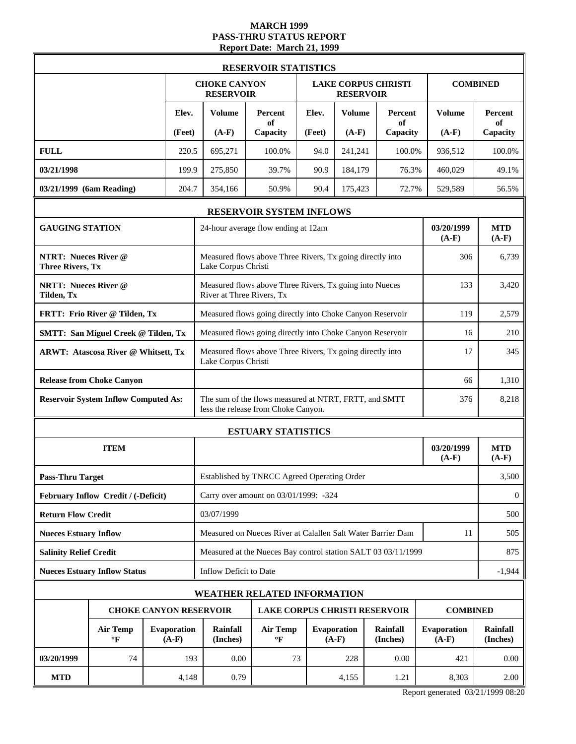# **MARCH 1999 PASS-THRU STATUS REPORT Report Date: March 21, 1999**

|                                                        |                               |                                                                                                     | <b>RESERVOIR STATISTICS</b>                                   |        |                               |                            |                               |                             |  |
|--------------------------------------------------------|-------------------------------|-----------------------------------------------------------------------------------------------------|---------------------------------------------------------------|--------|-------------------------------|----------------------------|-------------------------------|-----------------------------|--|
|                                                        |                               | <b>CHOKE CANYON</b><br><b>RESERVOIR</b>                                                             |                                                               |        | <b>RESERVOIR</b>              | <b>LAKE CORPUS CHRISTI</b> |                               | <b>COMBINED</b>             |  |
|                                                        | Elev.                         | <b>Volume</b>                                                                                       | Percent<br>оf                                                 | Elev.  | <b>Volume</b>                 | Percent<br>of              | <b>Volume</b>                 | Percent<br>of               |  |
|                                                        | (Feet)                        | $(A-F)$                                                                                             | Capacity                                                      | (Feet) | $(A-F)$                       | Capacity                   | $(A-F)$                       | Capacity                    |  |
| <b>FULL</b>                                            | 220.5                         | 695,271                                                                                             | 100.0%                                                        | 94.0   | 241,241                       | 100.0%                     | 936,512                       | 100.0%                      |  |
| 03/21/1998                                             | 199.9                         | 275,850                                                                                             | 39.7%                                                         | 90.9   | 184,179                       | 76.3%                      | 460,029                       | 49.1%                       |  |
| 03/21/1999 (6am Reading)                               | 204.7                         | 354,166                                                                                             | 50.9%                                                         | 90.4   | 175,423                       | 72.7%                      | 529,589                       | 56.5%                       |  |
|                                                        |                               |                                                                                                     | <b>RESERVOIR SYSTEM INFLOWS</b>                               |        |                               |                            |                               |                             |  |
| <b>GAUGING STATION</b>                                 |                               |                                                                                                     | 24-hour average flow ending at 12am                           |        |                               |                            | 03/20/1999<br>$(A-F)$         | <b>MTD</b><br>$(A-F)$       |  |
| <b>NTRT: Nueces River @</b><br><b>Three Rivers, Tx</b> |                               | Measured flows above Three Rivers, Tx going directly into<br>Lake Corpus Christi                    |                                                               |        |                               |                            |                               | 6,739                       |  |
| <b>NRTT: Nueces River @</b><br><b>Tilden</b> , Tx      |                               | River at Three Rivers, Tx                                                                           | Measured flows above Three Rivers, Tx going into Nueces       |        |                               |                            | 133                           | 3,420                       |  |
| FRTT: Frio River @ Tilden, Tx                          |                               |                                                                                                     | Measured flows going directly into Choke Canyon Reservoir     |        |                               |                            | 119                           | 2,579                       |  |
| <b>SMTT: San Miguel Creek @ Tilden, Tx</b>             |                               |                                                                                                     | Measured flows going directly into Choke Canyon Reservoir     |        |                               |                            | 16                            | 210                         |  |
| <b>ARWT: Atascosa River @ Whitsett, Tx</b>             |                               | Measured flows above Three Rivers, Tx going directly into<br>Lake Corpus Christi                    | 17                                                            | 345    |                               |                            |                               |                             |  |
| <b>Release from Choke Canyon</b>                       |                               |                                                                                                     |                                                               |        |                               |                            | 66                            | 1,310                       |  |
| <b>Reservoir System Inflow Computed As:</b>            |                               | The sum of the flows measured at NTRT, FRTT, and SMTT<br>376<br>less the release from Choke Canyon. |                                                               |        |                               |                            |                               |                             |  |
|                                                        |                               | <b>ESTUARY STATISTICS</b>                                                                           |                                                               |        |                               |                            |                               |                             |  |
| <b>ITEM</b>                                            |                               |                                                                                                     |                                                               |        |                               |                            | 03/20/1999<br>$(A-F)$         | <b>MTD</b><br>$(A-F)$       |  |
| <b>Pass-Thru Target</b>                                |                               |                                                                                                     | Established by TNRCC Agreed Operating Order                   |        |                               |                            |                               | 3,500                       |  |
| February Inflow Credit / (-Deficit)                    |                               |                                                                                                     | Carry over amount on 03/01/1999: -324                         |        |                               |                            |                               | $\mathbf{0}$                |  |
| <b>Return Flow Credit</b>                              |                               | 03/07/1999                                                                                          |                                                               |        |                               |                            |                               | 500                         |  |
| <b>Nueces Estuary Inflow</b>                           |                               |                                                                                                     | Measured on Nueces River at Calallen Salt Water Barrier Dam   |        |                               |                            | 11                            | 505                         |  |
| <b>Salinity Relief Credit</b>                          |                               |                                                                                                     | Measured at the Nueces Bay control station SALT 03 03/11/1999 |        |                               |                            |                               | 875                         |  |
| <b>Nueces Estuary Inflow Status</b>                    |                               | Inflow Deficit to Date                                                                              |                                                               |        |                               |                            |                               | $-1,944$                    |  |
|                                                        |                               |                                                                                                     | <b>WEATHER RELATED INFORMATION</b>                            |        |                               |                            |                               |                             |  |
| <b>CHOKE CANYON RESERVOIR</b>                          |                               |                                                                                                     | <b>LAKE CORPUS CHRISTI RESERVOIR</b>                          |        |                               |                            | <b>COMBINED</b>               |                             |  |
| <b>Air Temp</b><br>$\mathbf{P}$                        | <b>Evaporation</b><br>$(A-F)$ | Rainfall<br>(Inches)                                                                                | <b>Air Temp</b><br>°F                                         |        | <b>Evaporation</b><br>$(A-F)$ | Rainfall<br>(Inches)       | <b>Evaporation</b><br>$(A-F)$ | <b>Rainfall</b><br>(Inches) |  |
| 03/20/1999<br>74                                       | 193                           | 0.00                                                                                                | 73                                                            |        | 228                           | 0.00                       | 421                           | 0.00                        |  |
| <b>MTD</b>                                             | 4,148                         | 0.79                                                                                                |                                                               |        | 4,155                         | 1.21                       | 8,303                         | 2.00                        |  |

Report generated 03/21/1999 08:20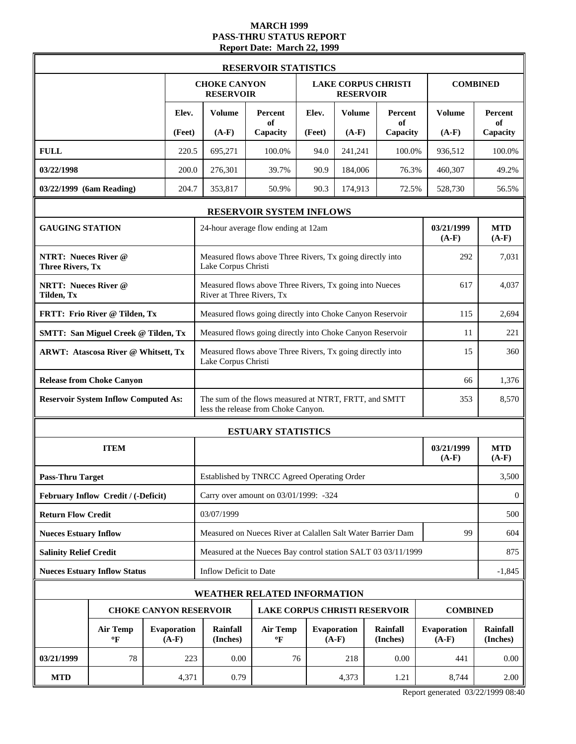#### **MARCH 1999 PASS-THRU STATUS REPORT Report Date: March 22, 1999**

|                                                        |                               |                                                                                                     | <b>RESERVOIR STATISTICS</b>                                   |        |                               |                            |                               |                             |
|--------------------------------------------------------|-------------------------------|-----------------------------------------------------------------------------------------------------|---------------------------------------------------------------|--------|-------------------------------|----------------------------|-------------------------------|-----------------------------|
|                                                        |                               | <b>CHOKE CANYON</b><br><b>RESERVOIR</b>                                                             |                                                               |        | <b>RESERVOIR</b>              | <b>LAKE CORPUS CHRISTI</b> |                               | <b>COMBINED</b>             |
|                                                        | Elev.                         | <b>Volume</b>                                                                                       | Percent<br>of                                                 | Elev.  | <b>Volume</b>                 | Percent<br>of              | <b>Volume</b>                 | <b>Percent</b><br>of        |
|                                                        | (Feet)                        | $(A-F)$                                                                                             | Capacity                                                      | (Feet) | $(A-F)$                       | Capacity                   | $(A-F)$                       | Capacity                    |
| <b>FULL</b>                                            | 220.5                         | 695,271                                                                                             | 100.0%                                                        | 94.0   | 241,241                       | 100.0%                     | 936,512                       | 100.0%                      |
| 03/22/1998                                             | 200.0                         | 276,301                                                                                             | 39.7%                                                         | 90.9   | 184,006                       | 76.3%                      | 460,307                       | 49.2%                       |
| 03/22/1999 (6am Reading)                               | 204.7                         | 353,817                                                                                             | 50.9%                                                         | 90.3   | 174,913                       | 72.5%                      | 528,730                       | 56.5%                       |
|                                                        |                               |                                                                                                     | <b>RESERVOIR SYSTEM INFLOWS</b>                               |        |                               |                            |                               |                             |
| <b>GAUGING STATION</b>                                 |                               |                                                                                                     | 24-hour average flow ending at 12am                           |        |                               |                            | 03/21/1999<br>$(A-F)$         | <b>MTD</b><br>$(A-F)$       |
| <b>NTRT: Nueces River @</b><br><b>Three Rivers, Tx</b> |                               | Measured flows above Three Rivers, Tx going directly into<br>Lake Corpus Christi                    | 292                                                           | 7,031  |                               |                            |                               |                             |
| <b>NRTT: Nueces River @</b><br>Tilden, Tx              |                               | Measured flows above Three Rivers, Tx going into Nueces<br>River at Three Rivers, Tx                | 617                                                           | 4,037  |                               |                            |                               |                             |
| FRTT: Frio River @ Tilden, Tx                          |                               |                                                                                                     | Measured flows going directly into Choke Canyon Reservoir     |        |                               |                            | 115                           | 2,694                       |
| <b>SMTT: San Miguel Creek @ Tilden, Tx</b>             |                               |                                                                                                     | Measured flows going directly into Choke Canyon Reservoir     |        |                               |                            | 11                            | 221                         |
| <b>ARWT: Atascosa River @ Whitsett, Tx</b>             |                               | Measured flows above Three Rivers, Tx going directly into<br>15<br>Lake Corpus Christi              |                                                               |        |                               |                            |                               |                             |
| <b>Release from Choke Canyon</b>                       |                               | 66                                                                                                  |                                                               |        |                               |                            |                               |                             |
| <b>Reservoir System Inflow Computed As:</b>            |                               | The sum of the flows measured at NTRT, FRTT, and SMTT<br>353<br>less the release from Choke Canyon. |                                                               |        |                               |                            |                               |                             |
|                                                        |                               |                                                                                                     | <b>ESTUARY STATISTICS</b>                                     |        |                               |                            |                               |                             |
| <b>ITEM</b>                                            |                               |                                                                                                     |                                                               |        |                               |                            | 03/21/1999<br>$(A-F)$         | <b>MTD</b><br>$(A-F)$       |
| <b>Pass-Thru Target</b>                                |                               |                                                                                                     | Established by TNRCC Agreed Operating Order                   |        |                               |                            |                               | 3,500                       |
| February Inflow Credit / (-Deficit)                    |                               |                                                                                                     | Carry over amount on 03/01/1999: -324                         |        |                               |                            |                               | $\mathbf{0}$                |
| <b>Return Flow Credit</b>                              |                               | 03/07/1999                                                                                          |                                                               |        |                               |                            |                               | 500                         |
| <b>Nueces Estuary Inflow</b>                           |                               |                                                                                                     | Measured on Nueces River at Calallen Salt Water Barrier Dam   |        |                               |                            | 99                            | 604                         |
| <b>Salinity Relief Credit</b>                          |                               |                                                                                                     | Measured at the Nueces Bay control station SALT 03 03/11/1999 |        |                               |                            |                               | 875                         |
| <b>Nueces Estuary Inflow Status</b>                    |                               | Inflow Deficit to Date                                                                              |                                                               |        |                               |                            |                               | $-1,845$                    |
|                                                        |                               |                                                                                                     | <b>WEATHER RELATED INFORMATION</b>                            |        |                               |                            |                               |                             |
| <b>CHOKE CANYON RESERVOIR</b>                          |                               |                                                                                                     | LAKE CORPUS CHRISTI RESERVOIR                                 |        |                               |                            | <b>COMBINED</b>               |                             |
| <b>Air Temp</b><br>$\mathbf{P}$                        | <b>Evaporation</b><br>$(A-F)$ | <b>Rainfall</b><br>(Inches)                                                                         | <b>Air Temp</b><br>°F                                         |        | <b>Evaporation</b><br>$(A-F)$ | Rainfall<br>(Inches)       | <b>Evaporation</b><br>$(A-F)$ | <b>Rainfall</b><br>(Inches) |
| 03/21/1999<br>78                                       | 223                           | 0.00                                                                                                | 76                                                            |        | 218                           | 0.00                       | 441                           | 0.00                        |
| <b>MTD</b>                                             | 4,371                         | 0.79                                                                                                |                                                               |        | 4,373                         | 1.21                       | 8,744                         | 2.00                        |

Report generated 03/22/1999 08:40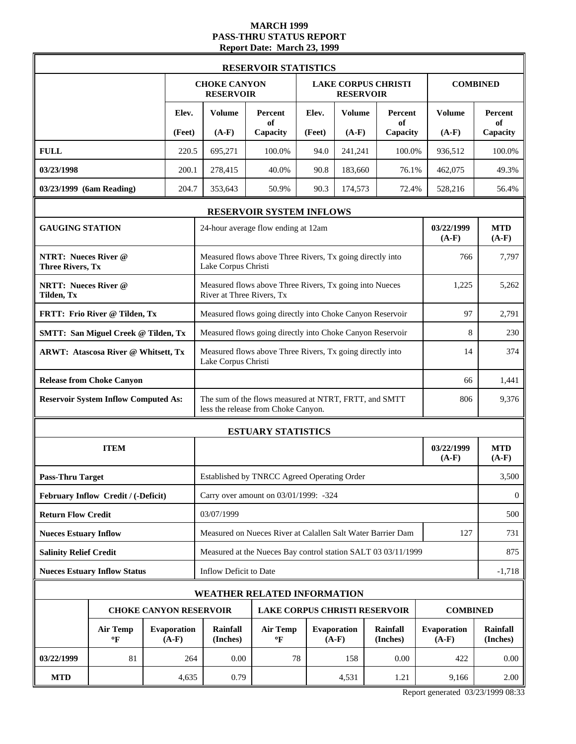#### **MARCH 1999 PASS-THRU STATUS REPORT Report Date: March 23, 1999**

|                                                        |                                                                  |  |                           |                                                                                                     | <b>RESERVOIR STATISTICS</b>                                   |        |                               |                             |                        |                       |  |  |
|--------------------------------------------------------|------------------------------------------------------------------|--|---------------------------|-----------------------------------------------------------------------------------------------------|---------------------------------------------------------------|--------|-------------------------------|-----------------------------|------------------------|-----------------------|--|--|
|                                                        |                                                                  |  |                           | <b>CHOKE CANYON</b><br><b>RESERVOIR</b>                                                             |                                                               |        | <b>RESERVOIR</b>              | <b>LAKE CORPUS CHRISTI</b>  |                        | <b>COMBINED</b>       |  |  |
|                                                        |                                                                  |  | Elev.                     | <b>Volume</b>                                                                                       | <b>Percent</b><br>of                                          | Elev.  | <b>Volume</b>                 | Percent<br>of               | <b>Volume</b>          | Percent<br>of         |  |  |
|                                                        |                                                                  |  | (Feet)                    | $(A-F)$                                                                                             | Capacity                                                      | (Feet) | $(A-F)$                       | Capacity                    | $(A-F)$                | Capacity              |  |  |
| <b>FULL</b>                                            |                                                                  |  | 220.5                     | 695,271                                                                                             | 100.0%                                                        | 94.0   | 241,241                       | 100.0%                      | 936,512                | 100.0%                |  |  |
| 03/23/1998                                             |                                                                  |  | 200.1                     | 278,415                                                                                             | 40.0%                                                         | 90.8   | 183,660                       | 76.1%                       | 462,075                | 49.3%                 |  |  |
| 03/23/1999 (6am Reading)                               |                                                                  |  | 204.7                     | 353,643                                                                                             | 50.9%                                                         | 90.3   | 174,573                       | 72.4%                       | 528,216                | 56.4%                 |  |  |
|                                                        |                                                                  |  |                           |                                                                                                     | RESERVOIR SYSTEM INFLOWS                                      |        |                               |                             |                        |                       |  |  |
| <b>GAUGING STATION</b>                                 |                                                                  |  |                           |                                                                                                     | 24-hour average flow ending at 12am                           |        |                               |                             | 03/22/1999<br>$(A-F)$  | <b>MTD</b><br>$(A-F)$ |  |  |
| <b>NTRT: Nueces River @</b><br><b>Three Rivers, Tx</b> |                                                                  |  |                           | Measured flows above Three Rivers, Tx going directly into<br>Lake Corpus Christi                    | 766                                                           | 7,797  |                               |                             |                        |                       |  |  |
| <b>NRTT: Nueces River @</b><br>Tilden, Tx              |                                                                  |  | River at Three Rivers, Tx | Measured flows above Three Rivers, Tx going into Nueces                                             |                                                               |        |                               | 1,225                       | 5,262                  |                       |  |  |
|                                                        | FRTT: Frio River @ Tilden, Tx                                    |  |                           | Measured flows going directly into Choke Canyon Reservoir                                           |                                                               |        |                               | 97                          | 2,791                  |                       |  |  |
|                                                        | <b>SMTT: San Miguel Creek @ Tilden, Tx</b>                       |  |                           |                                                                                                     | Measured flows going directly into Choke Canyon Reservoir     |        |                               |                             | 8                      | 230                   |  |  |
| <b>ARWT: Atascosa River @ Whitsett, Tx</b>             |                                                                  |  |                           | Measured flows above Three Rivers, Tx going directly into<br>Lake Corpus Christi                    | 14                                                            | 374    |                               |                             |                        |                       |  |  |
|                                                        | <b>Release from Choke Canyon</b>                                 |  |                           | 66                                                                                                  |                                                               |        |                               |                             |                        |                       |  |  |
|                                                        | <b>Reservoir System Inflow Computed As:</b>                      |  |                           | The sum of the flows measured at NTRT, FRTT, and SMTT<br>806<br>less the release from Choke Canyon. |                                                               |        |                               |                             |                        |                       |  |  |
|                                                        |                                                                  |  |                           |                                                                                                     | <b>ESTUARY STATISTICS</b>                                     |        |                               |                             |                        |                       |  |  |
|                                                        | <b>ITEM</b>                                                      |  |                           |                                                                                                     |                                                               |        |                               |                             | 03/22/1999<br>$(A-F)$  | <b>MTD</b><br>$(A-F)$ |  |  |
| <b>Pass-Thru Target</b>                                |                                                                  |  |                           |                                                                                                     | Established by TNRCC Agreed Operating Order                   |        |                               |                             |                        | 3,500                 |  |  |
|                                                        | February Inflow Credit / (-Deficit)                              |  |                           |                                                                                                     | Carry over amount on 03/01/1999: -324                         |        |                               |                             |                        | $\mathbf{0}$          |  |  |
| <b>Return Flow Credit</b>                              |                                                                  |  |                           | 03/07/1999                                                                                          |                                                               |        |                               |                             |                        | 500                   |  |  |
| <b>Nueces Estuary Inflow</b>                           |                                                                  |  |                           |                                                                                                     | Measured on Nueces River at Calallen Salt Water Barrier Dam   |        |                               |                             | 127                    | 731                   |  |  |
| <b>Salinity Relief Credit</b>                          |                                                                  |  |                           |                                                                                                     | Measured at the Nueces Bay control station SALT 03 03/11/1999 |        |                               |                             |                        | 875                   |  |  |
|                                                        | <b>Nueces Estuary Inflow Status</b>                              |  |                           | Inflow Deficit to Date                                                                              |                                                               |        |                               |                             |                        | $-1,718$              |  |  |
|                                                        |                                                                  |  |                           |                                                                                                     | <b>WEATHER RELATED INFORMATION</b>                            |        |                               |                             |                        |                       |  |  |
|                                                        | <b>CHOKE CANYON RESERVOIR</b>                                    |  |                           |                                                                                                     | <b>LAKE CORPUS CHRISTI RESERVOIR</b>                          |        |                               |                             | <b>COMBINED</b>        |                       |  |  |
|                                                        | <b>Air Temp</b><br><b>Evaporation</b><br>$(A-F)$<br>$\mathbf{P}$ |  |                           | Rainfall<br>(Inches)                                                                                | <b>Air Temp</b><br>$\mathbf{P}$                               |        | <b>Evaporation</b><br>$(A-F)$ | <b>Rainfall</b><br>(Inches) | Evaporation<br>$(A-F)$ | Rainfall<br>(Inches)  |  |  |
| 03/22/1999                                             | 81                                                               |  | 264                       | 0.00                                                                                                | 78                                                            |        | 158                           | 0.00                        | 422                    | 0.00                  |  |  |
| <b>MTD</b>                                             |                                                                  |  | 4,635                     | 0.79                                                                                                |                                                               |        | 4,531                         | 1.21                        | 9,166                  | 2.00                  |  |  |

Report generated 03/23/1999 08:33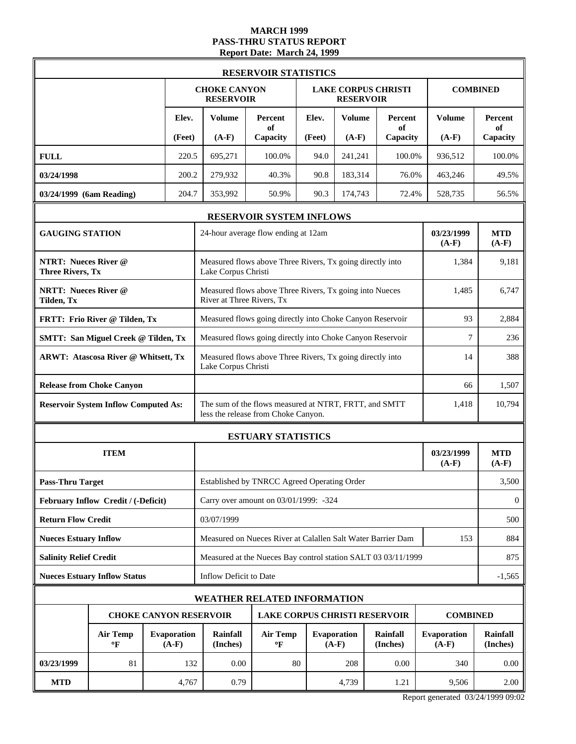### **MARCH 1999 PASS-THRU STATUS REPORT Report Date: March 24, 1999**

|                                                        |                                                        | <b>RESERVOIR STATISTICS</b> |        |                                                                                  |                                                                                              |        |                               |                            |                        |                       |
|--------------------------------------------------------|--------------------------------------------------------|-----------------------------|--------|----------------------------------------------------------------------------------|----------------------------------------------------------------------------------------------|--------|-------------------------------|----------------------------|------------------------|-----------------------|
|                                                        |                                                        |                             |        | <b>CHOKE CANYON</b><br><b>RESERVOIR</b>                                          |                                                                                              |        | <b>RESERVOIR</b>              | <b>LAKE CORPUS CHRISTI</b> |                        | <b>COMBINED</b>       |
|                                                        |                                                        |                             | Elev.  | <b>Volume</b>                                                                    | Percent<br>of                                                                                | Elev.  | <b>Volume</b>                 | Percent<br>of              | <b>Volume</b>          | Percent<br>of         |
|                                                        |                                                        |                             | (Feet) | $(A-F)$                                                                          | Capacity                                                                                     | (Feet) | $(A-F)$                       | Capacity                   | $(A-F)$                | Capacity              |
| <b>FULL</b>                                            |                                                        |                             | 220.5  | 695,271                                                                          | 100.0%                                                                                       | 94.0   | 241,241                       | 100.0%                     | 936,512                | 100.0%                |
| 03/24/1998                                             |                                                        |                             | 200.2  | 279,932                                                                          | 40.3%                                                                                        | 90.8   | 183,314                       | 76.0%                      | 463,246                | 49.5%                 |
| 03/24/1999 (6am Reading)                               |                                                        |                             | 204.7  | 353,992                                                                          | 50.9%                                                                                        | 90.3   | 174,743                       | 72.4%                      | 528,735                | 56.5%                 |
|                                                        |                                                        |                             |        |                                                                                  | RESERVOIR SYSTEM INFLOWS                                                                     |        |                               |                            |                        |                       |
| <b>GAUGING STATION</b>                                 |                                                        |                             |        |                                                                                  | 24-hour average flow ending at 12am                                                          |        |                               |                            | 03/23/1999<br>$(A-F)$  | <b>MTD</b><br>$(A-F)$ |
| <b>NTRT: Nueces River @</b><br><b>Three Rivers, Tx</b> |                                                        |                             |        | Measured flows above Three Rivers, Tx going directly into<br>Lake Corpus Christi | 1,384                                                                                        | 9.181  |                               |                            |                        |                       |
| Tilden, Tx                                             | <b>NRTT: Nueces River @</b>                            |                             |        |                                                                                  | Measured flows above Three Rivers, Tx going into Nueces<br>River at Three Rivers, Tx         |        |                               |                            | 1,485                  | 6,747                 |
|                                                        | FRTT: Frio River @ Tilden, Tx                          |                             |        | Measured flows going directly into Choke Canyon Reservoir                        | 93                                                                                           | 2,884  |                               |                            |                        |                       |
|                                                        | <b>SMTT: San Miguel Creek @ Tilden, Tx</b>             |                             |        |                                                                                  | Measured flows going directly into Choke Canyon Reservoir                                    |        |                               |                            | 7                      | 236                   |
| <b>ARWT: Atascosa River @ Whitsett, Tx</b>             |                                                        |                             |        | Measured flows above Three Rivers, Tx going directly into<br>Lake Corpus Christi | 14                                                                                           | 388    |                               |                            |                        |                       |
|                                                        | <b>Release from Choke Canyon</b>                       |                             |        |                                                                                  |                                                                                              |        |                               |                            | 66                     | 1,507                 |
|                                                        | <b>Reservoir System Inflow Computed As:</b>            |                             |        |                                                                                  | The sum of the flows measured at NTRT, FRTT, and SMTT<br>less the release from Choke Canyon. |        |                               |                            | 1,418                  | 10,794                |
|                                                        |                                                        |                             |        | <b>ESTUARY STATISTICS</b>                                                        |                                                                                              |        |                               |                            |                        |                       |
|                                                        | <b>ITEM</b>                                            |                             |        |                                                                                  |                                                                                              |        |                               |                            | 03/23/1999<br>$(A-F)$  | <b>MTD</b><br>$(A-F)$ |
| <b>Pass-Thru Target</b>                                |                                                        |                             |        |                                                                                  | Established by TNRCC Agreed Operating Order                                                  |        |                               |                            |                        | 3,500                 |
|                                                        | February Inflow Credit / (-Deficit)                    |                             |        |                                                                                  | Carry over amount on 03/01/1999: -324                                                        |        |                               |                            |                        | $\overline{0}$        |
| <b>Return Flow Credit</b>                              |                                                        |                             |        | 03/07/1999                                                                       |                                                                                              |        |                               |                            |                        | 500                   |
| <b>Nueces Estuary Inflow</b>                           |                                                        |                             |        |                                                                                  | Measured on Nueces River at Calallen Salt Water Barrier Dam                                  |        |                               |                            | 153                    | 884                   |
| <b>Salinity Relief Credit</b>                          |                                                        |                             |        |                                                                                  | Measured at the Nueces Bay control station SALT 03 03/11/1999                                |        |                               |                            |                        | 875                   |
|                                                        | <b>Nueces Estuary Inflow Status</b>                    |                             |        | Inflow Deficit to Date                                                           |                                                                                              |        |                               |                            |                        | $-1,565$              |
|                                                        |                                                        |                             |        |                                                                                  | <b>WEATHER RELATED INFORMATION</b>                                                           |        |                               |                            |                        |                       |
|                                                        | <b>CHOKE CANYON RESERVOIR</b>                          |                             |        |                                                                                  | <b>LAKE CORPUS CHRISTI RESERVOIR</b>                                                         |        |                               |                            | <b>COMBINED</b>        |                       |
|                                                        | <b>Air Temp</b><br><b>Evaporation</b><br>$(A-F)$<br>°F |                             |        | Rainfall<br>(Inches)                                                             | <b>Air Temp</b><br>$\mathbf{P}$                                                              |        | <b>Evaporation</b><br>$(A-F)$ | Rainfall<br>(Inches)       | Evaporation<br>$(A-F)$ | Rainfall<br>(Inches)  |
| 03/23/1999                                             | 81                                                     |                             | 132    | 0.00                                                                             | 80                                                                                           |        | 208                           | 0.00                       | 340                    | 0.00                  |
| <b>MTD</b>                                             |                                                        |                             | 4,767  | 0.79                                                                             |                                                                                              |        | 4,739                         | 1.21                       | 9,506                  | 2.00                  |

Report generated 03/24/1999 09:02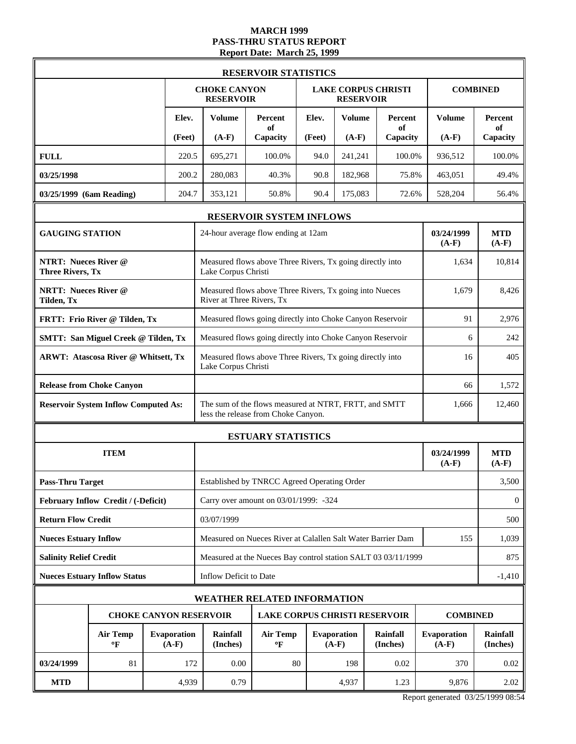### **MARCH 1999 PASS-THRU STATUS REPORT Report Date: March 25, 1999**

|                                                        | <b>RESERVOIR STATISTICS</b>                 |  |                               |                                                                                                       |                                                           |        |                                                |                             |                               |                             |  |
|--------------------------------------------------------|---------------------------------------------|--|-------------------------------|-------------------------------------------------------------------------------------------------------|-----------------------------------------------------------|--------|------------------------------------------------|-----------------------------|-------------------------------|-----------------------------|--|
|                                                        |                                             |  |                               | <b>CHOKE CANYON</b><br><b>RESERVOIR</b>                                                               |                                                           |        | <b>LAKE CORPUS CHRISTI</b><br><b>RESERVOIR</b> |                             |                               | <b>COMBINED</b>             |  |
|                                                        |                                             |  | Elev.                         | <b>Volume</b>                                                                                         | Percent<br>of                                             | Elev.  | <b>Volume</b>                                  | Percent<br>of               | <b>Volume</b>                 | <b>Percent</b><br>of        |  |
|                                                        |                                             |  | (Feet)                        | $(A-F)$                                                                                               | Capacity                                                  | (Feet) | $(A-F)$                                        | Capacity                    | $(A-F)$                       | Capacity                    |  |
| <b>FULL</b>                                            |                                             |  | 220.5                         | 695,271                                                                                               | 100.0%                                                    | 94.0   | 241,241                                        | 100.0%                      | 936,512                       | 100.0%                      |  |
| 03/25/1998                                             |                                             |  | 200.2                         | 280,083                                                                                               | 40.3%                                                     | 90.8   | 182,968                                        | 75.8%                       | 463,051                       | 49.4%                       |  |
| 03/25/1999 (6am Reading)                               |                                             |  | 204.7                         | 353,121                                                                                               | 50.8%                                                     | 90.4   | 175,083                                        | 72.6%                       | 528,204                       | 56.4%                       |  |
|                                                        |                                             |  |                               |                                                                                                       | RESERVOIR SYSTEM INFLOWS                                  |        |                                                |                             |                               |                             |  |
| <b>GAUGING STATION</b>                                 |                                             |  |                               | 24-hour average flow ending at 12am                                                                   | <b>MTD</b><br>$(A-F)$                                     |        |                                                |                             |                               |                             |  |
| <b>NTRT: Nueces River @</b><br><b>Three Rivers, Tx</b> |                                             |  |                               | Lake Corpus Christi                                                                                   | Measured flows above Three Rivers, Tx going directly into |        |                                                |                             | 1,634                         | 10,814                      |  |
| <b>NRTT: Nueces River @</b><br>Tilden, Tx              |                                             |  |                               | River at Three Rivers, Tx                                                                             | Measured flows above Three Rivers, Tx going into Nueces   |        |                                                |                             | 1,679                         | 8.426                       |  |
|                                                        | FRTT: Frio River @ Tilden, Tx               |  |                               |                                                                                                       | Measured flows going directly into Choke Canyon Reservoir | 91     | 2,976                                          |                             |                               |                             |  |
|                                                        | <b>SMTT: San Miguel Creek @ Tilden, Tx</b>  |  |                               |                                                                                                       | Measured flows going directly into Choke Canyon Reservoir | 6      | 242                                            |                             |                               |                             |  |
| <b>ARWT: Atascosa River @ Whitsett, Tx</b>             |                                             |  |                               | Measured flows above Three Rivers, Tx going directly into<br>Lake Corpus Christi                      | 16                                                        | 405    |                                                |                             |                               |                             |  |
|                                                        | <b>Release from Choke Canyon</b>            |  |                               |                                                                                                       |                                                           |        |                                                |                             |                               | 1,572                       |  |
|                                                        | <b>Reservoir System Inflow Computed As:</b> |  |                               | The sum of the flows measured at NTRT, FRTT, and SMTT<br>1,666<br>less the release from Choke Canyon. |                                                           |        |                                                |                             |                               |                             |  |
|                                                        |                                             |  |                               |                                                                                                       | <b>ESTUARY STATISTICS</b>                                 |        |                                                |                             |                               |                             |  |
|                                                        | <b>ITEM</b>                                 |  |                               |                                                                                                       |                                                           |        |                                                |                             | 03/24/1999<br>$(A-F)$         | <b>MTD</b><br>$(A-F)$       |  |
| <b>Pass-Thru Target</b>                                |                                             |  |                               | Established by TNRCC Agreed Operating Order                                                           |                                                           | 3,500  |                                                |                             |                               |                             |  |
|                                                        | February Inflow Credit / (-Deficit)         |  |                               | Carry over amount on 03/01/1999: -324                                                                 |                                                           |        |                                                |                             |                               |                             |  |
| <b>Return Flow Credit</b>                              |                                             |  |                               | 03/07/1999                                                                                            |                                                           |        |                                                |                             |                               |                             |  |
| <b>Nueces Estuary Inflow</b>                           |                                             |  |                               | Measured on Nueces River at Calallen Salt Water Barrier Dam                                           | 1,039                                                     |        |                                                |                             |                               |                             |  |
| <b>Salinity Relief Credit</b>                          |                                             |  |                               | Measured at the Nueces Bay control station SALT 03 03/11/1999                                         |                                                           |        |                                                |                             |                               |                             |  |
|                                                        | <b>Nueces Estuary Inflow Status</b>         |  |                               | Inflow Deficit to Date                                                                                |                                                           |        |                                                |                             |                               | $-1,410$                    |  |
|                                                        |                                             |  |                               | <b>WEATHER RELATED INFORMATION</b>                                                                    |                                                           |        |                                                |                             |                               |                             |  |
|                                                        |                                             |  |                               | <b>CHOKE CANYON RESERVOIR</b>                                                                         | <b>LAKE CORPUS CHRISTI RESERVOIR</b>                      |        |                                                |                             | <b>COMBINED</b>               |                             |  |
|                                                        | <b>Air Temp</b><br>$\mathbf{P}$             |  | <b>Evaporation</b><br>$(A-F)$ | <b>Rainfall</b><br>(Inches)                                                                           | <b>Air Temp</b><br>$\mathbf{P}$                           |        | <b>Evaporation</b><br>$(A-F)$                  | <b>Rainfall</b><br>(Inches) | <b>Evaporation</b><br>$(A-F)$ | <b>Rainfall</b><br>(Inches) |  |
| 03/24/1999                                             | 81                                          |  | 172                           | 0.00                                                                                                  | 80                                                        |        | 198                                            | 0.02                        | 370                           | 0.02                        |  |
| <b>MTD</b>                                             |                                             |  | 4,939                         | 0.79                                                                                                  |                                                           |        | 4,937                                          | 1.23                        | 9,876                         | 2.02                        |  |

Report generated 03/25/1999 08:54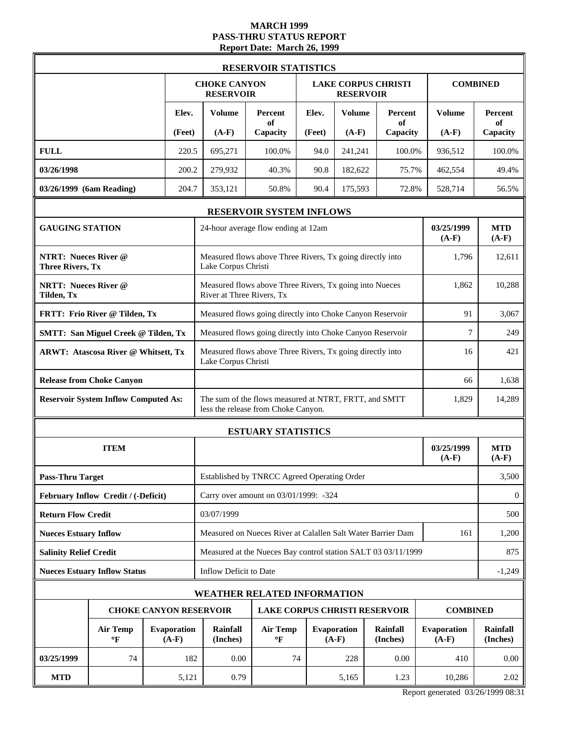# **MARCH 1999 PASS-THRU STATUS REPORT Report Date: March 26, 1999**

|                                                        |                                 |  |                               |                                                                                                       | <b>RESERVOIR STATISTICS</b>                               |                       |                               |                            |                        |                             |  |
|--------------------------------------------------------|---------------------------------|--|-------------------------------|-------------------------------------------------------------------------------------------------------|-----------------------------------------------------------|-----------------------|-------------------------------|----------------------------|------------------------|-----------------------------|--|
|                                                        |                                 |  |                               | <b>CHOKE CANYON</b><br><b>RESERVOIR</b>                                                               |                                                           |                       | <b>RESERVOIR</b>              | <b>LAKE CORPUS CHRISTI</b> |                        | <b>COMBINED</b>             |  |
|                                                        |                                 |  | Elev.                         | <b>Volume</b>                                                                                         | Percent<br>of                                             | Elev.                 | <b>Volume</b>                 | Percent<br>of              | <b>Volume</b>          | Percent<br>of               |  |
|                                                        |                                 |  | (Feet)                        | $(A-F)$                                                                                               | Capacity                                                  | (Feet)                | $(A-F)$                       | Capacity                   | $(A-F)$                | Capacity                    |  |
| <b>FULL</b>                                            |                                 |  | 220.5                         | 695,271                                                                                               | 100.0%                                                    | 94.0                  | 241,241                       | 100.0%                     | 936,512                | 100.0%                      |  |
| 03/26/1998                                             |                                 |  | 200.2                         | 279,932                                                                                               | 40.3%                                                     | 90.8                  | 182,622                       | 75.7%                      | 462,554                | 49.4%                       |  |
| 03/26/1999 (6am Reading)                               |                                 |  | 204.7                         | 353,121                                                                                               | 50.8%                                                     | 90.4                  | 175,593                       | 72.8%                      | 528,714                | 56.5%                       |  |
|                                                        |                                 |  |                               |                                                                                                       | RESERVOIR SYSTEM INFLOWS                                  |                       |                               |                            |                        |                             |  |
| <b>GAUGING STATION</b>                                 |                                 |  |                               | 24-hour average flow ending at 12am                                                                   | 03/25/1999<br>$(A-F)$                                     | <b>MTD</b><br>$(A-F)$ |                               |                            |                        |                             |  |
| <b>NTRT: Nueces River @</b><br><b>Three Rivers, Tx</b> |                                 |  |                               | Measured flows above Three Rivers, Tx going directly into<br>Lake Corpus Christi                      | 1,796                                                     | 12,611                |                               |                            |                        |                             |  |
| <b>NRTT: Nueces River @</b><br>Tilden, Tx              |                                 |  |                               | River at Three Rivers, Tx                                                                             | Measured flows above Three Rivers, Tx going into Nueces   |                       |                               |                            | 1,862                  | 10,288                      |  |
| FRTT: Frio River @ Tilden, Tx                          |                                 |  |                               |                                                                                                       | Measured flows going directly into Choke Canyon Reservoir | 91                    | 3,067                         |                            |                        |                             |  |
| <b>SMTT: San Miguel Creek @ Tilden, Tx</b>             |                                 |  |                               |                                                                                                       | Measured flows going directly into Choke Canyon Reservoir | 7                     | 249                           |                            |                        |                             |  |
| <b>ARWT: Atascosa River @ Whitsett, Tx</b>             |                                 |  |                               | Measured flows above Three Rivers, Tx going directly into<br>Lake Corpus Christi                      | 16                                                        | 421                   |                               |                            |                        |                             |  |
| <b>Release from Choke Canyon</b>                       |                                 |  |                               |                                                                                                       |                                                           |                       |                               |                            |                        | 1,638                       |  |
| <b>Reservoir System Inflow Computed As:</b>            |                                 |  |                               | The sum of the flows measured at NTRT, FRTT, and SMTT<br>1,829<br>less the release from Choke Canyon. |                                                           |                       |                               |                            |                        |                             |  |
|                                                        |                                 |  |                               |                                                                                                       | <b>ESTUARY STATISTICS</b>                                 |                       |                               |                            |                        |                             |  |
|                                                        | <b>ITEM</b>                     |  |                               |                                                                                                       |                                                           | 03/25/1999<br>$(A-F)$ | <b>MTD</b><br>$(A-F)$         |                            |                        |                             |  |
| <b>Pass-Thru Target</b>                                |                                 |  |                               | Established by TNRCC Agreed Operating Order                                                           |                                                           | 3,500                 |                               |                            |                        |                             |  |
| February Inflow Credit / (-Deficit)                    |                                 |  |                               | Carry over amount on 03/01/1999: -324                                                                 |                                                           |                       |                               |                            |                        |                             |  |
| <b>Return Flow Credit</b>                              |                                 |  |                               | 03/07/1999                                                                                            |                                                           |                       |                               |                            |                        |                             |  |
| <b>Nueces Estuary Inflow</b>                           |                                 |  |                               | Measured on Nueces River at Calallen Salt Water Barrier Dam<br>161                                    |                                                           |                       |                               |                            |                        |                             |  |
| <b>Salinity Relief Credit</b>                          |                                 |  |                               | Measured at the Nueces Bay control station SALT 03 03/11/1999                                         |                                                           |                       |                               |                            |                        |                             |  |
| <b>Nueces Estuary Inflow Status</b>                    |                                 |  | Inflow Deficit to Date        |                                                                                                       |                                                           |                       |                               |                            | $-1,249$               |                             |  |
|                                                        |                                 |  |                               | <b>WEATHER RELATED INFORMATION</b>                                                                    |                                                           |                       |                               |                            |                        |                             |  |
|                                                        |                                 |  |                               | <b>CHOKE CANYON RESERVOIR</b>                                                                         | <b>LAKE CORPUS CHRISTI RESERVOIR</b>                      |                       |                               |                            | <b>COMBINED</b>        |                             |  |
|                                                        | <b>Air Temp</b><br>$\mathbf{P}$ |  | <b>Evaporation</b><br>$(A-F)$ | Rainfall<br>(Inches)                                                                                  | <b>Air Temp</b><br>$\mathbf{P}$                           |                       | <b>Evaporation</b><br>$(A-F)$ | Rainfall<br>(Inches)       | Evaporation<br>$(A-F)$ | <b>Rainfall</b><br>(Inches) |  |
| 03/25/1999                                             | 74                              |  | 182                           | 0.00                                                                                                  | 74                                                        |                       | 228                           | 0.00                       | 410                    | 0.00                        |  |
| <b>MTD</b>                                             |                                 |  | 5,121                         | 0.79                                                                                                  |                                                           |                       | 5,165                         | 1.23                       | 10,286                 | 2.02                        |  |

Report generated 03/26/1999 08:31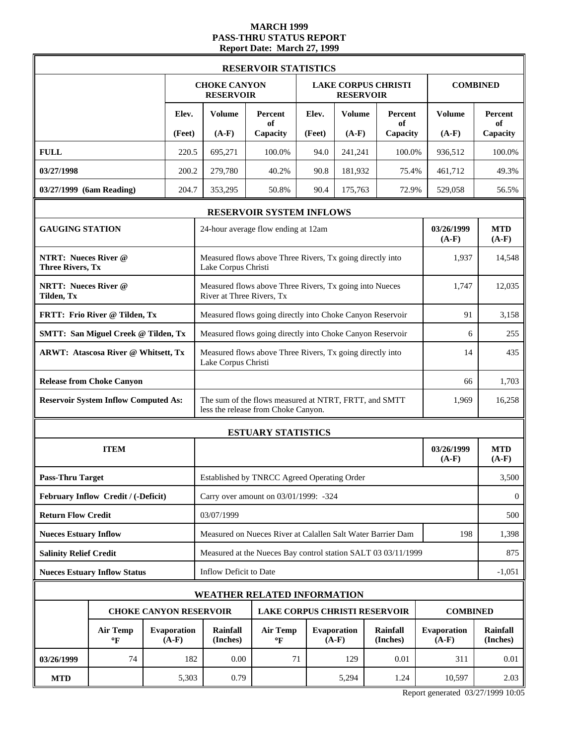# **MARCH 1999 PASS-THRU STATUS REPORT Report Date: March 27, 1999**

|                                                        | <b>RESERVOIR STATISTICS</b>                 |  |                               |                                                                                              |                                                               |                       |                        |                            |                               |                      |  |  |
|--------------------------------------------------------|---------------------------------------------|--|-------------------------------|----------------------------------------------------------------------------------------------|---------------------------------------------------------------|-----------------------|------------------------|----------------------------|-------------------------------|----------------------|--|--|
|                                                        |                                             |  |                               | <b>CHOKE CANYON</b><br><b>RESERVOIR</b>                                                      |                                                               |                       | <b>RESERVOIR</b>       | <b>LAKE CORPUS CHRISTI</b> |                               | <b>COMBINED</b>      |  |  |
|                                                        |                                             |  | Elev.                         | <b>Volume</b>                                                                                | Percent<br>of                                                 | Elev.                 | <b>Volume</b>          | Percent<br>of              | <b>Volume</b>                 | Percent<br>of        |  |  |
|                                                        |                                             |  | (Feet)                        | $(A-F)$                                                                                      | Capacity                                                      | (Feet)                | $(A-F)$                | Capacity                   | $(A-F)$                       | Capacity             |  |  |
| <b>FULL</b>                                            |                                             |  | 220.5                         | 695,271                                                                                      | 100.0%                                                        | 94.0                  | 241,241                | 100.0%                     | 936,512                       | 100.0%               |  |  |
| 03/27/1998                                             |                                             |  | 200.2                         | 279,780                                                                                      | 40.2%                                                         | 90.8                  | 181,932                | 75.4%                      | 461,712                       | 49.3%                |  |  |
| 03/27/1999 (6am Reading)                               |                                             |  | 204.7                         | 353,295                                                                                      | 50.8%                                                         | 90.4                  | 175,763                | 72.9%                      | 529,058                       | 56.5%                |  |  |
|                                                        |                                             |  |                               |                                                                                              | <b>RESERVOIR SYSTEM INFLOWS</b>                               |                       |                        |                            |                               |                      |  |  |
| <b>GAUGING STATION</b>                                 |                                             |  |                               | 24-hour average flow ending at 12am                                                          | 03/26/1999<br>$(A-F)$                                         | <b>MTD</b><br>$(A-F)$ |                        |                            |                               |                      |  |  |
| <b>NTRT: Nueces River @</b><br><b>Three Rivers, Tx</b> |                                             |  |                               | Measured flows above Three Rivers, Tx going directly into<br>Lake Corpus Christi             | 1,937                                                         | 14,548                |                        |                            |                               |                      |  |  |
| <b>NRTT: Nueces River @</b><br>Tilden, Tx              |                                             |  |                               | River at Three Rivers, Tx                                                                    | Measured flows above Three Rivers, Tx going into Nueces       |                       |                        |                            | 1,747                         | 12,035               |  |  |
|                                                        | FRTT: Frio River @ Tilden, Tx               |  |                               |                                                                                              | Measured flows going directly into Choke Canyon Reservoir     | 91                    | 3,158                  |                            |                               |                      |  |  |
|                                                        | <b>SMTT: San Miguel Creek @ Tilden, Tx</b>  |  |                               |                                                                                              | Measured flows going directly into Choke Canyon Reservoir     | 6                     | 255                    |                            |                               |                      |  |  |
| <b>ARWT: Atascosa River @ Whitsett, Tx</b>             |                                             |  |                               | Lake Corpus Christi                                                                          | Measured flows above Three Rivers, Tx going directly into     | 14                    | 435                    |                            |                               |                      |  |  |
|                                                        | <b>Release from Choke Canyon</b>            |  |                               |                                                                                              |                                                               |                       |                        |                            | 66                            | 1,703                |  |  |
|                                                        | <b>Reservoir System Inflow Computed As:</b> |  |                               | The sum of the flows measured at NTRT, FRTT, and SMTT<br>less the release from Choke Canyon. | 1,969                                                         | 16,258                |                        |                            |                               |                      |  |  |
|                                                        |                                             |  |                               |                                                                                              | <b>ESTUARY STATISTICS</b>                                     |                       |                        |                            |                               |                      |  |  |
|                                                        | <b>ITEM</b>                                 |  |                               |                                                                                              |                                                               | 03/26/1999<br>$(A-F)$ | <b>MTD</b><br>$(A-F)$  |                            |                               |                      |  |  |
| <b>Pass-Thru Target</b>                                |                                             |  |                               |                                                                                              | Established by TNRCC Agreed Operating Order                   |                       | 3,500                  |                            |                               |                      |  |  |
|                                                        | February Inflow Credit / (-Deficit)         |  |                               | Carry over amount on 03/01/1999: -324                                                        |                                                               |                       |                        |                            |                               |                      |  |  |
| <b>Return Flow Credit</b>                              |                                             |  |                               | 03/07/1999                                                                                   |                                                               | 500                   |                        |                            |                               |                      |  |  |
| <b>Nueces Estuary Inflow</b>                           |                                             |  |                               | Measured on Nueces River at Calallen Salt Water Barrier Dam                                  | 198                                                           | 1,398                 |                        |                            |                               |                      |  |  |
| <b>Salinity Relief Credit</b>                          |                                             |  |                               |                                                                                              | Measured at the Nueces Bay control station SALT 03 03/11/1999 |                       |                        |                            |                               | 875                  |  |  |
|                                                        | <b>Nueces Estuary Inflow Status</b>         |  |                               | Inflow Deficit to Date                                                                       |                                                               |                       |                        |                            |                               | $-1,051$             |  |  |
|                                                        |                                             |  |                               | <b>WEATHER RELATED INFORMATION</b>                                                           |                                                               |                       |                        |                            |                               |                      |  |  |
|                                                        |                                             |  |                               | <b>CHOKE CANYON RESERVOIR</b>                                                                | <b>LAKE CORPUS CHRISTI RESERVOIR</b>                          |                       |                        |                            | <b>COMBINED</b>               |                      |  |  |
|                                                        | Air Temp<br>°F                              |  | <b>Evaporation</b><br>$(A-F)$ | Rainfall<br>(Inches)                                                                         | <b>Air Temp</b><br>$\mathbf{P}$                               |                       | Evaporation<br>$(A-F)$ | Rainfall<br>(Inches)       | <b>Evaporation</b><br>$(A-F)$ | Rainfall<br>(Inches) |  |  |
| 03/26/1999                                             | 74                                          |  | 182                           | 0.00                                                                                         | 71                                                            |                       | 129                    | 0.01                       | 311                           | 0.01                 |  |  |
| <b>MTD</b>                                             |                                             |  | 5,303                         | 0.79                                                                                         |                                                               |                       | 5,294                  | 1.24                       | 10,597                        | 2.03                 |  |  |

Report generated 03/27/1999 10:05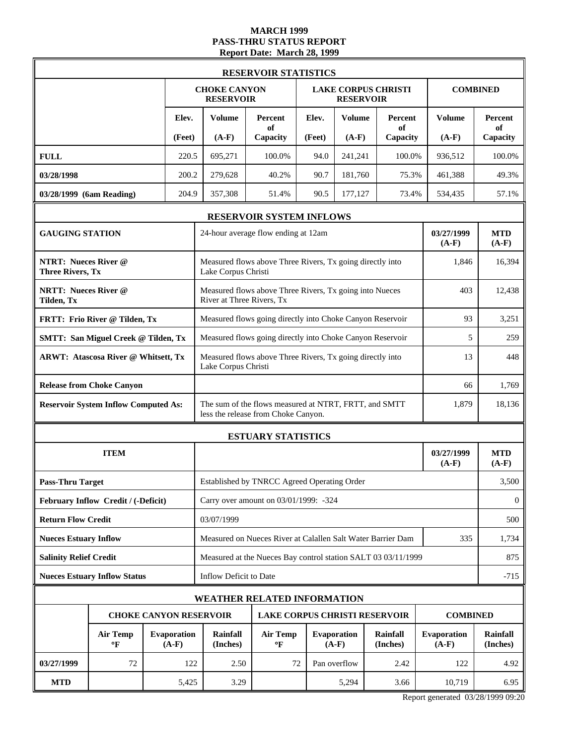### **MARCH 1999 PASS-THRU STATUS REPORT Report Date: March 28, 1999**

|                                                        | <b>RESERVOIR STATISTICS</b>                 |  |                               |                                                                                                       |                                                           |        |                               |                             |                               |                             |  |
|--------------------------------------------------------|---------------------------------------------|--|-------------------------------|-------------------------------------------------------------------------------------------------------|-----------------------------------------------------------|--------|-------------------------------|-----------------------------|-------------------------------|-----------------------------|--|
|                                                        |                                             |  |                               | <b>CHOKE CANYON</b><br><b>RESERVOIR</b>                                                               |                                                           |        | <b>RESERVOIR</b>              | <b>LAKE CORPUS CHRISTI</b>  |                               | <b>COMBINED</b>             |  |
|                                                        |                                             |  | Elev.                         | <b>Volume</b>                                                                                         | Percent<br>of                                             | Elev.  | <b>Volume</b>                 | Percent<br>of               | <b>Volume</b>                 | <b>Percent</b><br>of        |  |
|                                                        |                                             |  | (Feet)                        | $(A-F)$                                                                                               | Capacity                                                  | (Feet) | $(A-F)$                       | Capacity                    | $(A-F)$                       | Capacity                    |  |
| <b>FULL</b>                                            |                                             |  | 220.5                         | 695,271                                                                                               | 100.0%                                                    | 94.0   | 241,241                       | 100.0%                      | 936,512                       | 100.0%                      |  |
| 03/28/1998                                             |                                             |  | 200.2                         | 279,628                                                                                               | 40.2%                                                     | 90.7   | 181,760                       | 75.3%                       | 461,388                       | 49.3%                       |  |
| 03/28/1999 (6am Reading)                               |                                             |  | 204.9                         | 357,308                                                                                               | 51.4%                                                     | 90.5   | 177,127                       | 73.4%                       | 534,435                       | 57.1%                       |  |
|                                                        |                                             |  |                               |                                                                                                       | RESERVOIR SYSTEM INFLOWS                                  |        |                               |                             |                               |                             |  |
| <b>GAUGING STATION</b>                                 |                                             |  |                               | 03/27/1999<br>24-hour average flow ending at 12am<br>$(A-F)$                                          |                                                           |        |                               |                             |                               |                             |  |
| <b>NTRT: Nueces River @</b><br><b>Three Rivers, Tx</b> |                                             |  |                               | Measured flows above Three Rivers, Tx going directly into<br>Lake Corpus Christi                      | 1,846                                                     | 16,394 |                               |                             |                               |                             |  |
| <b>NRTT: Nueces River @</b><br>Tilden, Tx              |                                             |  |                               | River at Three Rivers, Tx                                                                             | Measured flows above Three Rivers, Tx going into Nueces   |        |                               |                             | 403                           | 12,438                      |  |
|                                                        | FRTT: Frio River @ Tilden, Tx               |  |                               |                                                                                                       | Measured flows going directly into Choke Canyon Reservoir | 93     | 3,251                         |                             |                               |                             |  |
| <b>SMTT: San Miguel Creek @ Tilden, Tx</b>             |                                             |  |                               |                                                                                                       | Measured flows going directly into Choke Canyon Reservoir | 5      | 259                           |                             |                               |                             |  |
| <b>ARWT: Atascosa River @ Whitsett, Tx</b>             |                                             |  |                               | Measured flows above Three Rivers, Tx going directly into<br>Lake Corpus Christi                      | 13                                                        | 448    |                               |                             |                               |                             |  |
|                                                        | <b>Release from Choke Canyon</b>            |  |                               | 66                                                                                                    |                                                           |        |                               |                             |                               | 1,769                       |  |
|                                                        | <b>Reservoir System Inflow Computed As:</b> |  |                               | The sum of the flows measured at NTRT, FRTT, and SMTT<br>1,879<br>less the release from Choke Canyon. |                                                           |        |                               |                             |                               |                             |  |
|                                                        |                                             |  |                               |                                                                                                       | <b>ESTUARY STATISTICS</b>                                 |        |                               |                             |                               |                             |  |
|                                                        | <b>ITEM</b>                                 |  |                               |                                                                                                       |                                                           |        |                               |                             | 03/27/1999<br>$(A-F)$         | <b>MTD</b><br>$(A-F)$       |  |
| <b>Pass-Thru Target</b>                                |                                             |  |                               | Established by TNRCC Agreed Operating Order                                                           |                                                           | 3,500  |                               |                             |                               |                             |  |
|                                                        | February Inflow Credit / (-Deficit)         |  |                               | Carry over amount on 03/01/1999: -324                                                                 |                                                           |        |                               |                             |                               |                             |  |
| <b>Return Flow Credit</b>                              |                                             |  |                               | 03/07/1999                                                                                            |                                                           |        |                               |                             |                               |                             |  |
| <b>Nueces Estuary Inflow</b>                           |                                             |  |                               | Measured on Nueces River at Calallen Salt Water Barrier Dam<br>335                                    |                                                           |        |                               |                             |                               |                             |  |
| <b>Salinity Relief Credit</b>                          |                                             |  |                               | Measured at the Nueces Bay control station SALT 03 03/11/1999                                         |                                                           |        |                               |                             |                               |                             |  |
|                                                        | <b>Nueces Estuary Inflow Status</b>         |  |                               | Inflow Deficit to Date                                                                                |                                                           |        |                               |                             |                               | $-715$                      |  |
|                                                        |                                             |  |                               | <b>WEATHER RELATED INFORMATION</b>                                                                    |                                                           |        |                               |                             |                               |                             |  |
|                                                        | <b>CHOKE CANYON RESERVOIR</b>               |  |                               |                                                                                                       | <b>LAKE CORPUS CHRISTI RESERVOIR</b>                      |        |                               |                             | <b>COMBINED</b>               |                             |  |
|                                                        | <b>Air Temp</b><br>$\mathbf{P}$             |  | <b>Evaporation</b><br>$(A-F)$ | <b>Rainfall</b><br>(Inches)                                                                           | <b>Air Temp</b><br>$\mathbf{P}$                           |        | <b>Evaporation</b><br>$(A-F)$ | <b>Rainfall</b><br>(Inches) | <b>Evaporation</b><br>$(A-F)$ | <b>Rainfall</b><br>(Inches) |  |
| 03/27/1999                                             | 72                                          |  | 122                           | 2.50                                                                                                  | 72                                                        |        | Pan overflow                  | 2.42                        | 122                           | 4.92                        |  |
| <b>MTD</b>                                             |                                             |  | 5,425                         | 3.29                                                                                                  |                                                           |        | 5,294                         | 3.66                        | 10,719                        | 6.95                        |  |

Report generated 03/28/1999 09:20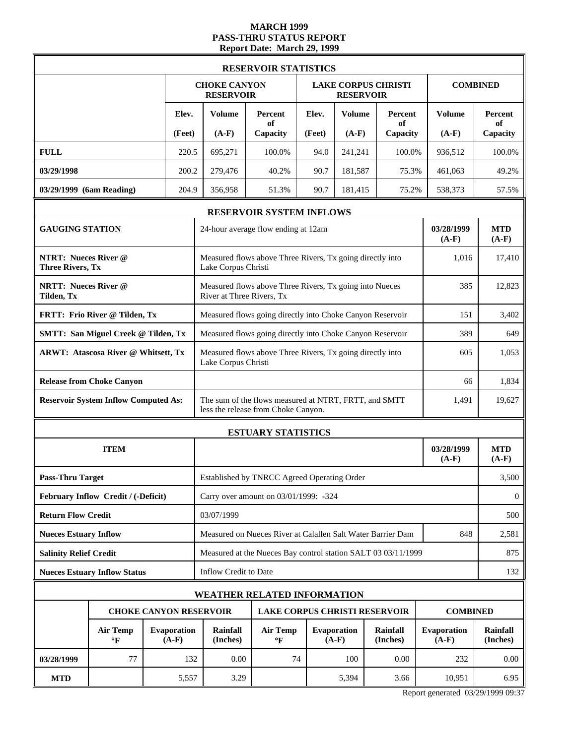# **MARCH 1999 PASS-THRU STATUS REPORT Report Date: March 29, 1999**

|                                                        |                                             |  |                               |                                                                                                       | <b>RESERVOIR STATISTICS</b>                               |                       |                               |                             |                               |                             |  |
|--------------------------------------------------------|---------------------------------------------|--|-------------------------------|-------------------------------------------------------------------------------------------------------|-----------------------------------------------------------|-----------------------|-------------------------------|-----------------------------|-------------------------------|-----------------------------|--|
|                                                        |                                             |  |                               | <b>CHOKE CANYON</b><br><b>RESERVOIR</b>                                                               |                                                           |                       | <b>RESERVOIR</b>              | <b>LAKE CORPUS CHRISTI</b>  |                               | <b>COMBINED</b>             |  |
|                                                        |                                             |  | Elev.                         | <b>Volume</b>                                                                                         | Percent<br>of                                             | Elev.                 | <b>Volume</b>                 | Percent<br>of               | <b>Volume</b>                 | <b>Percent</b><br>of        |  |
|                                                        |                                             |  | (Feet)                        | $(A-F)$                                                                                               | Capacity                                                  | (Feet)                | $(A-F)$                       | Capacity                    | $(A-F)$                       | Capacity                    |  |
| <b>FULL</b>                                            |                                             |  | 220.5                         | 695,271                                                                                               | 100.0%                                                    | 94.0                  | 241,241                       | 100.0%                      | 936,512                       | 100.0%                      |  |
| 03/29/1998                                             |                                             |  | 200.2                         | 279,476                                                                                               | 40.2%                                                     | 90.7                  | 181,587                       | 75.3%                       | 461,063                       | 49.2%                       |  |
| 03/29/1999 (6am Reading)                               |                                             |  | 204.9                         | 356,958                                                                                               | 51.3%                                                     | 90.7                  | 181,415                       | 75.2%                       | 538,373                       | 57.5%                       |  |
|                                                        |                                             |  |                               |                                                                                                       | RESERVOIR SYSTEM INFLOWS                                  |                       |                               |                             |                               |                             |  |
| <b>GAUGING STATION</b>                                 |                                             |  |                               | 24-hour average flow ending at 12am                                                                   | 03/28/1999<br>$(A-F)$                                     | <b>MTD</b><br>$(A-F)$ |                               |                             |                               |                             |  |
| <b>NTRT: Nueces River @</b><br><b>Three Rivers, Tx</b> |                                             |  |                               | Measured flows above Three Rivers, Tx going directly into<br>Lake Corpus Christi                      | 1,016                                                     | 17,410                |                               |                             |                               |                             |  |
| <b>NRTT: Nueces River @</b><br>Tilden, Tx              |                                             |  |                               | River at Three Rivers, Tx                                                                             | Measured flows above Three Rivers, Tx going into Nueces   |                       |                               |                             | 385                           | 12,823                      |  |
|                                                        | FRTT: Frio River @ Tilden, Tx               |  |                               |                                                                                                       | Measured flows going directly into Choke Canyon Reservoir | 151                   | 3,402                         |                             |                               |                             |  |
|                                                        | <b>SMTT: San Miguel Creek @ Tilden, Tx</b>  |  |                               | Measured flows going directly into Choke Canyon Reservoir                                             | 389                                                       | 649                   |                               |                             |                               |                             |  |
| <b>ARWT: Atascosa River @ Whitsett, Tx</b>             |                                             |  |                               | Lake Corpus Christi                                                                                   | Measured flows above Three Rivers, Tx going directly into | 605                   | 1,053                         |                             |                               |                             |  |
|                                                        | <b>Release from Choke Canyon</b>            |  |                               |                                                                                                       |                                                           |                       |                               |                             |                               | 1,834                       |  |
|                                                        | <b>Reservoir System Inflow Computed As:</b> |  |                               | The sum of the flows measured at NTRT, FRTT, and SMTT<br>1,491<br>less the release from Choke Canyon. |                                                           |                       |                               |                             |                               |                             |  |
|                                                        |                                             |  |                               |                                                                                                       | <b>ESTUARY STATISTICS</b>                                 |                       |                               |                             |                               |                             |  |
|                                                        | <b>ITEM</b>                                 |  |                               |                                                                                                       |                                                           | 03/28/1999<br>$(A-F)$ | <b>MTD</b><br>$(A-F)$         |                             |                               |                             |  |
| <b>Pass-Thru Target</b>                                |                                             |  |                               | Established by TNRCC Agreed Operating Order                                                           |                                                           | 3,500                 |                               |                             |                               |                             |  |
|                                                        | February Inflow Credit / (-Deficit)         |  |                               | Carry over amount on 03/01/1999: -324                                                                 |                                                           |                       |                               |                             |                               |                             |  |
| <b>Return Flow Credit</b>                              |                                             |  |                               | 03/07/1999                                                                                            |                                                           |                       |                               |                             |                               |                             |  |
| <b>Nueces Estuary Inflow</b>                           |                                             |  |                               | Measured on Nueces River at Calallen Salt Water Barrier Dam<br>848                                    |                                                           |                       |                               |                             |                               |                             |  |
| <b>Salinity Relief Credit</b>                          |                                             |  |                               | Measured at the Nueces Bay control station SALT 03 03/11/1999                                         |                                                           |                       |                               |                             |                               |                             |  |
|                                                        | <b>Nueces Estuary Inflow Status</b>         |  |                               | Inflow Credit to Date                                                                                 |                                                           |                       |                               |                             |                               | 132                         |  |
|                                                        |                                             |  |                               |                                                                                                       | <b>WEATHER RELATED INFORMATION</b>                        |                       |                               |                             |                               |                             |  |
|                                                        |                                             |  |                               | <b>CHOKE CANYON RESERVOIR</b>                                                                         | LAKE CORPUS CHRISTI RESERVOIR                             |                       |                               |                             | <b>COMBINED</b>               |                             |  |
|                                                        | <b>Air Temp</b><br>$\mathbf{P}$             |  | <b>Evaporation</b><br>$(A-F)$ | Rainfall<br>(Inches)                                                                                  | <b>Air Temp</b><br>$\mathbf{P}$                           |                       | <b>Evaporation</b><br>$(A-F)$ | <b>Rainfall</b><br>(Inches) | <b>Evaporation</b><br>$(A-F)$ | <b>Rainfall</b><br>(Inches) |  |
| <b>03/28/1999</b>                                      | 77                                          |  | 132                           | 0.00                                                                                                  | 74                                                        |                       | 100                           | 0.00                        | 232                           | 0.00                        |  |
| <b>MTD</b>                                             |                                             |  | 5,557                         | 3.29                                                                                                  |                                                           |                       | 5,394                         | 3.66                        | 10,951                        | 6.95                        |  |

Report generated 03/29/1999 09:37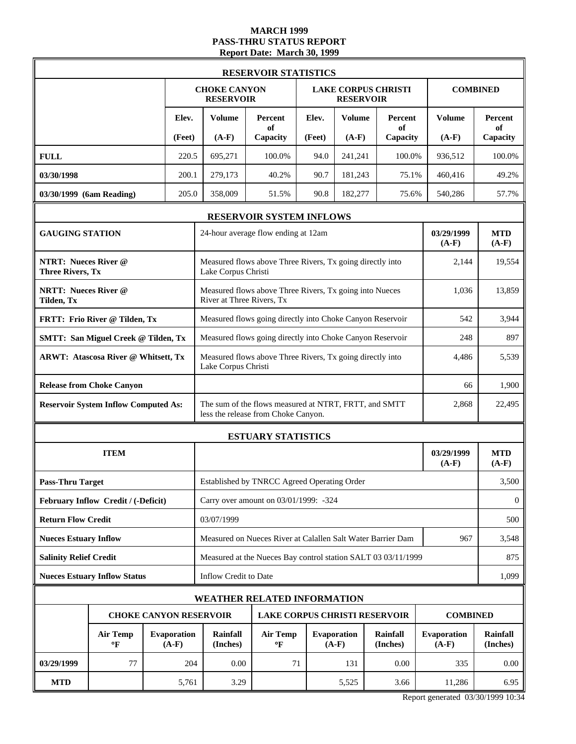# **MARCH 1999 PASS-THRU STATUS REPORT Report Date: March 30, 1999**

|                                                        | <b>RESERVOIR STATISTICS</b>                 |  |                               |                                                                                                       |                                                           |                       |                               |                            |                               |                             |  |
|--------------------------------------------------------|---------------------------------------------|--|-------------------------------|-------------------------------------------------------------------------------------------------------|-----------------------------------------------------------|-----------------------|-------------------------------|----------------------------|-------------------------------|-----------------------------|--|
|                                                        |                                             |  |                               | <b>CHOKE CANYON</b><br><b>RESERVOIR</b>                                                               |                                                           |                       | <b>RESERVOIR</b>              | <b>LAKE CORPUS CHRISTI</b> |                               | <b>COMBINED</b>             |  |
|                                                        |                                             |  | Elev.                         | <b>Volume</b>                                                                                         | Percent<br>of                                             | Elev.                 | <b>Volume</b>                 | Percent<br>of              | <b>Volume</b>                 | <b>Percent</b><br>of        |  |
|                                                        |                                             |  | (Feet)                        | $(A-F)$                                                                                               | Capacity                                                  | (Feet)                | $(A-F)$                       | Capacity                   | $(A-F)$                       | Capacity                    |  |
| <b>FULL</b>                                            |                                             |  | 220.5                         | 695,271                                                                                               | 100.0%                                                    | 94.0                  | 241,241                       | 100.0%                     | 936,512                       | 100.0%                      |  |
| 03/30/1998                                             |                                             |  | 200.1                         | 279,173                                                                                               | 40.2%                                                     | 90.7                  | 181,243                       | 75.1%                      | 460,416                       | 49.2%                       |  |
| 03/30/1999 (6am Reading)                               |                                             |  | 205.0                         | 358,009                                                                                               | 51.5%                                                     | 90.8                  | 182,277                       | 75.6%                      | 540,286                       | 57.7%                       |  |
|                                                        |                                             |  |                               |                                                                                                       | RESERVOIR SYSTEM INFLOWS                                  |                       |                               |                            |                               |                             |  |
| <b>GAUGING STATION</b>                                 |                                             |  |                               | 24-hour average flow ending at 12am                                                                   | <b>MTD</b><br>$(A-F)$                                     |                       |                               |                            |                               |                             |  |
| <b>NTRT: Nueces River @</b><br><b>Three Rivers, Tx</b> |                                             |  |                               | Measured flows above Three Rivers, Tx going directly into<br>Lake Corpus Christi                      | 2,144                                                     | 19,554                |                               |                            |                               |                             |  |
| <b>NRTT: Nueces River @</b><br>Tilden, Tx              |                                             |  |                               | River at Three Rivers, Tx                                                                             | Measured flows above Three Rivers, Tx going into Nueces   |                       |                               |                            | 1,036                         | 13,859                      |  |
|                                                        | FRTT: Frio River @ Tilden, Tx               |  |                               |                                                                                                       | Measured flows going directly into Choke Canyon Reservoir | 542                   | 3,944                         |                            |                               |                             |  |
|                                                        | <b>SMTT: San Miguel Creek @ Tilden, Tx</b>  |  |                               |                                                                                                       | Measured flows going directly into Choke Canyon Reservoir | 248                   | 897                           |                            |                               |                             |  |
| <b>ARWT: Atascosa River @ Whitsett, Tx</b>             |                                             |  |                               | Measured flows above Three Rivers, Tx going directly into<br>Lake Corpus Christi                      | 4,486                                                     | 5,539                 |                               |                            |                               |                             |  |
|                                                        | <b>Release from Choke Canyon</b>            |  |                               | 66                                                                                                    |                                                           |                       |                               |                            |                               | 1,900                       |  |
|                                                        | <b>Reservoir System Inflow Computed As:</b> |  |                               | The sum of the flows measured at NTRT, FRTT, and SMTT<br>2,868<br>less the release from Choke Canyon. |                                                           |                       |                               |                            |                               |                             |  |
|                                                        |                                             |  |                               |                                                                                                       | <b>ESTUARY STATISTICS</b>                                 |                       |                               |                            |                               |                             |  |
|                                                        | <b>ITEM</b>                                 |  |                               |                                                                                                       |                                                           | 03/29/1999<br>$(A-F)$ | <b>MTD</b><br>$(A-F)$         |                            |                               |                             |  |
| <b>Pass-Thru Target</b>                                |                                             |  |                               | Established by TNRCC Agreed Operating Order                                                           |                                                           | 3,500                 |                               |                            |                               |                             |  |
|                                                        | February Inflow Credit / (-Deficit)         |  |                               | Carry over amount on 03/01/1999: -324                                                                 |                                                           |                       |                               |                            |                               |                             |  |
| <b>Return Flow Credit</b>                              |                                             |  |                               | 03/07/1999                                                                                            |                                                           |                       |                               |                            |                               |                             |  |
| <b>Nueces Estuary Inflow</b>                           |                                             |  |                               | Measured on Nueces River at Calallen Salt Water Barrier Dam<br>967                                    |                                                           |                       |                               |                            |                               |                             |  |
| <b>Salinity Relief Credit</b>                          |                                             |  |                               | Measured at the Nueces Bay control station SALT 03 03/11/1999                                         |                                                           |                       |                               |                            |                               |                             |  |
|                                                        | <b>Nueces Estuary Inflow Status</b>         |  |                               | Inflow Credit to Date                                                                                 |                                                           |                       |                               |                            |                               | 1,099                       |  |
|                                                        |                                             |  |                               | <b>WEATHER RELATED INFORMATION</b>                                                                    |                                                           |                       |                               |                            |                               |                             |  |
|                                                        |                                             |  |                               | <b>CHOKE CANYON RESERVOIR</b>                                                                         | <b>LAKE CORPUS CHRISTI RESERVOIR</b>                      |                       |                               |                            | <b>COMBINED</b>               |                             |  |
|                                                        | <b>Air Temp</b><br>$\mathbf{P}$             |  | <b>Evaporation</b><br>$(A-F)$ | <b>Rainfall</b><br>(Inches)                                                                           | <b>Air Temp</b><br>$\mathbf{P}$                           |                       | <b>Evaporation</b><br>$(A-F)$ | Rainfall<br>(Inches)       | <b>Evaporation</b><br>$(A-F)$ | <b>Rainfall</b><br>(Inches) |  |
| 03/29/1999                                             | 77                                          |  | 204                           | 0.00                                                                                                  | 71                                                        |                       | 131                           | 0.00                       | 335                           | 0.00                        |  |
| <b>MTD</b>                                             |                                             |  | 5,761                         | 3.29                                                                                                  |                                                           |                       | 5,525                         | 3.66                       | 11,286                        | 6.95                        |  |

Report generated 03/30/1999 10:34